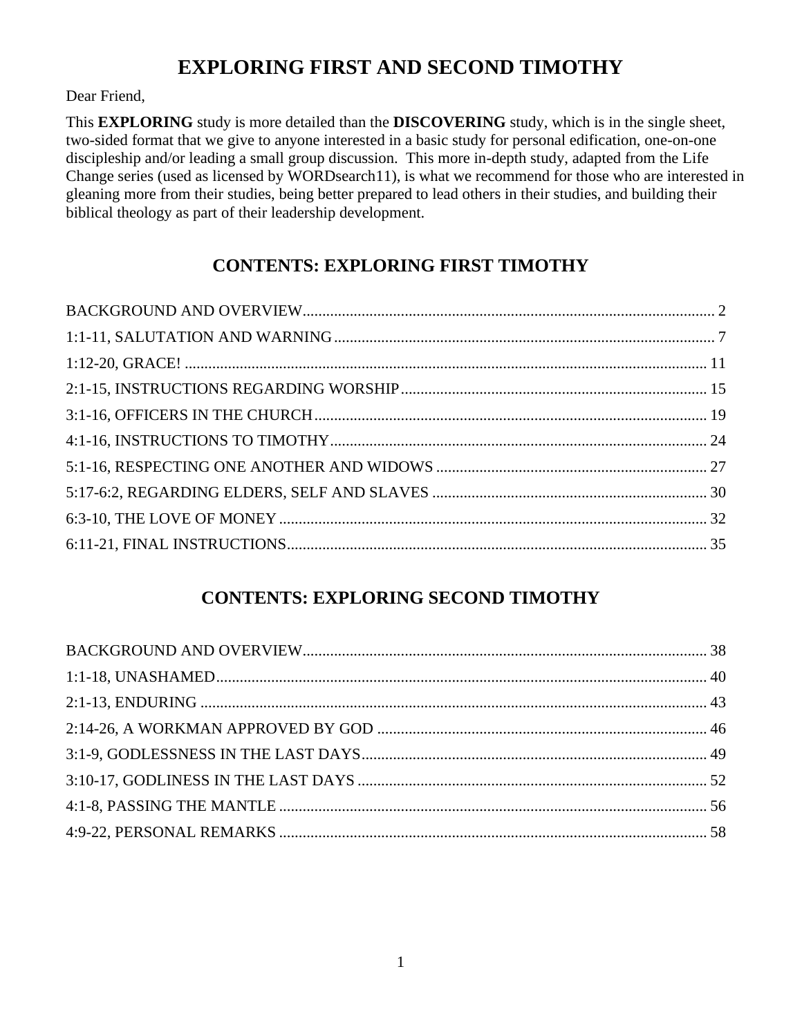## **EXPLORING FIRST AND SECOND TIMOTHY**

Dear Friend,

This **EXPLORING** study is more detailed than the **DISCOVERING** study, which is in the single sheet, two-sided format that we give to anyone interested in a basic study for personal edification, one-on-one discipleship and/or leading a small group discussion. This more in-depth study, adapted from the Life Change series (used as licensed by WORDsearch11), is what we recommend for those who are interested in gleaning more from their studies, being better prepared to lead others in their studies, and building their biblical theology as part of their leadership development.

## **CONTENTS: EXPLORING FIRST TIMOTHY**

### **CONTENTS: EXPLORING SECOND TIMOTHY**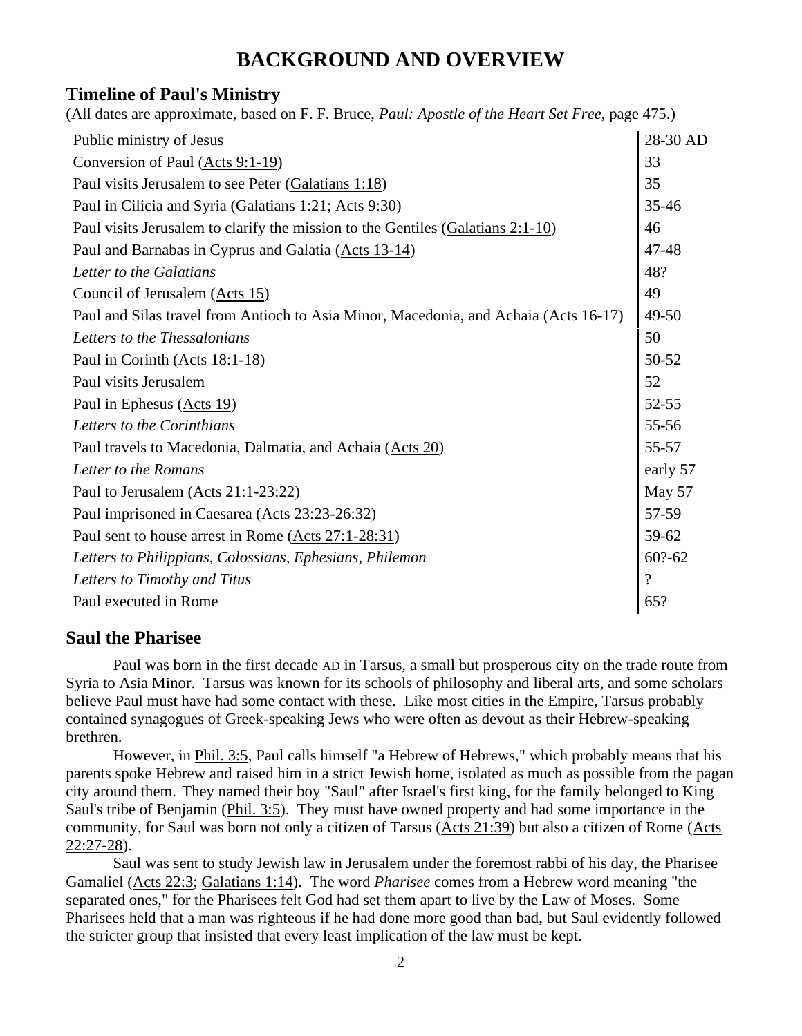### **BACKGROUND AND OVERVIEW**

#### **Timeline of Paul's Ministry**

| (All dates are approximate, based on F. F. Bruce, <i>Paul: Apostle of the Heart Set Free</i> , page 475.) |                          |
|-----------------------------------------------------------------------------------------------------------|--------------------------|
| Public ministry of Jesus                                                                                  | 28-30 AD                 |
| Conversion of Paul (Acts 9:1-19)                                                                          | 33                       |
| Paul visits Jerusalem to see Peter (Galatians 1:18)                                                       | 35                       |
| Paul in Cilicia and Syria (Galatians 1:21; Acts 9:30)                                                     | 35-46                    |
| Paul visits Jerusalem to clarify the mission to the Gentiles (Galatians 2:1-10)                           | 46                       |
| Paul and Barnabas in Cyprus and Galatia (Acts 13-14)                                                      | 47-48                    |
| Letter to the Galatians                                                                                   | 48?                      |
| Council of Jerusalem (Acts 15)                                                                            | 49                       |
| Paul and Silas travel from Antioch to Asia Minor, Macedonia, and Achaia (Acts 16-17)                      | $49 - 50$                |
| Letters to the Thessalonians                                                                              | 50                       |
| Paul in Corinth (Acts 18:1-18)                                                                            | 50-52                    |
| Paul visits Jerusalem                                                                                     | 52                       |
| Paul in Ephesus (Acts 19)                                                                                 | $52 - 55$                |
| Letters to the Corinthians                                                                                | 55-56                    |
| Paul travels to Macedonia, Dalmatia, and Achaia (Acts 20)                                                 | 55-57                    |
| Letter to the Romans                                                                                      | early 57                 |
| Paul to Jerusalem $(Acts 21:1-23:22)$                                                                     | May 57                   |
| Paul imprisoned in Caesarea (Acts 23:23-26:32)                                                            | 57-59                    |
| Paul sent to house arrest in Rome (Acts 27:1-28:31)                                                       | 59-62                    |
| Letters to Philippians, Colossians, Ephesians, Philemon                                                   | $60$ ?-62                |
| Letters to Timothy and Titus                                                                              | $\overline{\mathcal{L}}$ |
| Paul executed in Rome                                                                                     | 65?                      |
|                                                                                                           |                          |

#### **Saul the Pharisee**

Paul was born in the first decade AD in Tarsus, a small but prosperous city on the trade route from Syria to Asia Minor. Tarsus was known for its schools of philosophy and liberal arts, and some scholars believe Paul must have had some contact with these. Like most cities in the Empire, Tarsus probably contained synagogues of Greek-speaking Jews who were often as devout as their Hebrew-speaking brethren.

However, in [Phil. 3:5,](http://www.crossbooks.com/verse.asp?ref=Php+3%3A5) Paul calls himself "a Hebrew of Hebrews," which probably means that his parents spoke Hebrew and raised him in a strict Jewish home, isolated as much as possible from the pagan city around them. They named their boy "Saul" after Israel's first king, for the family belonged to King Saul's tribe of Benjamin [\(Phil. 3:5\)](http://www.crossbooks.com/verse.asp?ref=Php+3%3A5). They must have owned property and had some importance in the community, for Saul was born not only a citizen of Tarsus [\(Acts 21:39\)](http://www.crossbooks.com/verse.asp?ref=Ac+21%3A39) but also a citizen of Rome [\(Acts](http://www.crossbooks.com/verse.asp?ref=Ac+22%3A27-28)  [22:27-28\)](http://www.crossbooks.com/verse.asp?ref=Ac+22%3A27-28).

Saul was sent to study Jewish law in Jerusalem under the foremost rabbi of his day, the Pharisee Gamaliel [\(Acts 22:3;](http://www.crossbooks.com/verse.asp?ref=Ac+22%3A3) [Galatians 1:14\)](http://www.crossbooks.com/verse.asp?ref=Gal+1%3A14). The word *Pharisee* comes from a Hebrew word meaning "the separated ones," for the Pharisees felt God had set them apart to live by the Law of Moses. Some Pharisees held that a man was righteous if he had done more good than bad, but Saul evidently followed the stricter group that insisted that every least implication of the law must be kept.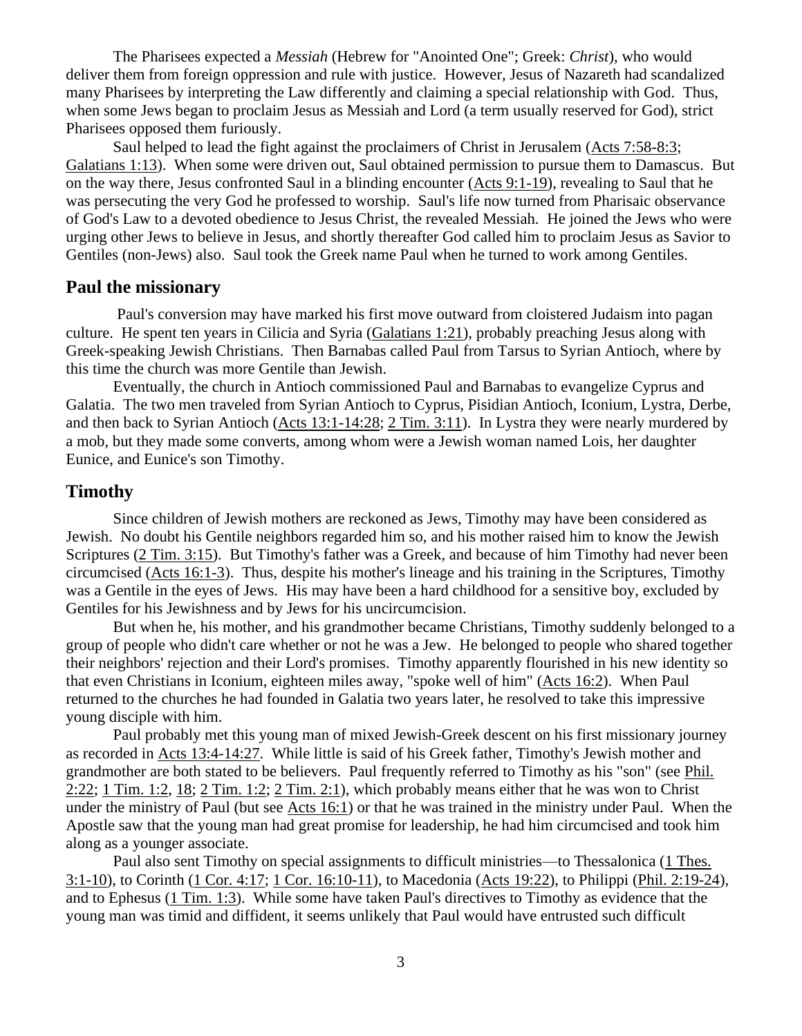The Pharisees expected a *Messiah* (Hebrew for "Anointed One"; Greek: *Christ*), who would deliver them from foreign oppression and rule with justice. However, Jesus of Nazareth had scandalized many Pharisees by interpreting the Law differently and claiming a special relationship with God. Thus, when some Jews began to proclaim Jesus as Messiah and Lord (a term usually reserved for God), strict Pharisees opposed them furiously.

Saul helped to lead the fight against the proclaimers of Christ in Jerusalem [\(Acts 7:58-8:3;](http://www.crossbooks.com/verse.asp?ref=Ac+7%3A58-8%3A3) [Galatians 1:13\)](http://www.crossbooks.com/verse.asp?ref=Gal+1%3A13). When some were driven out, Saul obtained permission to pursue them to Damascus. But on the way there, Jesus confronted Saul in a blinding encounter [\(Acts 9:1-19\)](http://www.crossbooks.com/verse.asp?ref=Ac+9%3A1-19), revealing to Saul that he was persecuting the very God he professed to worship. Saul's life now turned from Pharisaic observance of God's Law to a devoted obedience to Jesus Christ, the revealed Messiah. He joined the Jews who were urging other Jews to believe in Jesus, and shortly thereafter God called him to proclaim Jesus as Savior to Gentiles (non-Jews) also. Saul took the Greek name Paul when he turned to work among Gentiles.

#### **Paul the missionary**

Paul's conversion may have marked his first move outward from cloistered Judaism into pagan culture. He spent ten years in Cilicia and Syria [\(Galatians 1:21\)](http://www.crossbooks.com/verse.asp?ref=Gal+1%3A21), probably preaching Jesus along with Greek-speaking Jewish Christians. Then Barnabas called Paul from Tarsus to Syrian Antioch, where by this time the church was more Gentile than Jewish.

Eventually, the church in Antioch commissioned Paul and Barnabas to evangelize Cyprus and Galatia. The two men traveled from Syrian Antioch to Cyprus, Pisidian Antioch, Iconium, Lystra, Derbe, and then back to Syrian Antioch [\(Acts 13:1-14:28;](http://www.crossbooks.com/verse.asp?ref=Ac+13%3A1-14%3A28) 2 [Tim. 3:11\)](http://www.crossbooks.com/verse.asp?ref=2Ti+3%3A11). In Lystra they were nearly murdered by a mob, but they made some converts, among whom were a Jewish woman named Lois, her daughter Eunice, and Eunice's son Timothy.

#### **Timothy**

Since children of Jewish mothers are reckoned as Jews, Timothy may have been considered as Jewish. No doubt his Gentile neighbors regarded him so, and his mother raised him to know the Jewish Scriptures (2 [Tim. 3:15\)](http://www.crossbooks.com/verse.asp?ref=2Ti+3%3A15). But Timothy's father was a Greek, and because of him Timothy had never been circumcised [\(Acts 16:1-3\)](http://www.crossbooks.com/verse.asp?ref=Ac+16%3A1-3). Thus, despite his mother's lineage and his training in the Scriptures, Timothy was a Gentile in the eyes of Jews. His may have been a hard childhood for a sensitive boy, excluded by Gentiles for his Jewishness and by Jews for his uncircumcision.

But when he, his mother, and his grandmother became Christians, Timothy suddenly belonged to a group of people who didn't care whether or not he was a Jew. He belonged to people who shared together their neighbors' rejection and their Lord's promises. Timothy apparently flourished in his new identity so that even Christians in Iconium, eighteen miles away, "spoke well of him" [\(Acts 16:2\)](http://www.crossbooks.com/verse.asp?ref=Ac+16%3A2). When Paul returned to the churches he had founded in Galatia two years later, he resolved to take this impressive young disciple with him.

Paul probably met this young man of mixed Jewish-Greek descent on his first missionary journey as recorded in [Acts 13:4-14:27.](http://www.crossbooks.com/verse.asp?ref=Ac+13%3A4-14%3A27) While little is said of his Greek father, Timothy's Jewish mother and grandmother are both stated to be believers. Paul frequently referred to Timothy as his "son" (see [Phil.](http://www.crossbooks.com/verse.asp?ref=Php+2%3A22)  [2:22;](http://www.crossbooks.com/verse.asp?ref=Php+2%3A22) 1 [Tim. 1:2,](http://www.crossbooks.com/verse.asp?ref=1Ti+1%3A2) [18;](http://www.crossbooks.com/verse.asp?ref=1Ti+1%3A18) 2 [Tim. 1:2;](http://www.crossbooks.com/verse.asp?ref=2Ti+1%3A2) 2 [Tim. 2:1\)](http://www.crossbooks.com/verse.asp?ref=2Ti+2%3A1), which probably means either that he was won to Christ under the ministry of Paul (but see [Acts 16:1\)](http://www.crossbooks.com/verse.asp?ref=Ac+16%3A1) or that he was trained in the ministry under Paul. When the Apostle saw that the young man had great promise for leadership, he had him circumcised and took him along as a younger associate.

Paul also sent Timothy on special assignments to difficult ministries—to Thessalonica (1 [Thes.](http://www.crossbooks.com/verse.asp?ref=1Th+3%3A1-10)  [3:1-10\)](http://www.crossbooks.com/verse.asp?ref=1Th+3%3A1-10), to Corinth (1 [Cor. 4:17;](http://www.crossbooks.com/verse.asp?ref=1Co+4%3A17) 1 [Cor. 16:10-11\)](http://www.crossbooks.com/verse.asp?ref=1Co+16%3A10-11), to Macedonia [\(Acts 19:22\)](http://www.crossbooks.com/verse.asp?ref=Ac+19%3A22), to Philippi [\(Phil. 2:19-24\)](http://www.crossbooks.com/verse.asp?ref=Php+2%3A19-24), and to Ephesus (1 [Tim. 1:3\)](http://www.crossbooks.com/verse.asp?ref=1Ti+1%3A3). While some have taken Paul's directives to Timothy as evidence that the young man was timid and diffident, it seems unlikely that Paul would have entrusted such difficult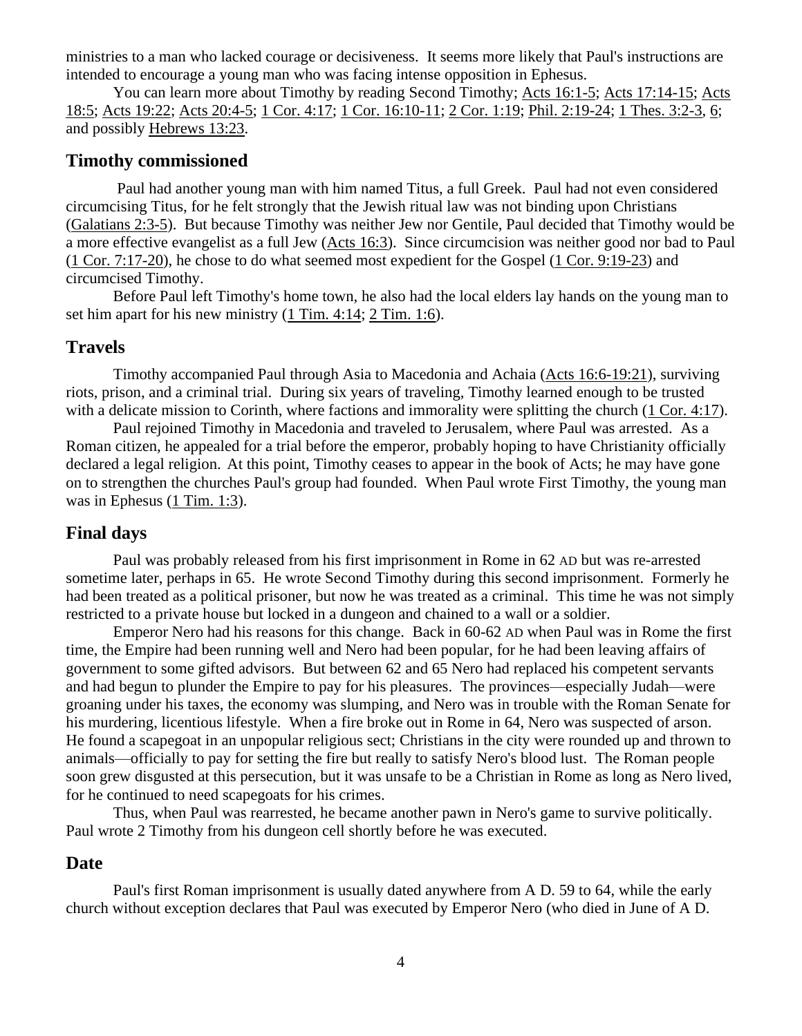ministries to a man who lacked courage or decisiveness. It seems more likely that Paul's instructions are intended to encourage a young man who was facing intense opposition in Ephesus.

You can learn more about Timothy by reading Second Timothy; [Acts 16:1-5;](http://www.crossbooks.com/verse.asp?ref=Ac+16%3A1-5) [Acts 17:14-15;](http://www.crossbooks.com/verse.asp?ref=Ac+17%3A14-15) [Acts](http://www.crossbooks.com/verse.asp?ref=Ac+18%3A5)  [18:5;](http://www.crossbooks.com/verse.asp?ref=Ac+18%3A5) [Acts 19:22;](http://www.crossbooks.com/verse.asp?ref=Ac+19%3A22) [Acts 20:4-5;](http://www.crossbooks.com/verse.asp?ref=Ac+20%3A4-5) 1 [Cor. 4:17;](http://www.crossbooks.com/verse.asp?ref=1Co+4%3A17) 1 [Cor. 16:10-11;](http://www.crossbooks.com/verse.asp?ref=1Co+16%3A10-11) 2 [Cor. 1:19;](http://www.crossbooks.com/verse.asp?ref=2Co+1%3A19) [Phil. 2:19-24;](http://www.crossbooks.com/verse.asp?ref=Php+2%3A19-24) 1 [Thes. 3:2-3,](http://www.crossbooks.com/verse.asp?ref=1Th+3%3A2-3) [6;](http://www.crossbooks.com/verse.asp?ref=1Th+3%3A6) and possibly [Hebrews 13:23.](http://www.crossbooks.com/verse.asp?ref=Heb+13%3A23)

### **Timothy commissioned**

Paul had another young man with him named Titus, a full Greek. Paul had not even considered circumcising Titus, for he felt strongly that the Jewish ritual law was not binding upon Christians [\(Galatians 2:3-5\)](http://www.crossbooks.com/verse.asp?ref=Gal+2%3A3-5). But because Timothy was neither Jew nor Gentile, Paul decided that Timothy would be a more effective evangelist as a full Jew [\(Acts 16:3\)](http://www.crossbooks.com/verse.asp?ref=Ac+16%3A3). Since circumcision was neither good nor bad to Paul (1 [Cor. 7:17-20\)](http://www.crossbooks.com/verse.asp?ref=1Co+7%3A17-20), he chose to do what seemed most expedient for the Gospel (1 [Cor. 9:19-23\)](http://www.crossbooks.com/verse.asp?ref=1Co+9%3A19-23) and circumcised Timothy.

Before Paul left Timothy's home town, he also had the local elders lay hands on the young man to set him apart for his new ministry  $(1 \text{ Tim. } 4:14; 2 \text{ Tim. } 1:6)$ .

### **Travels**

Timothy accompanied Paul through Asia to Macedonia and Achaia [\(Acts 16:6-19:21\)](http://www.crossbooks.com/verse.asp?ref=Ac+16%3A6-19%3A21), surviving riots, prison, and a criminal trial. During six years of traveling, Timothy learned enough to be trusted with a delicate mission to Corinth, where factions and immorality were splitting the church (1 [Cor. 4:17\)](http://www.crossbooks.com/verse.asp?ref=1Co+4%3A17).

Paul rejoined Timothy in Macedonia and traveled to Jerusalem, where Paul was arrested. As a Roman citizen, he appealed for a trial before the emperor, probably hoping to have Christianity officially declared a legal religion. At this point, Timothy ceases to appear in the book of Acts; he may have gone on to strengthen the churches Paul's group had founded. When Paul wrote First Timothy, the young man was in Ephesus (1 [Tim. 1:3\)](http://www.crossbooks.com/verse.asp?ref=1Ti+1%3A3).

#### **Final days**

Paul was probably released from his first imprisonment in Rome in 62 AD but was re-arrested sometime later, perhaps in 65. He wrote Second Timothy during this second imprisonment. Formerly he had been treated as a political prisoner, but now he was treated as a criminal. This time he was not simply restricted to a private house but locked in a dungeon and chained to a wall or a soldier.

Emperor Nero had his reasons for this change. Back in 60-62 AD when Paul was in Rome the first time, the Empire had been running well and Nero had been popular, for he had been leaving affairs of government to some gifted advisors. But between 62 and 65 Nero had replaced his competent servants and had begun to plunder the Empire to pay for his pleasures. The provinces—especially Judah—were groaning under his taxes, the economy was slumping, and Nero was in trouble with the Roman Senate for his murdering, licentious lifestyle. When a fire broke out in Rome in 64, Nero was suspected of arson. He found a scapegoat in an unpopular religious sect; Christians in the city were rounded up and thrown to animals—officially to pay for setting the fire but really to satisfy Nero's blood lust. The Roman people soon grew disgusted at this persecution, but it was unsafe to be a Christian in Rome as long as Nero lived, for he continued to need scapegoats for his crimes.

Thus, when Paul was rearrested, he became another pawn in Nero's game to survive politically. Paul wrote 2 Timothy from his dungeon cell shortly before he was executed.

#### **Date**

Paul's first Roman imprisonment is usually dated anywhere from A D. 59 to 64, while the early church without exception declares that Paul was executed by Emperor Nero (who died in June of A D.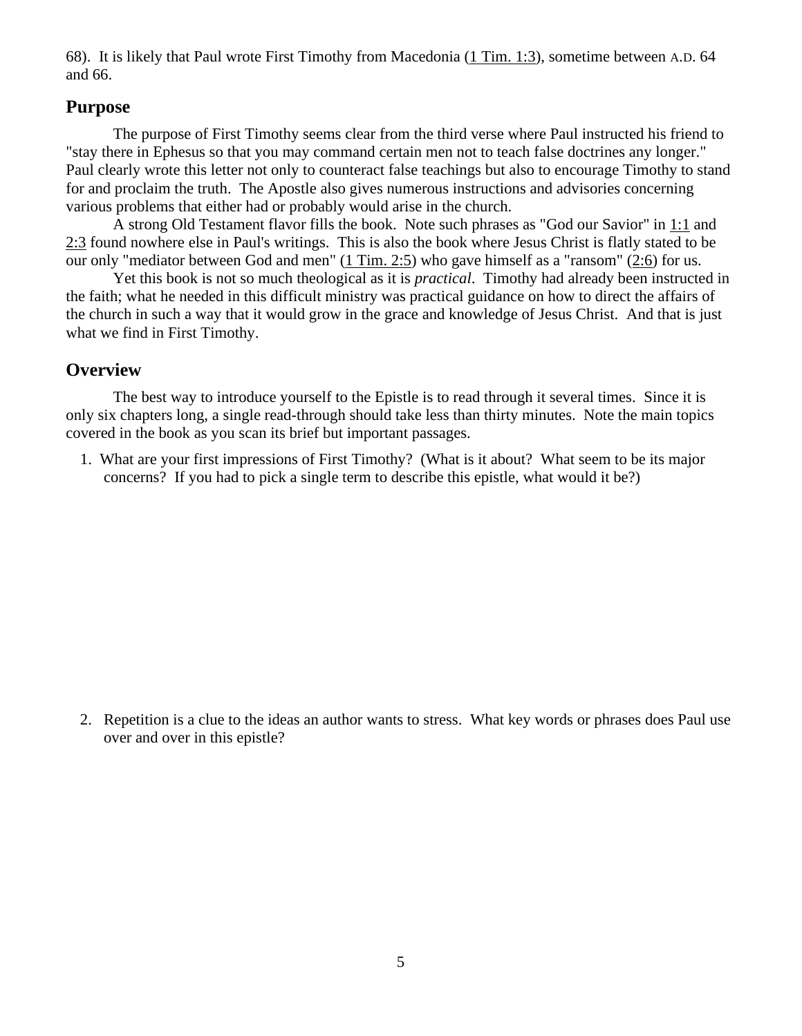68). It is likely that Paul wrote First Timothy from Macedonia (1 [Tim. 1:3\)](http://www.crossbooks.com/verse.asp?ref=1Ti+1%3A3), sometime between A.D. 64 and 66.

### **Purpose**

The purpose of First Timothy seems clear from the third verse where Paul instructed his friend to "stay there in Ephesus so that you may command certain men not to teach false doctrines any longer." Paul clearly wrote this letter not only to counteract false teachings but also to encourage Timothy to stand for and proclaim the truth. The Apostle also gives numerous instructions and advisories concerning various problems that either had or probably would arise in the church.

A strong Old Testament flavor fills the book. Note such phrases as "God our Savior" in [1:1](http://www.crossbooks.com/verse.asp?ref=1Ti+1%3A1) and [2:3](http://www.crossbooks.com/verse.asp?ref=1Ti+2%3A3) found nowhere else in Paul's writings. This is also the book where Jesus Christ is flatly stated to be our only "mediator between God and men" (1 [Tim. 2:5\)](http://www.crossbooks.com/verse.asp?ref=1Ti+2%3A5) who gave himself as a "ransom" [\(2:6\)](http://www.crossbooks.com/verse.asp?ref=1Ti+2%3A6) for us.

Yet this book is not so much theological as it is *practical*. Timothy had already been instructed in the faith; what he needed in this difficult ministry was practical guidance on how to direct the affairs of the church in such a way that it would grow in the grace and knowledge of Jesus Christ. And that is just what we find in First Timothy.

### **Overview**

The best way to introduce yourself to the Epistle is to read through it several times. Since it is only six chapters long, a single read-through should take less than thirty minutes. Note the main topics covered in the book as you scan its brief but important passages.

1. What are your first impressions of First Timothy? (What is it about? What seem to be its major concerns? If you had to pick a single term to describe this epistle, what would it be?)

2. Repetition is a clue to the ideas an author wants to stress. What key words or phrases does Paul use over and over in this epistle?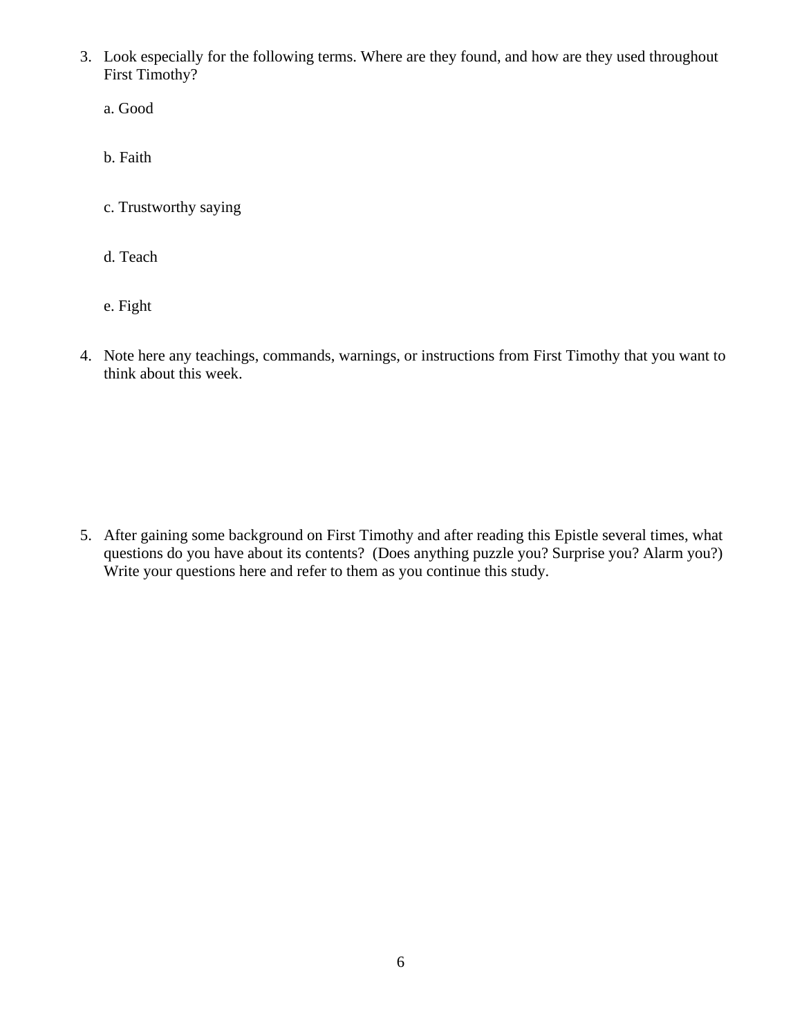- 3. Look especially for the following terms. Where are they found, and how are they used throughout First Timothy?
	- a. Good
	- b. Faith
	- c. Trustworthy saying
	- d. Teach
	- e. Fight
- 4. Note here any teachings, commands, warnings, or instructions from First Timothy that you want to think about this week.

5. After gaining some [background on First](http://www.crossbooks.com/book.asp?pub=0&book=355&sec=00033620#link1259) Timothy and after reading this Epistle several times, what questions do you have about its contents? (Does anything puzzle you? Surprise you? Alarm you?) Write your questions here and refer to them as you continue this study.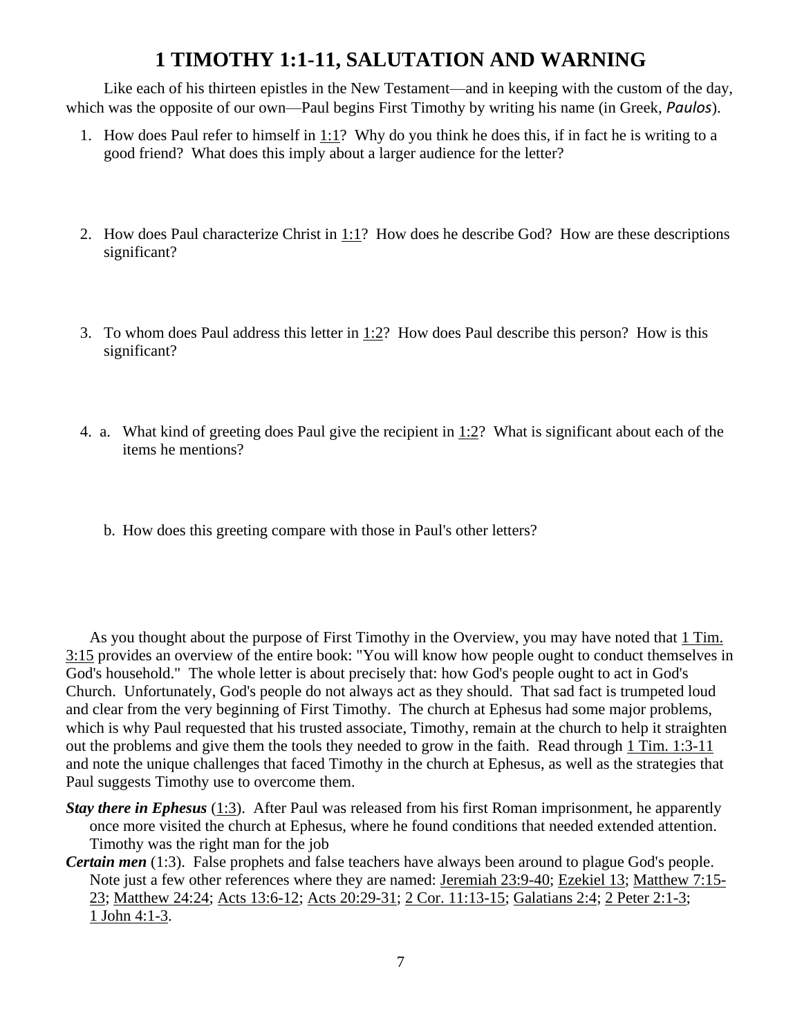# **[1 TIMOTHY 1:1-11,](http://www.crossbooks.com/verse.asp?ref=1Ti+1%3A3-11) SALUTATION AND WARNING**

Like each of his thirteen epistles in the New Testament—and in keeping with the custom of the day, which was the opposite of our own—Paul begins First Timothy by writing his name (in Greek, *Paulos*).

- 1. How does Paul refer to himself in  $1:1$ ? Why do you think he does this, if in fact he is writing to a good friend? What does this imply about a larger audience for the letter?
- 2. How does Paul characterize Christ in [1:1?](http://www.crossbooks.com/verse.asp?ref=1Ti+1%3A1) How does he describe God? How are these descriptions significant?
- 3. To whom does Paul address this letter in [1:2?](http://www.crossbooks.com/verse.asp?ref=1Ti+1%3A2) How does Paul describe this person? How is this significant?
- 4. a. What kind of greeting does Paul give the recipient in [1:2?](http://www.crossbooks.com/verse.asp?ref=1Ti+1%3A2) What is significant about each of the items he mentions?
	- b. How does this greeting compare with those in Paul's other letters?

As you thought about the purpose of First Timothy in the Overview, you may have noted that 1 [Tim.](http://www.crossbooks.com/verse.asp?ref=1Ti+3%3A15)  [3:15](http://www.crossbooks.com/verse.asp?ref=1Ti+3%3A15) provides an overview of the entire book: "You will know how people ought to conduct themselves in God's household." The whole letter is about precisely that: how God's people ought to act in God's Church. Unfortunately, God's people do not always act as they should. That sad fact is trumpeted loud and clear from the very beginning of First Timothy. The church at Ephesus had some major problems, which is why Paul requested that his trusted associate, Timothy, remain at the church to help it straighten out the problems and give them the tools they needed to grow in the faith. Read through 1 [Tim. 1:3-11](http://www.crossbooks.com/verse.asp?ref=1Ti+1%3A3-11) and note the unique challenges that faced Timothy in the church at Ephesus, as well as the strategies that Paul suggests Timothy use to overcome them.

- *Stay there in Ephesus* [\(1:3\)](http://www.crossbooks.com/verse.asp?ref=1Ti+1%3A3). After Paul was released from his first Roman imprisonment, he apparently once more visited the church at Ephesus, where he found conditions that needed extended attention. Timothy was the right man for the job
- *Certain men* (1:3). False prophets and false teachers have always been around to plague God's people. Note just a few other references where they are named: [Jeremiah 23:9-40;](http://www.crossbooks.com/verse.asp?ref=Jer+23%3A9-40) [Ezekiel 13;](http://www.crossbooks.com/verse.asp?ref=Eze+13) [Matthew 7:15-](http://www.crossbooks.com/verse.asp?ref=Mt+7%3A15-23) [23;](http://www.crossbooks.com/verse.asp?ref=Mt+7%3A15-23) [Matthew 24:24;](http://www.crossbooks.com/verse.asp?ref=Mt+24%3A24) [Acts 13:6-12;](http://www.crossbooks.com/verse.asp?ref=Ac+13%3A6-12) [Acts 20:29-31;](http://www.crossbooks.com/verse.asp?ref=Ac+20%3A29-31) 2 [Cor. 11:13-15;](http://www.crossbooks.com/verse.asp?ref=2Co+11%3A13-15) [Galatians 2:4;](http://www.crossbooks.com/verse.asp?ref=Gal+2%3A4) 2 [Peter 2:1-3;](http://www.crossbooks.com/verse.asp?ref=2Pe+2%3A1-3) 1 [John 4:1-3.](http://www.crossbooks.com/verse.asp?ref=1Jn+4%3A1-3)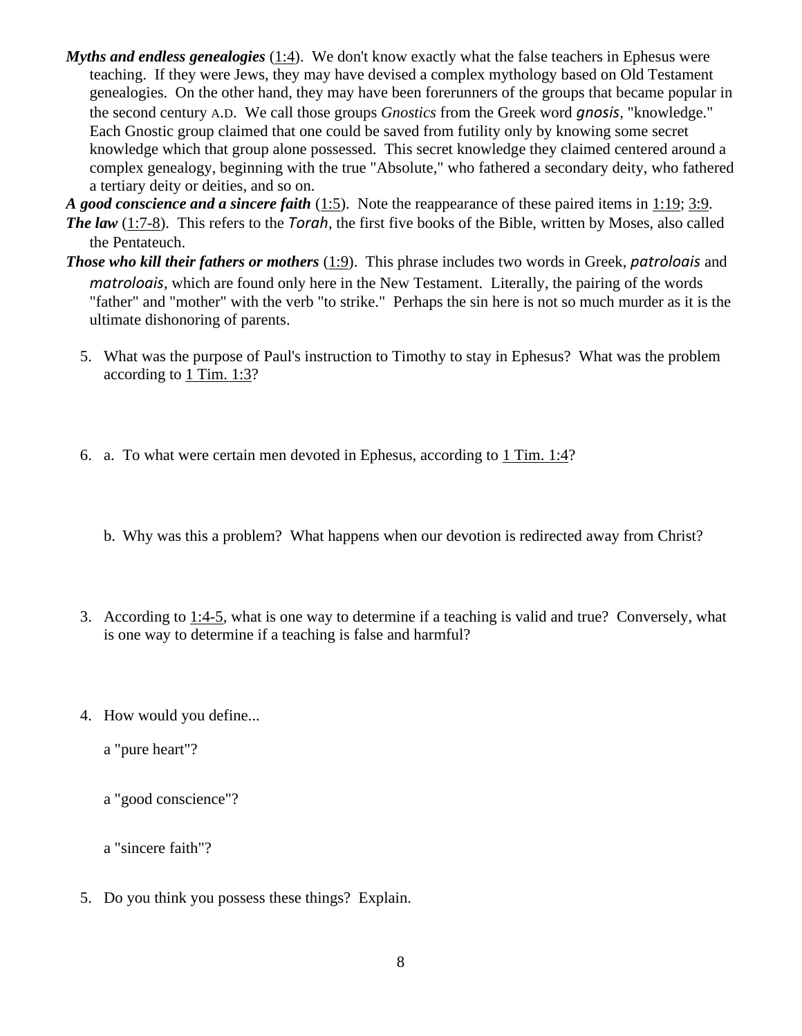- *Myths and endless genealogies* [\(1:4\)](http://www.crossbooks.com/verse.asp?ref=1Ti+1%3A4). We don't know exactly what the false teachers in Ephesus were teaching. If they were Jews, they may have devised a complex mythology based on Old Testament genealogies. On the other hand, they may have been forerunners of the groups that became popular in the second century A.D. We call those groups *Gnostics* from the Greek word *gnosis*, "knowledge." Each Gnostic group claimed that one could be saved from futility only by knowing some secret knowledge which that group alone possessed. This secret knowledge they claimed centered around a complex genealogy, beginning with the true "Absolute," who fathered a secondary deity, who fathered a tertiary deity or deities, and so on.
- *A good conscience and a sincere faith* [\(1:5\)](http://www.crossbooks.com/verse.asp?ref=1Ti+1%3A5). Note the reappearance of these paired items in [1:19;](http://www.crossbooks.com/verse.asp?ref=1Ti+1%3A19) [3:9.](http://www.crossbooks.com/verse.asp?ref=1Ti+3%3A9) *The law* [\(1:7-8\)](http://www.crossbooks.com/verse.asp?ref=1Ti+1%3A7-8). This refers to the *Torah*, the first five books of the Bible, written by Moses, also called the Pentateuch.
- *Those who kill their fathers or mothers* [\(1:9\)](http://www.crossbooks.com/verse.asp?ref=1Ti+1%3A9). This phrase includes two words in Greek, *patroloais* and *matroloais*, which are found only here in the New Testament. Literally, the pairing of the words "father" and "mother" with the verb "to strike." Perhaps the sin here is not so much murder as it is the ultimate dishonoring of parents.
	- 5. What was the purpose of Paul's instruction to Timothy to stay in Ephesus? What was the problem according to 1 Tim. 1:3?
	- 6. a. To what were certain men devoted in Ephesus, according to 1 [Tim. 1:4?](http://www.crossbooks.com/verse.asp?ref=1Ti+1%3A4)
		- b. Why was this a problem? What happens when our devotion is redirected away from Christ?
	- 3. According to [1:4-5,](http://www.crossbooks.com/verse.asp?ref=1Ti+1%3A4-5) what is one way to determine if a teaching is valid and true? Conversely, what is one way to determine if a teaching is false and harmful?
	- 4. How would you define...
		- a "pure heart"?
		- a "good conscience"?
		- a "sincere faith"?
	- 5. Do you think you possess these things? Explain.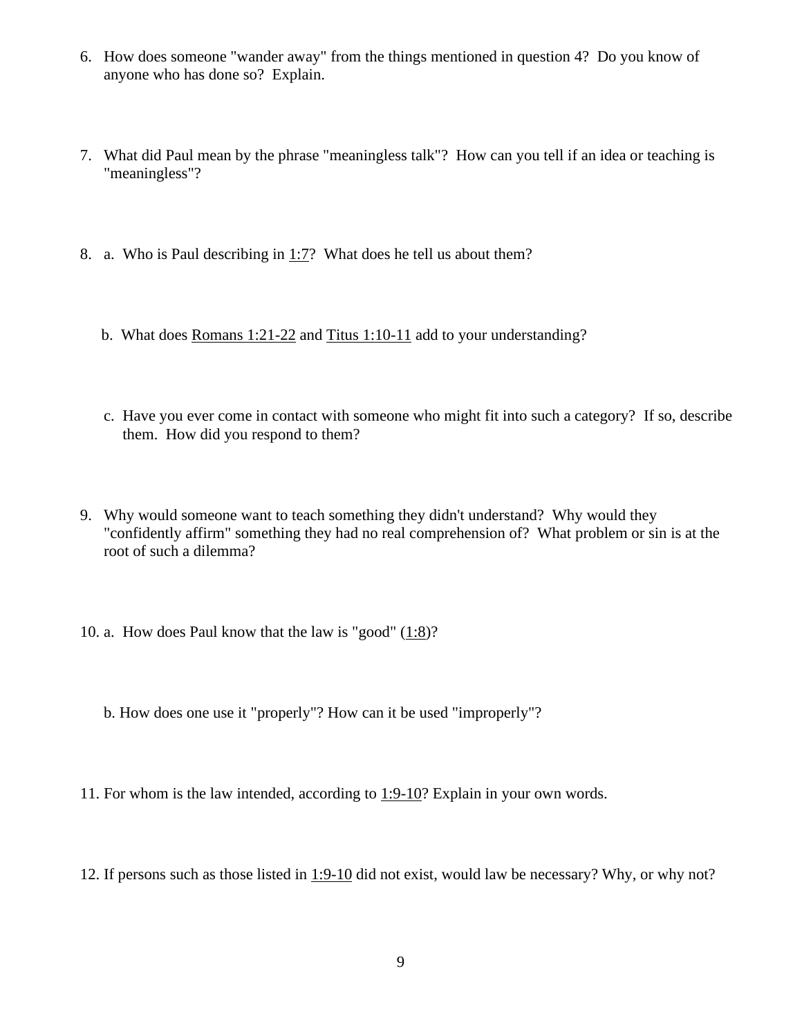- 6. How does someone "wander away" from the things mentioned in question 4? Do you know of anyone who has done so? Explain.
- 7. What did Paul mean by the phrase "meaningless talk"? How can you tell if an idea or teaching is "meaningless"?
- 8. a. Who is Paul describing in  $1:7$ ? What does he tell us about them?
	- b. What does Romans 1:21-22 and Titus 1:10-11 add to your understanding?
	- c. Have you ever come in contact with someone who might fit into such a category? If so, describe them. How did you respond to them?
- 9. Why would someone want to teach something they didn't understand? Why would they "confidently affirm" something they had no real comprehension of? What problem or sin is at the root of such a dilemma?
- 10. a. How does Paul know that the law is "good" [\(1:8\)](http://www.crossbooks.com/verse.asp?ref=1Ti+1%3A8)?
	- b. How does one use it "properly"? How can it be used "improperly"?
- 11. For whom is the law intended, according to [1:9-10?](http://www.crossbooks.com/verse.asp?ref=1Ti+1%3A9-10) Explain in your own words.
- 12. If persons such as those listed in [1:9-10](http://www.crossbooks.com/verse.asp?ref=1Ti+1%3A9-10) did not exist, would law be necessary? Why, or why not?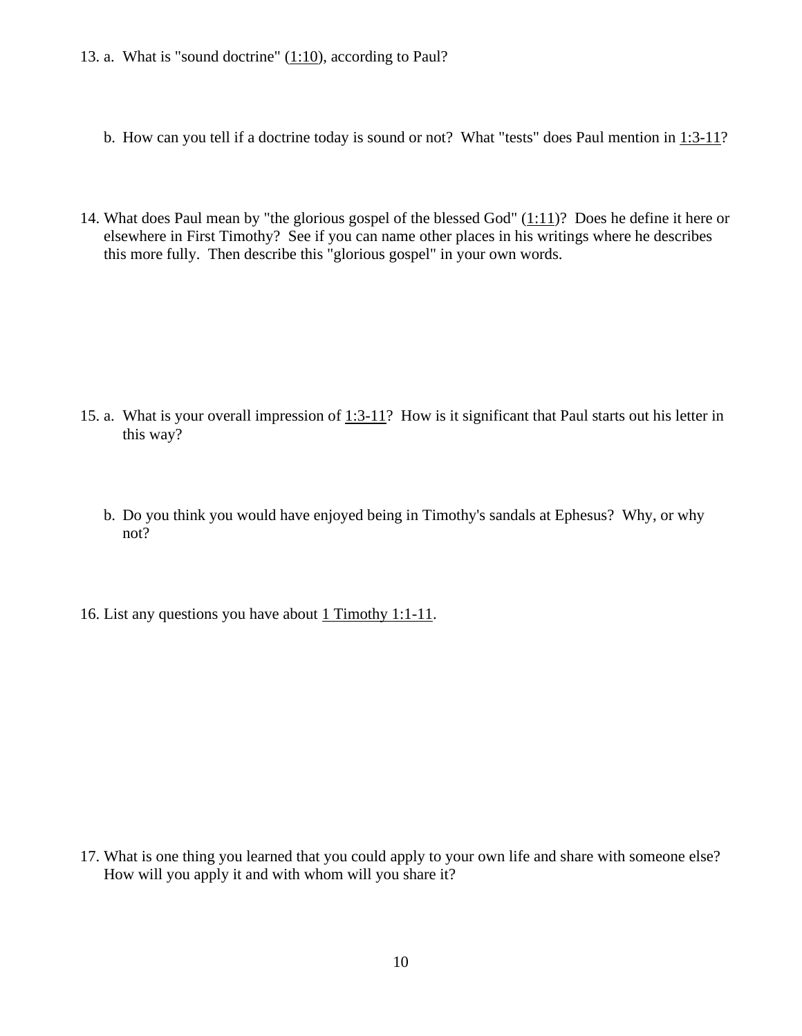- 13. a. What is "sound doctrine"  $(1:10)$ , according to Paul?
	- b. How can you tell if a doctrine today is sound or not? What "tests" does Paul mention in [1:3-11?](http://www.crossbooks.com/verse.asp?ref=1Ti+1%3A3-11)
- 14. What does Paul mean by "the glorious gospel of the blessed God" [\(1:11\)](http://www.crossbooks.com/verse.asp?ref=1Ti+1%3A11)? Does he define it here or elsewhere in First Timothy? See if you can name other places in his writings where he describes this more fully. Then describe this "glorious gospel" in your own words.

- 15. a. What is your overall impression of  $1:3-11$ ? How is it significant that Paul starts out his letter in this way?
	- b. Do you think you would have enjoyed being in Timothy's sandals at Ephesus? Why, or why not?
- 16. List any questions you have about 1 Timothy 1:1-11.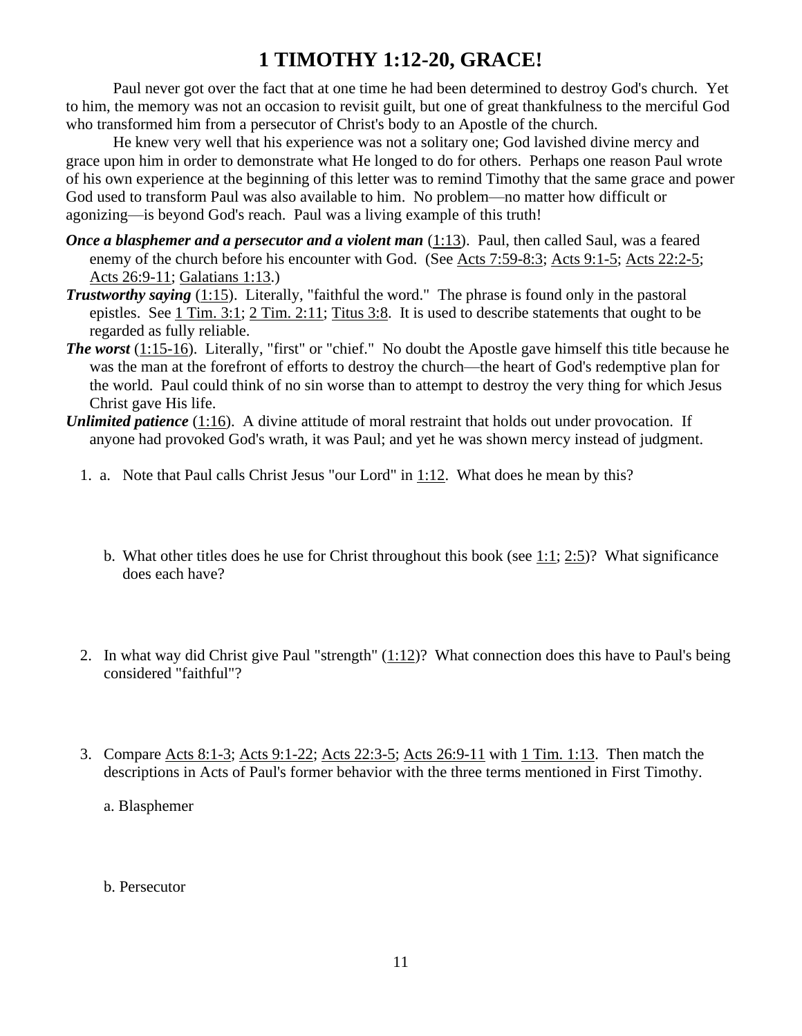# **1 TIMOTHY 1:12-20, GRACE!**

Paul never got over the fact that at one time he had been determined to destroy God's church. Yet to him, the memory was not an occasion to revisit guilt, but one of great thankfulness to the merciful God who transformed him from a persecutor of Christ's body to an Apostle of the church.

He knew very well that his experience was not a solitary one; God lavished divine mercy and grace upon him in order to demonstrate what He longed to do for others. Perhaps one reason Paul wrote of his own experience at the beginning of this letter was to remind Timothy that the same grace and power God used to transform Paul was also available to him. No problem—no matter how difficult or agonizing—is beyond God's reach. Paul was a living example of this truth!

- *Once a blasphemer and a persecutor and a violent man [\(1:13\)](http://www.crossbooks.com/verse.asp?ref=1Ti+1%3A13). Paul, then called Saul, was a feared* enemy of the church before his encounter with God. (See [Acts 7:59-8:3;](http://www.crossbooks.com/verse.asp?ref=Ac+7%3A59-8%3A3) [Acts 9:1-5;](http://www.crossbooks.com/verse.asp?ref=Ac+9%3A1-5) [Acts 22:2-5;](http://www.crossbooks.com/verse.asp?ref=Ac+22%3A2-5) [Acts 26:9-11;](http://www.crossbooks.com/verse.asp?ref=Ac+26%3A9-11) [Galatians 1:13.](http://www.crossbooks.com/verse.asp?ref=Gal+1%3A13))
- *Trustworthy saying* [\(1:15\)](http://www.crossbooks.com/verse.asp?ref=1Ti+1%3A15). Literally, "faithful the word." The phrase is found only in the pastoral epistles. See 1 [Tim. 3:1;](http://www.crossbooks.com/verse.asp?ref=1Ti+3%3A1) 2 [Tim. 2:11;](http://www.crossbooks.com/verse.asp?ref=2Ti+2%3A11) [Titus 3:8.](http://www.crossbooks.com/verse.asp?ref=Tit+3%3A8) It is used to describe statements that ought to be regarded as fully reliable.
- *The worst* [\(1:15-16\)](http://www.crossbooks.com/verse.asp?ref=1Ti+1%3A15-16). Literally, "first" or "chief." No doubt the Apostle gave himself this title because he was the man at the forefront of efforts to destroy the church—the heart of God's redemptive plan for the world. Paul could think of no sin worse than to attempt to destroy the very thing for which Jesus Christ gave His life.
- *Unlimited patience* [\(1:16\)](http://www.crossbooks.com/verse.asp?ref=1Ti+1%3A16). A divine attitude of moral restraint that holds out under provocation. If anyone had provoked God's wrath, it was Paul; and yet he was shown mercy instead of judgment.
	- 1. a. Note that Paul calls Christ Jesus "our Lord" in [1:12.](http://www.crossbooks.com/verse.asp?ref=1Ti+1%3A12) What does he mean by this?
		- b. What other titles does he use for Christ throughout this book (see [1:1;](http://www.crossbooks.com/verse.asp?ref=1Ti+1%3A1) [2:5\)](http://www.crossbooks.com/verse.asp?ref=1Ti+2%3A5)? What significance does each have?
	- 2. In what way did Christ give Paul "strength" [\(1:12\)](http://www.crossbooks.com/verse.asp?ref=1Ti+1%3A12)? What connection does this have to Paul's being considered "faithful"?
	- 3. Compare [Acts 8:1-3;](http://www.crossbooks.com/verse.asp?ref=Ac+8%3A1-3) [Acts 9:1-22;](http://www.crossbooks.com/verse.asp?ref=Ac+9%3A1-22) [Acts 22:3-5;](http://www.crossbooks.com/verse.asp?ref=Ac+22%3A3-5) [Acts 26:9-11](http://www.crossbooks.com/verse.asp?ref=Ac+26%3A9-11) with 1 [Tim. 1:13.](http://www.crossbooks.com/verse.asp?ref=1Ti+1%3A13) Then match the descriptions in Acts of Paul's former behavior with the three terms mentioned in First Timothy.
		- a. Blasphemer
		- b. Persecutor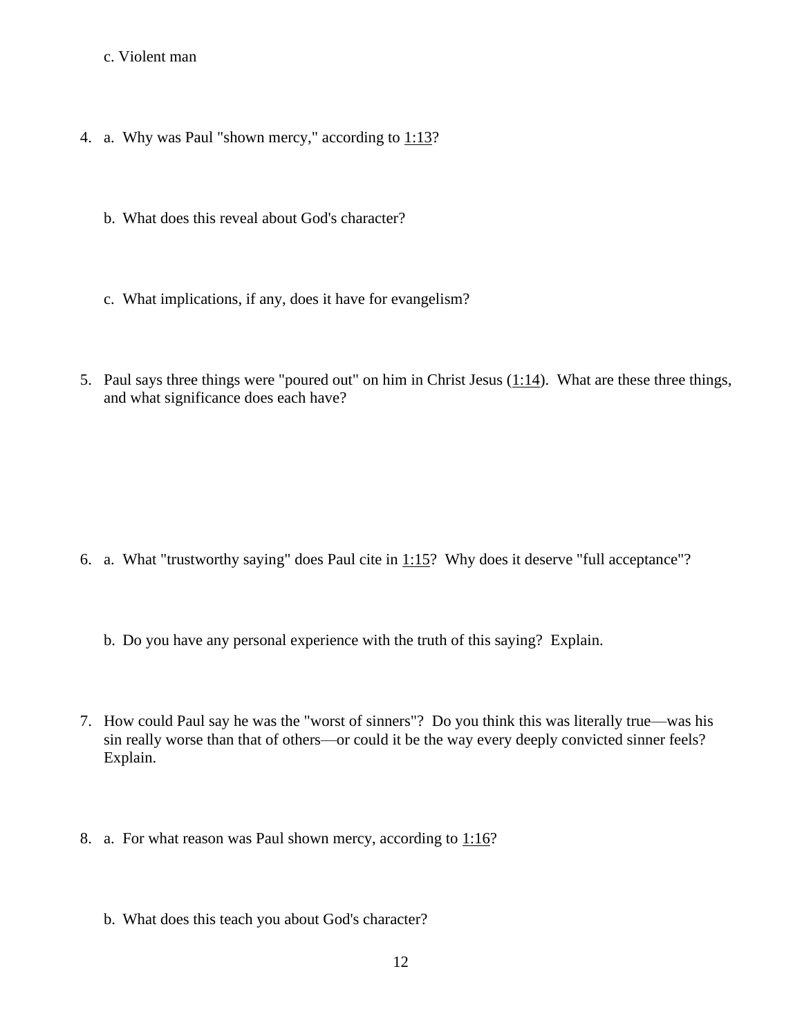#### c. Violent man

- 4. a. Why was Paul "shown mercy," according to [1:13?](http://www.crossbooks.com/verse.asp?ref=1Ti+1%3A13)
	- b. What does this reveal about God's character?
	- c. What implications, if any, does it have for evangelism?
- 5. Paul says three things were "poured out" on him in Christ Jesus  $(1:14)$ . What are these three things, and what significance does each have?

- 6. a. What "trustworthy saying" does Paul cite in  $1:15$ ? Why does it deserve "full acceptance"?
	- b. Do you have any personal experience with the truth of this saying? Explain.
- 7. How could Paul say he was the "worst of sinners"? Do you think this was literally true—was his sin really worse than that of others—or could it be the way every deeply convicted sinner feels? Explain.
- 8. a. For what reason was Paul shown mercy, according to [1:16?](http://www.crossbooks.com/verse.asp?ref=1Ti+1%3A16)
	- b. What does this teach you about God's character?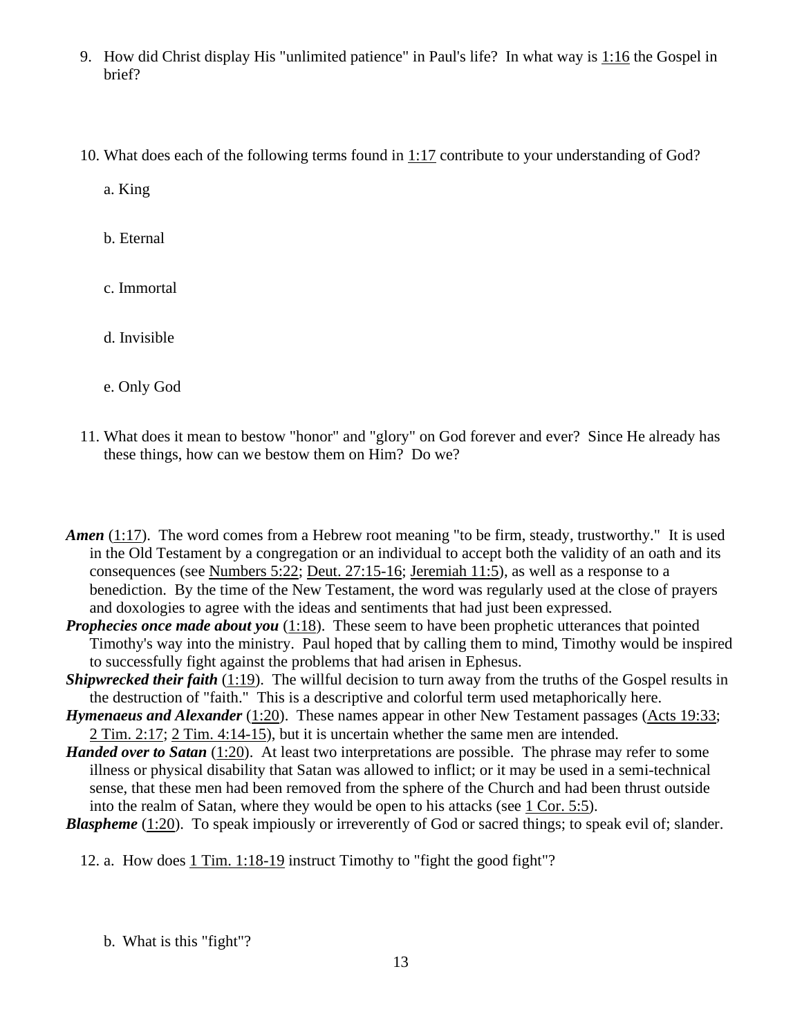- 9. How did Christ display His "unlimited patience" in Paul's life? In what way is [1:16](http://www.crossbooks.com/verse.asp?ref=1Ti+1%3A16) the Gospel in brief?
- 10. What does each of the following terms found in [1:17](http://www.crossbooks.com/verse.asp?ref=1Ti+1%3A17) contribute to your understanding of God?

a. King

b. Eternal

c. Immortal

d. Invisible

e. Only God

11. What does it mean to bestow "honor" and "glory" on God forever and ever? Since He already has these things, how can we bestow them on Him? Do we?

*Amen* [\(1:17\)](http://www.crossbooks.com/verse.asp?ref=1Ti+1%3A17). The word comes from a Hebrew root meaning "to be firm, steady, trustworthy." It is used in the Old Testament by a congregation or an individual to accept both the validity of an oath and its consequences (see [Numbers 5:22;](http://www.crossbooks.com/verse.asp?ref=Nu+5%3A22) [Deut. 27:15-16;](http://www.crossbooks.com/verse.asp?ref=Dt+27%3A15-16) [Jeremiah 11:5\)](http://www.crossbooks.com/verse.asp?ref=Jer+11%3A5), as well as a response to a benediction. By the time of the New Testament, the word was regularly used at the close of prayers and doxologies to agree with the ideas and sentiments that had just been expressed.

*Prophecies once made about you* [\(1:18\)](http://www.crossbooks.com/verse.asp?ref=1Ti+1%3A18). These seem to have been prophetic utterances that pointed Timothy's way into the ministry. Paul hoped that by calling them to mind, Timothy would be inspired to successfully fight against the problems that had arisen in Ephesus.

*Shipwrecked their faith* [\(1:19\)](http://www.crossbooks.com/verse.asp?ref=1Ti+1%3A19). The willful decision to turn away from the truths of the Gospel results in the destruction of "faith." This is a descriptive and colorful term used metaphorically here.

*Hymenaeus and Alexander* [\(1:20\)](http://www.crossbooks.com/verse.asp?ref=1Ti+1%3A20). These names appear in other New Testament passages [\(Acts 19:33;](http://www.crossbooks.com/verse.asp?ref=Ac+19%3A33) 2 [Tim. 2:17;](http://www.crossbooks.com/verse.asp?ref=2Ti+2%3A17) 2 [Tim. 4:14-15\)](http://www.crossbooks.com/verse.asp?ref=2Ti+4%3A14-15), but it is uncertain whether the same men are intended.

- *Handed over to Satan* [\(1:20\)](http://www.crossbooks.com/verse.asp?ref=1Ti+1%3A20). At least two interpretations are possible. The phrase may refer to some illness or physical disability that Satan was allowed to inflict; or it may be used in a semi-technical sense, that these men had been removed from the sphere of the Church and had been thrust outside into the realm of Satan, where they would be open to his attacks (see 1 [Cor. 5:5\)](http://www.crossbooks.com/verse.asp?ref=1Co+5%3A5).
- *Blaspheme* [\(1:20\)](http://www.crossbooks.com/verse.asp?ref=1Ti+1%3A20). To speak impiously or irreverently of God or sacred things; to speak evil of; slander.

12. a. How does 1 [Tim. 1:18-19](http://www.crossbooks.com/verse.asp?ref=1Ti+1%3A18-19) instruct Timothy to "fight the good fight"?

b. What is this "fight"?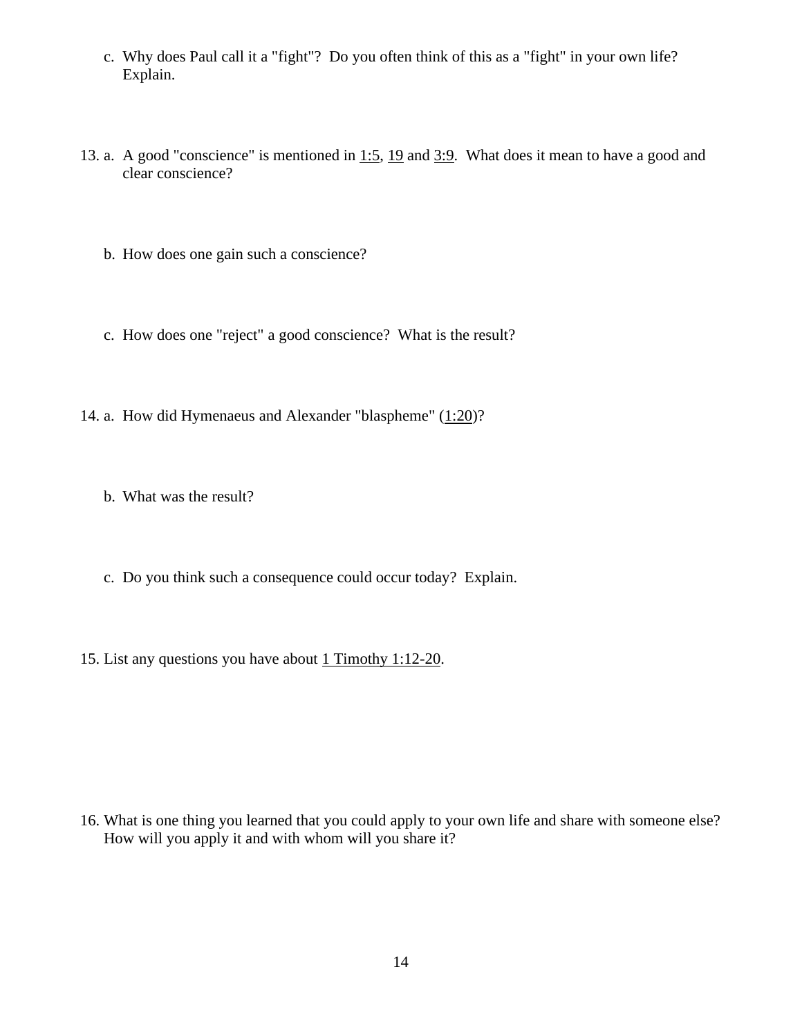- c. Why does Paul call it a "fight"? Do you often think of this as a "fight" in your own life? Explain.
- 13. a. A good "conscience" is mentioned in [1:5,](http://www.crossbooks.com/verse.asp?ref=1Ti+1%3A5) [19](http://www.crossbooks.com/verse.asp?ref=1Ti+1%3A19) and [3:9.](http://www.crossbooks.com/verse.asp?ref=1Ti+3%3A9) What does it mean to have a good and clear conscience?
	- b. How does one gain such a conscience?
	- c. How does one "reject" a good conscience? What is the result?
- 14. a. How did Hymenaeus and Alexander "blaspheme" [\(1:20\)](http://www.crossbooks.com/verse.asp?ref=1Ti+1%3A20)?
	- b. What was the result?
	- c. Do you think such a consequence could occur today? Explain.
- 15. List any questions you have about 1 Timothy [1:12-20.](http://www.crossbooks.com/verse.asp?ref=2Ti+3%3A10-17)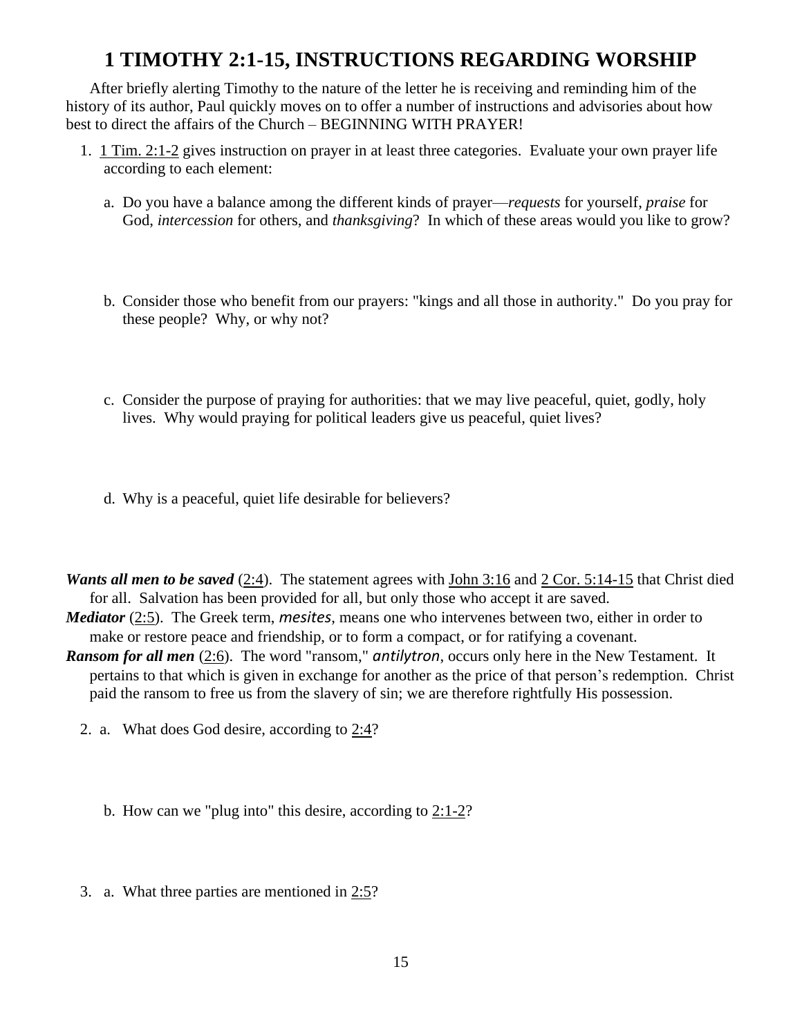# **1 TIMOTHY 2:1-15, INSTRUCTIONS REGARDING WORSHIP**

After briefly alerting Timothy to the nature of the letter he is receiving and reminding him of the history of its author, Paul quickly moves on to offer a number of instructions and advisories about how best to direct the affairs of the Church – BEGINNING WITH PRAYER!

- 1. 1 [Tim. 2:1-2](http://www.crossbooks.com/verse.asp?ref=1Ti+2%3A1-2) gives instruction on prayer in at least three categories. Evaluate your own prayer life according to each element:
	- a. Do you have a balance among the different kinds of prayer—*requests* for yourself, *praise* for God, *intercession* for others, and *thanksgiving*? In which of these areas would you like to grow?
	- b. Consider those who benefit from our prayers: "kings and all those in authority." Do you pray for these people? Why, or why not?
	- c. Consider the purpose of praying for authorities: that we may live peaceful, quiet, godly, holy lives. Why would praying for political leaders give us peaceful, quiet lives?
	- d. Why is a peaceful, quiet life desirable for believers?

*Wants all men to be saved* [\(2:4\)](http://www.crossbooks.com/verse.asp?ref=1Ti+2%3A4). The statement agrees with [John 3:16](http://www.crossbooks.com/verse.asp?ref=Jn+3%3A16) and 2 [Cor. 5:14-15](http://www.crossbooks.com/verse.asp?ref=2Co+5%3A14-15) that Christ died for all. Salvation has been provided for all, but only those who accept it are saved.

*Mediator* [\(2:5\)](http://www.crossbooks.com/verse.asp?ref=1Ti+2%3A5). The Greek term, *mesites*, means one who intervenes between two, either in order to make or restore peace and friendship, or to form a compact, or for ratifying a covenant.

*Ransom for all men* [\(2:6\)](http://www.crossbooks.com/verse.asp?ref=1Ti+2%3A6). The word "ransom," *antilytron*, occurs only here in the New Testament. It pertains to that which is given in exchange for another as the price of that person's redemption. Christ paid the ransom to free us from the slavery of sin; we are therefore rightfully His possession.

- 2. a. What does God desire, according to [2:4?](http://www.crossbooks.com/verse.asp?ref=1Ti+2%3A4)
	- b. How can we "plug into" this desire, according to [2:1-2?](http://www.crossbooks.com/verse.asp?ref=1Ti+2%3A1-2)
- 3. a. What three parties are mentioned in  $2:5$ ?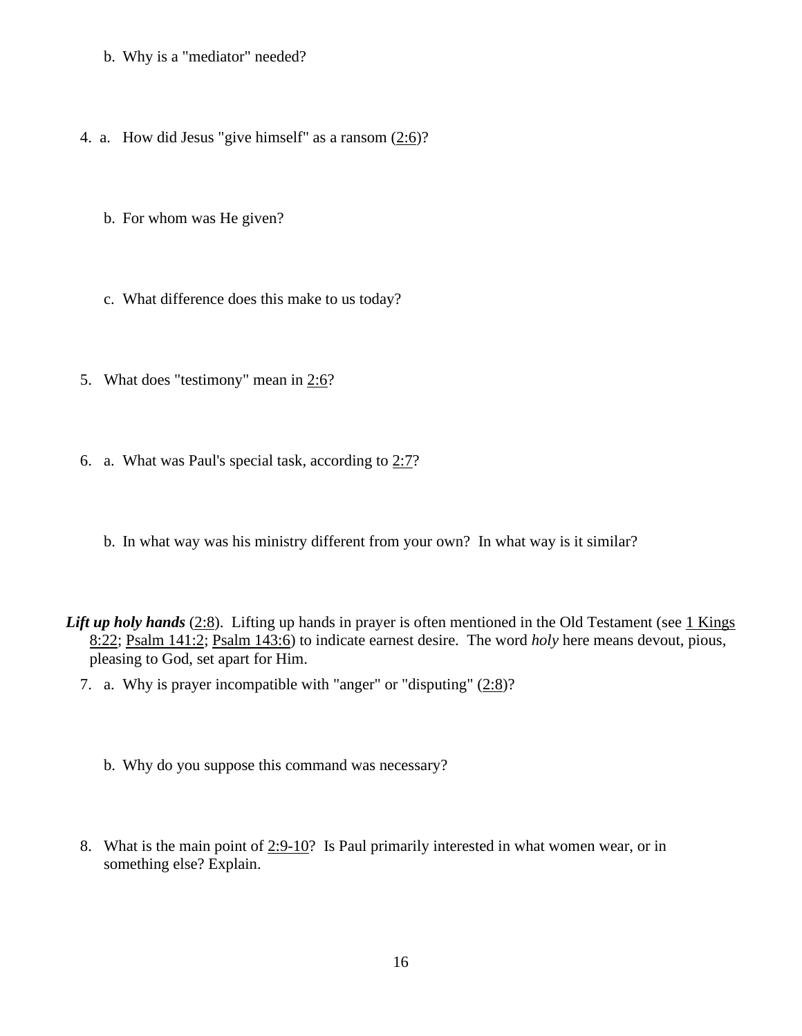- b. Why is a "mediator" needed?
- 4. a. How did Jesus "give himself" as a ransom [\(2:6\)](http://www.crossbooks.com/verse.asp?ref=1Ti+2%3A6)?
	- b. For whom was He given?
	- c. What difference does this make to us today?
- 5. What does "testimony" mean in [2:6?](http://www.crossbooks.com/verse.asp?ref=1Ti+2%3A6)
- 6. a. What was Paul's special task, according to  $2:7$ ?
	- b. In what way was his ministry different from your own? In what way is it similar?
- *Lift up holy hands* [\(2:8\)](http://www.crossbooks.com/verse.asp?ref=1Ti+2%3A8). Lifting up hands in prayer is often mentioned in the Old Testament (see 1 Kings [8:22;](http://www.crossbooks.com/verse.asp?ref=1Ki+8%3A22) [Psalm 141:2;](http://www.crossbooks.com/verse.asp?ref=Ps+141%3A2) [Psalm 143:6\)](http://www.crossbooks.com/verse.asp?ref=Ps+143%3A6) to indicate earnest desire. The word *holy* here means devout, pious, pleasing to God, set apart for Him.
	- 7. a. Why is prayer incompatible with "anger" or "disputing"  $(2.8)$ ?
		- b. Why do you suppose this command was necessary?
	- 8. What is the main point of  $2:9-10$ ? Is Paul primarily interested in what women wear, or in something else? Explain.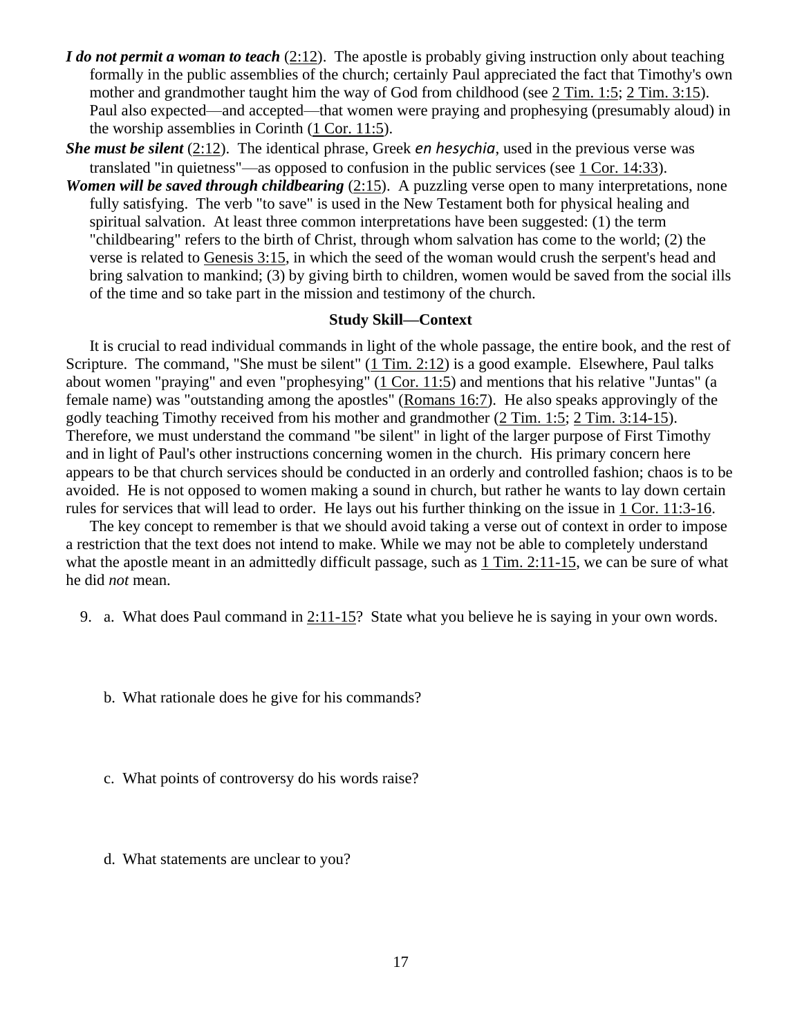- *I do not permit a woman to teach* [\(2:12\)](http://www.crossbooks.com/verse.asp?ref=1Ti+2%3A12). The apostle is probably giving instruction only about teaching formally in the public assemblies of the church; certainly Paul appreciated the fact that Timothy's own mother and grandmother taught him the way of God from childhood (see 2 [Tim. 1:5;](http://www.crossbooks.com/verse.asp?ref=2Ti+1%3A5) 2 [Tim. 3:15\)](http://www.crossbooks.com/verse.asp?ref=2Ti+3%3A15). Paul also expected—and accepted—that women were praying and prophesying (presumably aloud) in the worship assemblies in Corinth  $(1$  [Cor. 11:5\)](http://www.crossbooks.com/verse.asp?ref=1Co+11%3A5).
- *She must be silent* [\(2:12\)](http://www.crossbooks.com/verse.asp?ref=1Ti+2%3A12). The identical phrase, Greek *en hesychia*, used in the previous verse was translated "in quietness"—as opposed to confusion in the public services (see 1 [Cor. 14:33\)](http://www.crossbooks.com/verse.asp?ref=1Co+14%3A33).
- *Women will be saved through childbearing* [\(2:15\)](http://www.crossbooks.com/verse.asp?ref=1Ti+2%3A15). A puzzling verse open to many interpretations, none fully satisfying. The verb "to save" is used in the New Testament both for physical healing and spiritual salvation. At least three common interpretations have been suggested: (1) the term "childbearing" refers to the birth of Christ, through whom salvation has come to the world; (2) the verse is related to [Genesis 3:15,](http://www.crossbooks.com/verse.asp?ref=Ge+3%3A15) in which the seed of the woman would crush the serpent's head and bring salvation to mankind; (3) by giving birth to children, women would be saved from the social ills of the time and so take part in the mission and testimony of the church.

#### **Study Skill—Context**

It is crucial to read individual commands in light of the whole passage, the entire book, and the rest of Scripture. The command, "She must be silent" (1 [Tim. 2:12\)](http://www.crossbooks.com/verse.asp?ref=1Ti+2%3A12) is a good example. Elsewhere, Paul talks about women "praying" and even "prophesying" (1 [Cor. 11:5\)](http://www.crossbooks.com/verse.asp?ref=1Co+11%3A5) and mentions that his relative "Juntas" (a female name) was "outstanding among the apostles" [\(Romans 16:7\)](http://www.crossbooks.com/verse.asp?ref=Ro+16%3A7). He also speaks approvingly of the godly teaching Timothy received from his mother and grandmother (2 [Tim. 1:5;](http://www.crossbooks.com/verse.asp?ref=2Ti+1%3A5) 2 [Tim. 3:14-15\)](http://www.crossbooks.com/verse.asp?ref=2Ti+3%3A14-15). Therefore, we must understand the command "be silent" in light of the larger purpose of First Timothy and in light of Paul's other instructions concerning women in the church. His primary concern here appears to be that church services should be conducted in an orderly and controlled fashion; chaos is to be avoided. He is not opposed to women making a sound in church, but rather he wants to lay down certain rules for services that will lead to order. He lays out his further thinking on the issue in 1 [Cor. 11:3-16.](http://www.crossbooks.com/verse.asp?ref=1Co+11%3A3-16)

The key concept to remember is that we should avoid taking a verse out of context in order to impose a restriction that the text does not intend to make. While we may not be able to completely understand what the apostle meant in an admittedly difficult passage, such as 1 [Tim. 2:11-15,](http://www.crossbooks.com/verse.asp?ref=1Ti+2%3A11-15) we can be sure of what he did *not* mean.

9. a. What does Paul command in [2:11-15?](http://www.crossbooks.com/verse.asp?ref=1Ti+2%3A11-15) State what you believe he is saying in your own words.

b. What rationale does he give for his commands?

- c. What points of controversy do his words raise?
- d. What statements are unclear to you?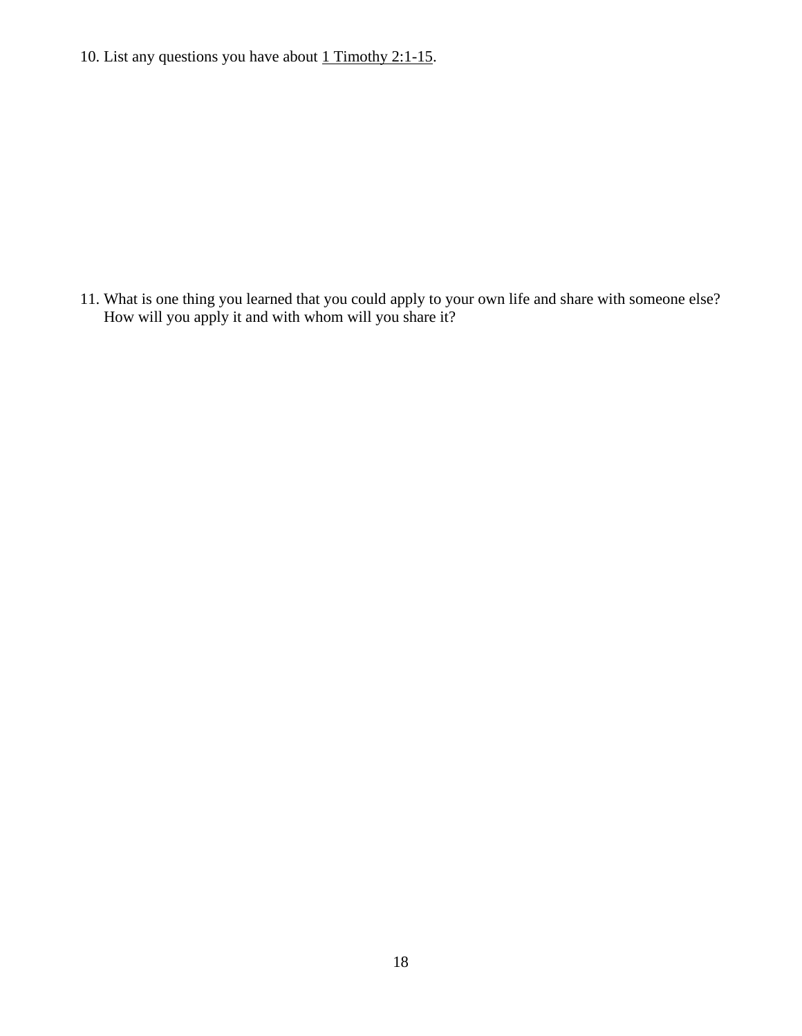10. List any questions you have about  $1$  Timothy 2:1-15.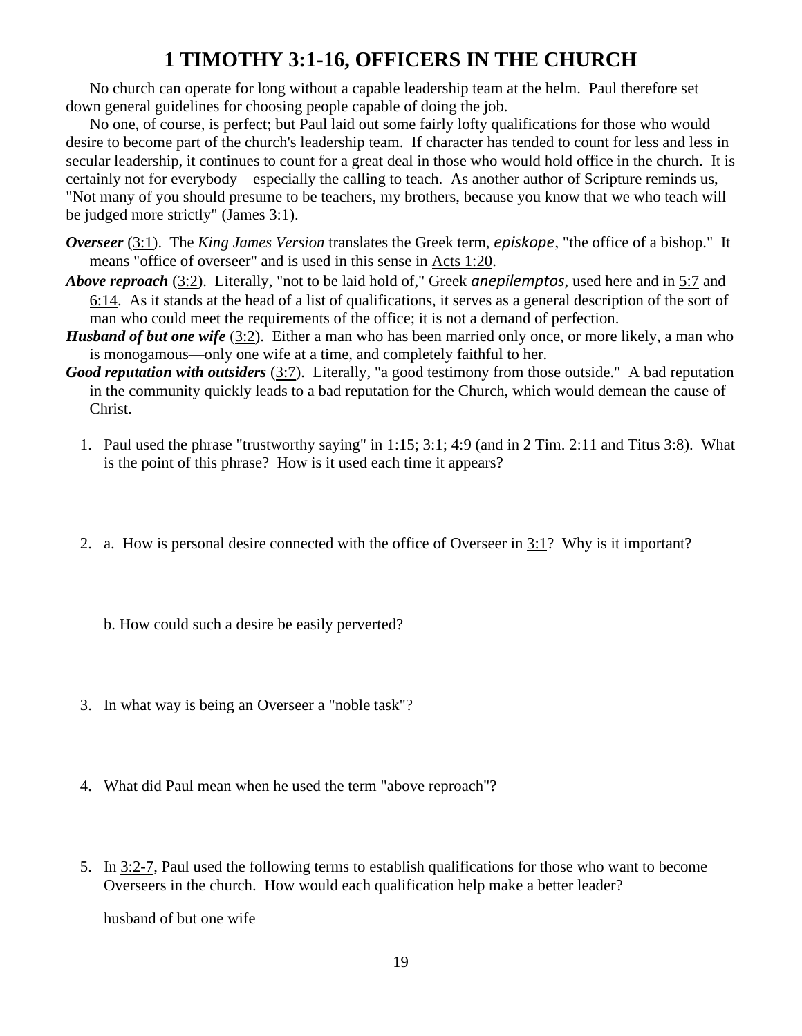# **1 TIMOTHY 3:1-16, OFFICERS IN THE CHURCH**

No church can operate for long without a capable leadership team at the helm. Paul therefore set down general guidelines for choosing people capable of doing the job.

No one, of course, is perfect; but Paul laid out some fairly lofty qualifications for those who would desire to become part of the church's leadership team. If character has tended to count for less and less in secular leadership, it continues to count for a great deal in those who would hold office in the church. It is certainly not for everybody—especially the calling to teach. As another author of Scripture reminds us, "Not many of you should presume to be teachers, my brothers, because you know that we who teach will be judged more strictly" [\(James 3:1\)](http://www.crossbooks.com/verse.asp?ref=Jas+3%3A1).

- *Overseer* [\(3:1\)](http://www.crossbooks.com/verse.asp?ref=1Ti+3%3A1). The *King James Version* translates the Greek term, *episkope*, "the office of a bishop." It means "office of overseer" and is used in this sense in [Acts 1:20.](http://www.crossbooks.com/verse.asp?ref=Ac+1%3A20)
- *Above reproach* [\(3:2\)](http://www.crossbooks.com/verse.asp?ref=1Ti+3%3A2). Literally, "not to be laid hold of," Greek *anepilemptos*, used here and in [5:7](http://www.crossbooks.com/verse.asp?ref=1Ti+5%3A7) and [6:14.](http://www.crossbooks.com/verse.asp?ref=1Ti+6%3A14) As it stands at the head of a list of qualifications, it serves as a general description of the sort of man who could meet the requirements of the office; it is not a demand of perfection.
- *Husband of but one wife* [\(3:2\)](http://www.crossbooks.com/verse.asp?ref=1Ti+3%3A2). Either a man who has been married only once, or more likely, a man who is monogamous—only one wife at a time, and completely faithful to her.
- *Good reputation with outsiders* [\(3:7\)](http://www.crossbooks.com/verse.asp?ref=1Ti+3%3A7). Literally, "a good testimony from those outside." A bad reputation in the community quickly leads to a bad reputation for the Church, which would demean the cause of Christ.
	- 1. Paul used the phrase "trustworthy saying" in [1:15;](http://www.crossbooks.com/verse.asp?ref=1Ti+1%3A15) [3:1;](http://www.crossbooks.com/verse.asp?ref=1Ti+3%3A1) [4:9](http://www.crossbooks.com/verse.asp?ref=1Ti+4%3A9) (and in 2 [Tim. 2:11](http://www.crossbooks.com/verse.asp?ref=2Ti+2%3A11) and [Titus 3:8\)](http://www.crossbooks.com/verse.asp?ref=Tit+3%3A8). What is the point of this phrase? How is it used each time it appears?
	- 2. a. How is personal desire connected with the office of Overseer in [3:1?](http://www.crossbooks.com/verse.asp?ref=1Ti+3%3A1) Why is it important?
		- b. How could such a desire be easily perverted?
	- 3. In what way is being an Overseer a "noble task"?
	- 4. What did Paul mean when he used the term "above reproach"?
	- 5. In 3:2-7, Paul used the following terms to establish qualifications for those who want to become Overseers in the church. How would each qualification help make a better leader?

husband of but one wife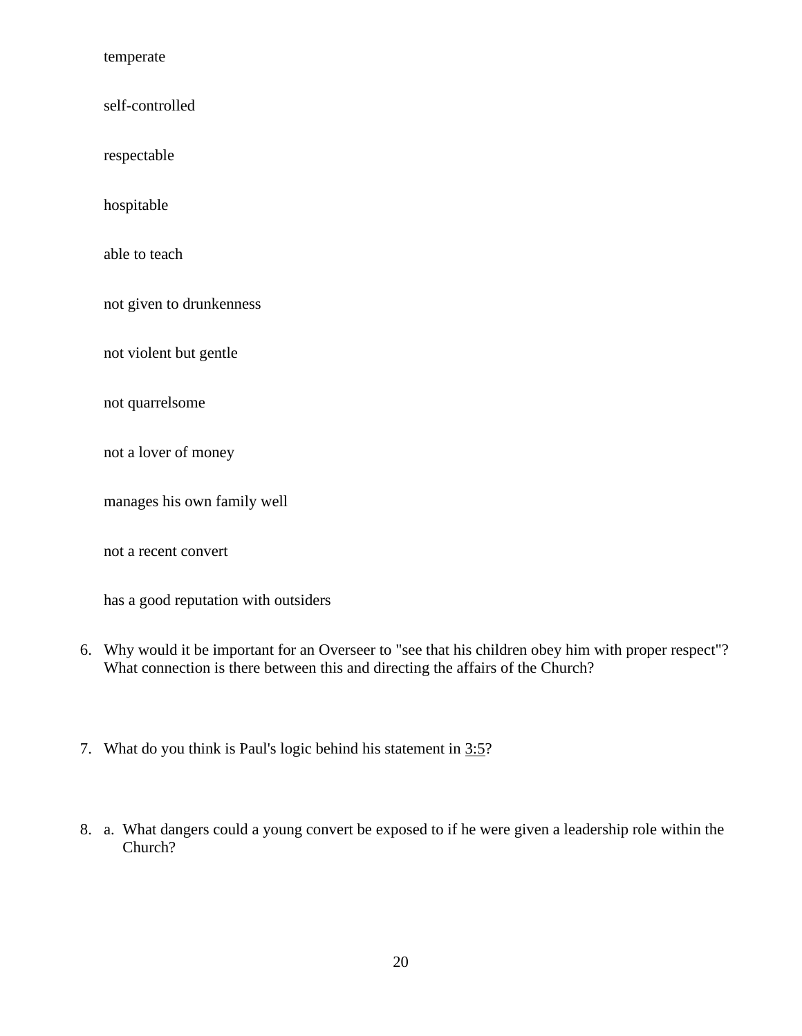temperate

self-controlled

respectable

hospitable

able to teach

not given to drunkenness

not violent but gentle

not quarrelsome

not a lover of money

manages his own family well

not a recent convert

has a good reputation with outsiders

- 6. Why would it be important for an Overseer to "see that his children obey him with proper respect"? What connection is there between this and directing the affairs of the Church?
- 7. What do you think is Paul's logic behind his statement in [3:5?](http://www.crossbooks.com/verse.asp?ref=1Ti+3%3A5)
- 8. a. What dangers could a young convert be exposed to if he were given a leadership role within the Church?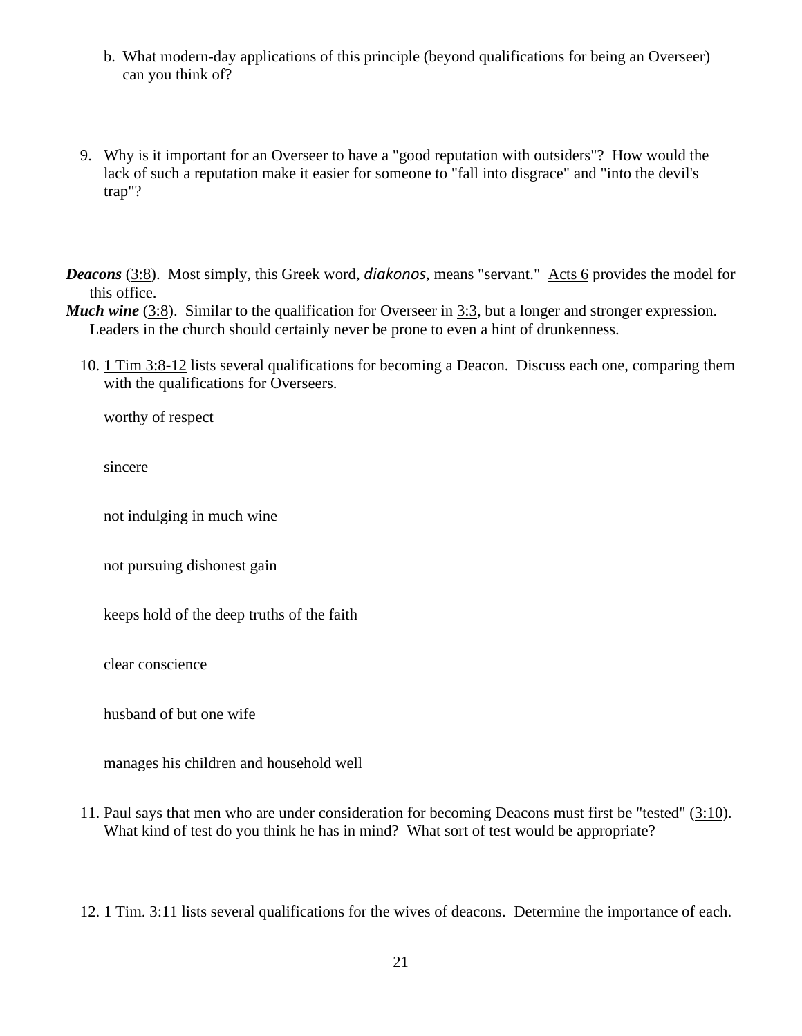- b. What modern-day applications of this principle (beyond qualifications for being an Overseer) can you think of?
- 9. Why is it important for an Overseer to have a "good reputation with outsiders"? How would the lack of such a reputation make it easier for someone to "fall into disgrace" and "into the devil's trap"?

*Deacons* [\(3:8\)](http://www.crossbooks.com/verse.asp?ref=1Ti+3%3A8). Most simply, this Greek word, *diakonos*, means "servant." [Acts 6](http://www.crossbooks.com/verse.asp?ref=Ac+6) provides the model for this office.

*Much wine* [\(3:8\)](http://www.crossbooks.com/verse.asp?ref=1Ti+3%3A8). Similar to the qualification for Overseer in [3:3,](http://www.crossbooks.com/verse.asp?ref=1Ti+3%3A3) but a longer and stronger expression. Leaders in the church should certainly never be prone to even a hint of drunkenness.

10. [1](http://www.crossbooks.com/verse.asp?ref=1Ti+3%3A8-13) Tim 3:8-12 lists several qualifications for becoming a Deacon. Discuss each one, comparing them with the qualifications for Overseers.

worthy of respect

sincere

not indulging in much wine

not pursuing dishonest gain

keeps hold of the deep truths of the faith

clear conscience

husband of but one wife

manages his children and household well

11. Paul says that men who are under consideration for becoming Deacons must first be "tested" [\(3:10\)](http://www.crossbooks.com/verse.asp?ref=1Ti+3%3A10). What kind of test do you think he has in mind? What sort of test would be appropriate?

12. 1 [Tim. 3:11](http://www.crossbooks.com/verse.asp?ref=1Ti+3%3A11) lists several qualifications for the wives of deacons. Determine the importance of each.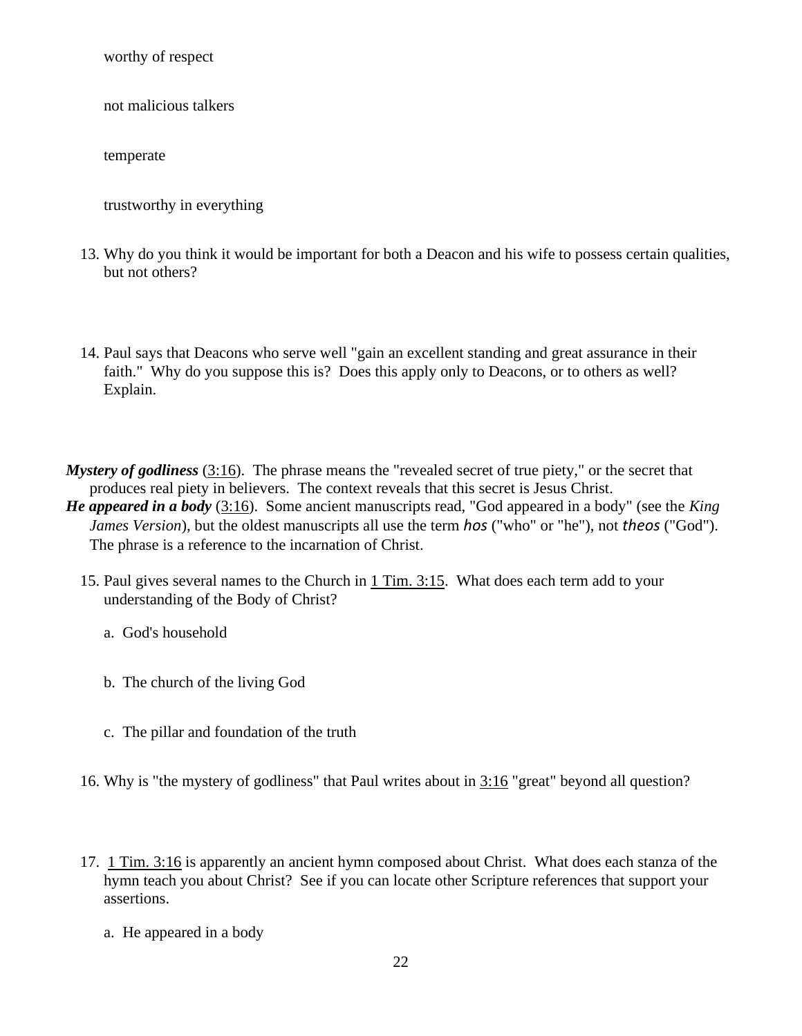worthy of respect

not malicious talkers

temperate

trustworthy in everything

- 13. Why do you think it would be important for both a Deacon and his wife to possess certain qualities, but not others?
- 14. Paul says that Deacons who serve well "gain an excellent standing and great assurance in their faith." Why do you suppose this is? Does this apply only to Deacons, or to others as well? Explain.

*Mystery of godliness* [\(3:16\)](http://www.crossbooks.com/verse.asp?ref=1Ti+3%3A16). The phrase means the "revealed secret of true piety," or the secret that produces real piety in believers. The context reveals that this secret is Jesus Christ.

- *He appeared in a body* [\(3:16\)](http://www.crossbooks.com/verse.asp?ref=1Ti+3%3A16). Some ancient manuscripts read, "God appeared in a body" (see the *King James Version*), but the oldest manuscripts all use the term *hos* ("who" or "he"), not *theos* ("God"). The phrase is a reference to the incarnation of Christ.
	- 15. Paul gives several names to the Church in 1 [Tim. 3:15.](http://www.crossbooks.com/verse.asp?ref=1Ti+3%3A15) What does each term add to your understanding of the Body of Christ?

a. God's household

- b. The church of the living God
- c. The pillar and foundation of the truth
- 16. Why is "the mystery of godliness" that Paul writes about in [3:16](http://www.crossbooks.com/verse.asp?ref=1Ti+3%3A16) "great" beyond all question?
- 17. 1 [Tim. 3:16](http://www.crossbooks.com/verse.asp?ref=1Ti+3%3A16) is apparently an ancient hymn composed about Christ. What does each stanza of the hymn teach you about Christ? See if you can locate other Scripture references that support your assertions.
	- a. He appeared in a body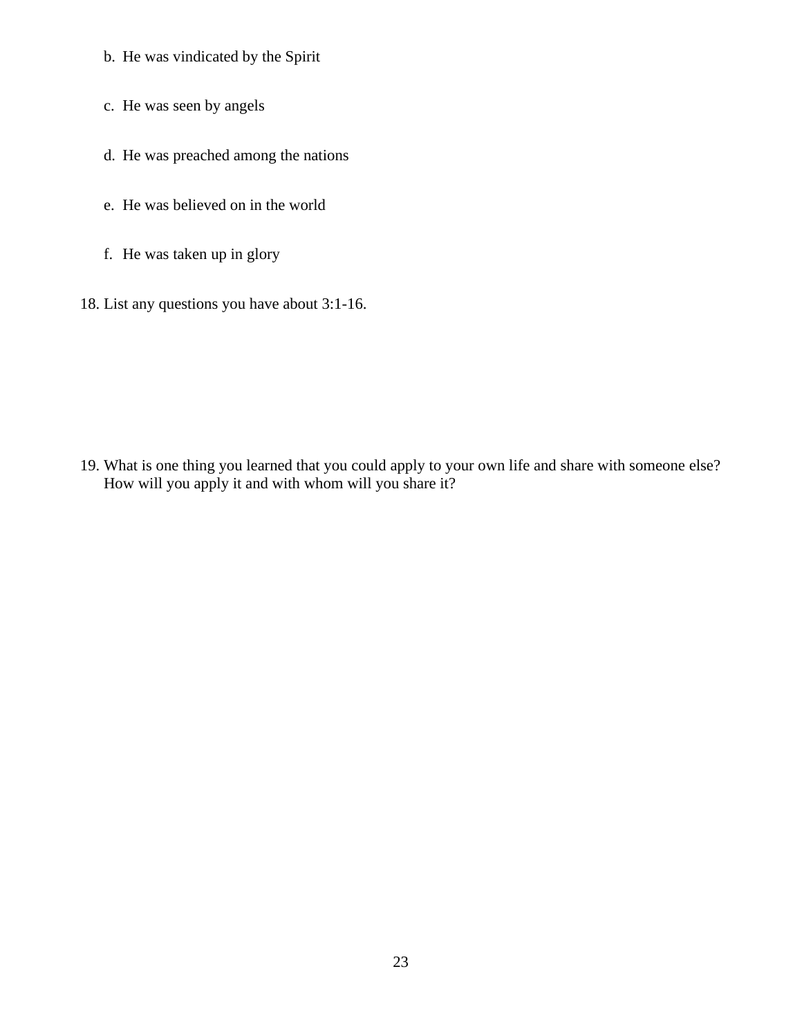- b. He was vindicated by the Spirit
- c. He was seen by angels
- d. He was preached among the nations
- e. He was believed on in the world
- f. He was taken up in glory
- 18. List any questions you have about 3:1-16.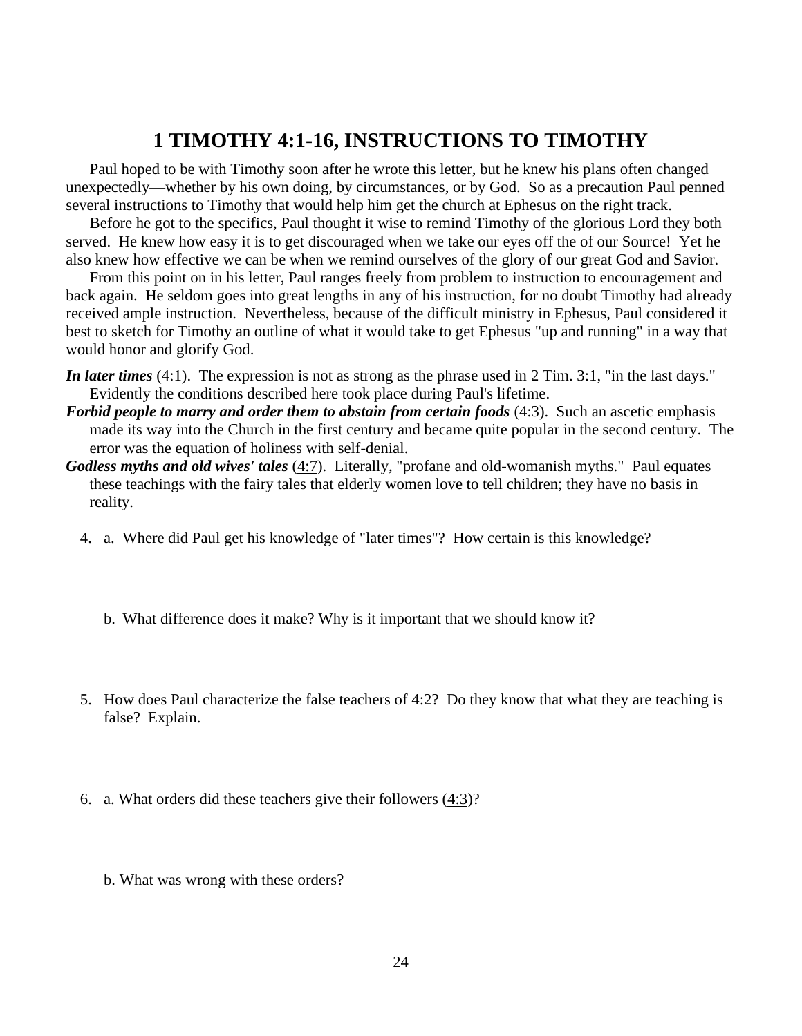### **1 TIMOTHY 4:1-16, INSTRUCTIONS TO TIMOTHY**

Paul hoped to be with Timothy soon after he wrote this letter, but he knew his plans often changed unexpectedly—whether by his own doing, by circumstances, or by God. So as a precaution Paul penned several instructions to Timothy that would help him get the church at Ephesus on the right track.

Before he got to the specifics, Paul thought it wise to remind Timothy of the glorious Lord they both served. He knew how easy it is to get discouraged when we take our eyes off the of our Source! Yet he also knew how effective we can be when we remind ourselves of the glory of our great God and Savior.

From this point on in his letter, Paul ranges freely from problem to instruction to encouragement and back again. He seldom goes into great lengths in any of his instruction, for no doubt Timothy had already received ample instruction. Nevertheless, because of the difficult ministry in Ephesus, Paul considered it best to sketch for Timothy an outline of what it would take to get Ephesus "up and running" in a way that would honor and glorify God.

- *In later times* [\(4:1\)](http://www.crossbooks.com/verse.asp?ref=1Ti+4%3A1). The expression is not as strong as the phrase used in 2 [Tim. 3:1,](http://www.crossbooks.com/verse.asp?ref=2Ti+3%3A1) "in the last days." Evidently the conditions described here took place during Paul's lifetime.
- *Forbid people to marry and order them to abstain from certain foods* [\(4:3\)](http://www.crossbooks.com/verse.asp?ref=1Ti+4%3A3). Such an ascetic emphasis made its way into the Church in the first century and became quite popular in the second century. The error was the equation of holiness with self-denial.
- *Godless myths and old wives' tales* [\(4:7\)](http://www.crossbooks.com/verse.asp?ref=1Ti+4%3A7). Literally, "profane and old-womanish myths." Paul equates these teachings with the fairy tales that elderly women love to tell children; they have no basis in reality.
	- 4. a. Where did Paul get his knowledge of "later times"? How certain is this knowledge?
		- b. What difference does it make? Why is it important that we should know it?
	- 5. How does Paul characterize the false teachers of [4:2?](http://www.crossbooks.com/verse.asp?ref=1Ti+4%3A2) Do they know that what they are teaching is false? Explain.
	- 6. a. What orders did these teachers give their followers [\(4:3\)](http://www.crossbooks.com/verse.asp?ref=1Ti+4%3A3)?
		- b. What was wrong with these orders?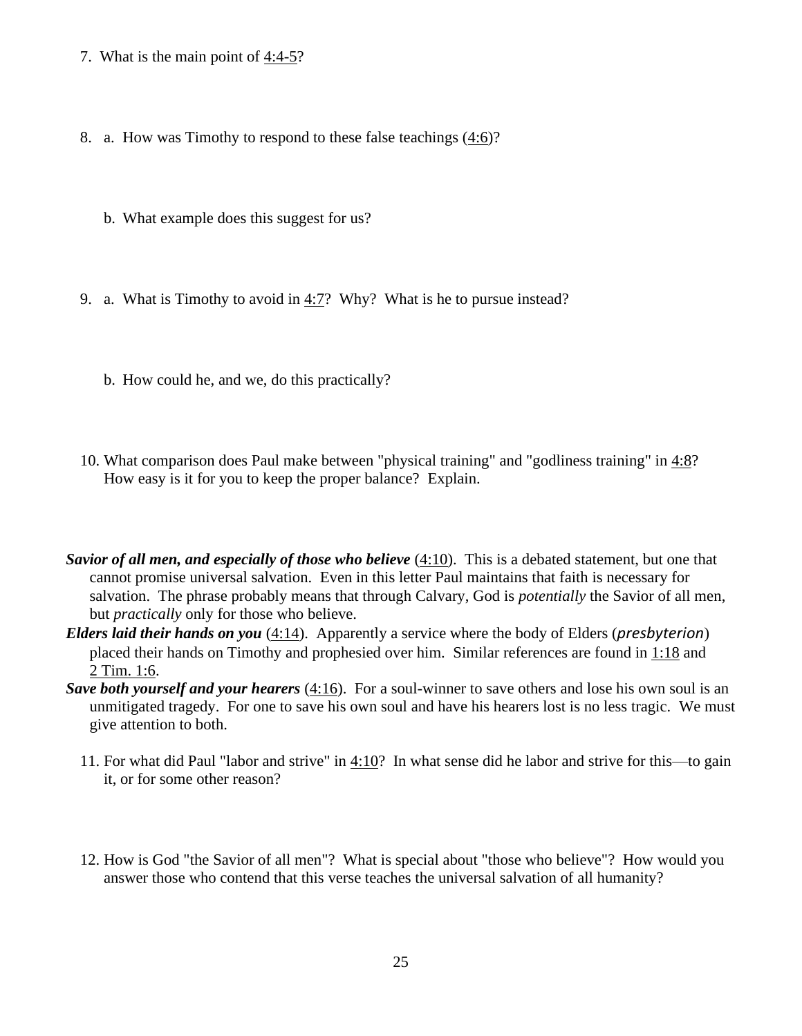- 7. What is the main point of  $4:4-5$ ?
- 8. a. How was Timothy to respond to these false teachings [\(4:6\)](http://www.crossbooks.com/verse.asp?ref=1Ti+4%3A6)?
	- b. What example does this suggest for us?
- 9. a. What is Timothy to avoid in [4:7?](http://www.crossbooks.com/verse.asp?ref=1Ti+4%3A7) Why? What is he to pursue instead?
	- b. How could he, and we, do this practically?
- 10. What comparison does Paul make between "physical training" and "godliness training" in [4:8?](http://www.crossbooks.com/verse.asp?ref=1Ti+4%3A8) How easy is it for you to keep the proper balance? Explain.
- *Savior of all men, and especially of those who believe* [\(4:10\)](http://www.crossbooks.com/verse.asp?ref=1Ti+4%3A10). This is a debated statement, but one that cannot promise universal salvation. Even in this letter Paul maintains that faith is necessary for salvation. The phrase probably means that through Calvary, God is *potentially* the Savior of all men, but *practically* only for those who believe.
- *Elders laid their hands on you* [\(4:14\)](http://www.crossbooks.com/verse.asp?ref=1Ti+4%3A14). Apparently a service where the body of Elders (*presbyterion*) placed their hands on Timothy and prophesied over him. Similar references are found in [1:18](http://www.crossbooks.com/verse.asp?ref=1Ti+1%3A18) and 2 [Tim. 1:6.](http://www.crossbooks.com/verse.asp?ref=2Ti+1%3A6)
- *Save both yourself and your hearers* [\(4:16\)](http://www.crossbooks.com/verse.asp?ref=1Ti+4%3A16). For a soul-winner to save others and lose his own soul is an unmitigated tragedy. For one to save his own soul and have his hearers lost is no less tragic. We must give attention to both.
	- 11. For what did Paul "labor and strive" in [4:10?](http://www.crossbooks.com/verse.asp?ref=1Ti+4%3A10) In what sense did he labor and strive for this—to gain it, or for some other reason?
	- 12. How is God "the Savior of all men"? What is special about "those who believe"? How would you answer those who contend that this verse teaches the universal salvation of all humanity?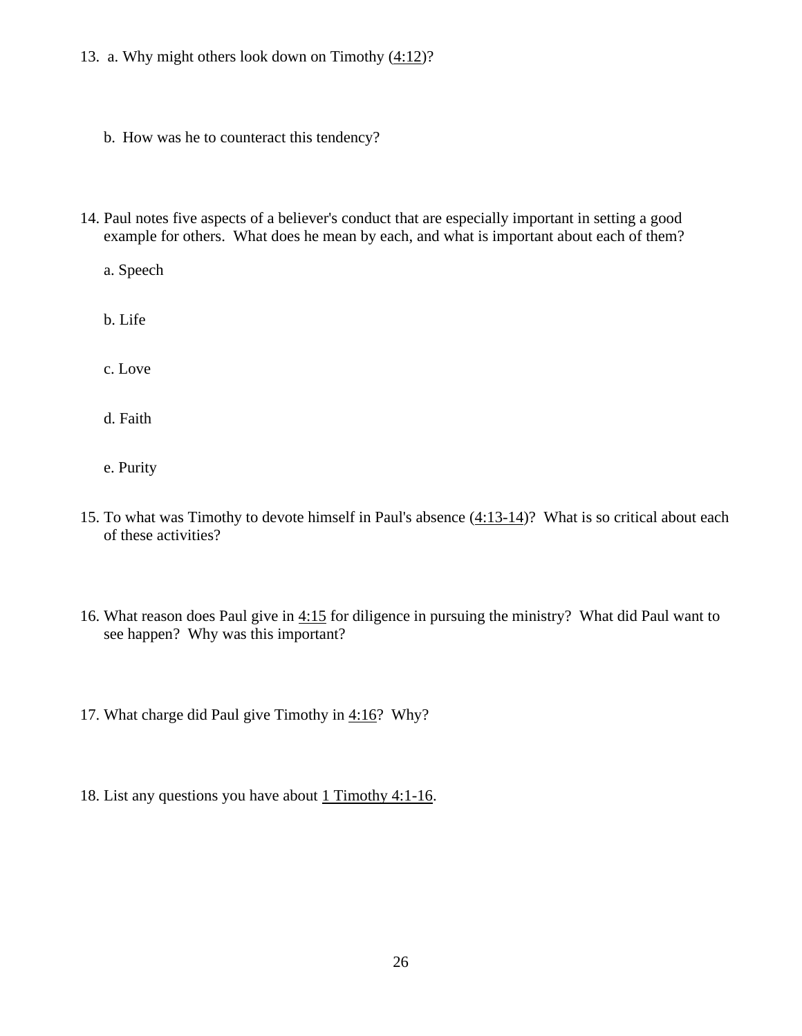- 13. a. Why might others look down on Timothy  $(4:12)$ ?
	- b. How was he to counteract this tendency?
- 14. Paul notes five aspects of a believer's conduct that are especially important in setting a good example for others. What does he mean by each, and what is important about each of them?
	- a. Speech
	- b. Life
	- c. Love
	- d. Faith
	- e. Purity
- 15. To what was Timothy to devote himself in Paul's absence [\(4:13-14\)](http://www.crossbooks.com/verse.asp?ref=1Ti+4%3A13-14)? What is so critical about each of these activities?
- 16. What reason does Paul give in [4:15](http://www.crossbooks.com/verse.asp?ref=1Ti+4%3A15) for diligence in pursuing the ministry? What did Paul want to see happen? Why was this important?
- 17. What charge did Paul give Timothy in [4:16?](http://www.crossbooks.com/verse.asp?ref=1Ti+4%3A16) Why?
- 18. List any questions you have about [1](http://www.crossbooks.com/verse.asp?ref=2Ti+3%3A10-17) Timothy 4:1-16.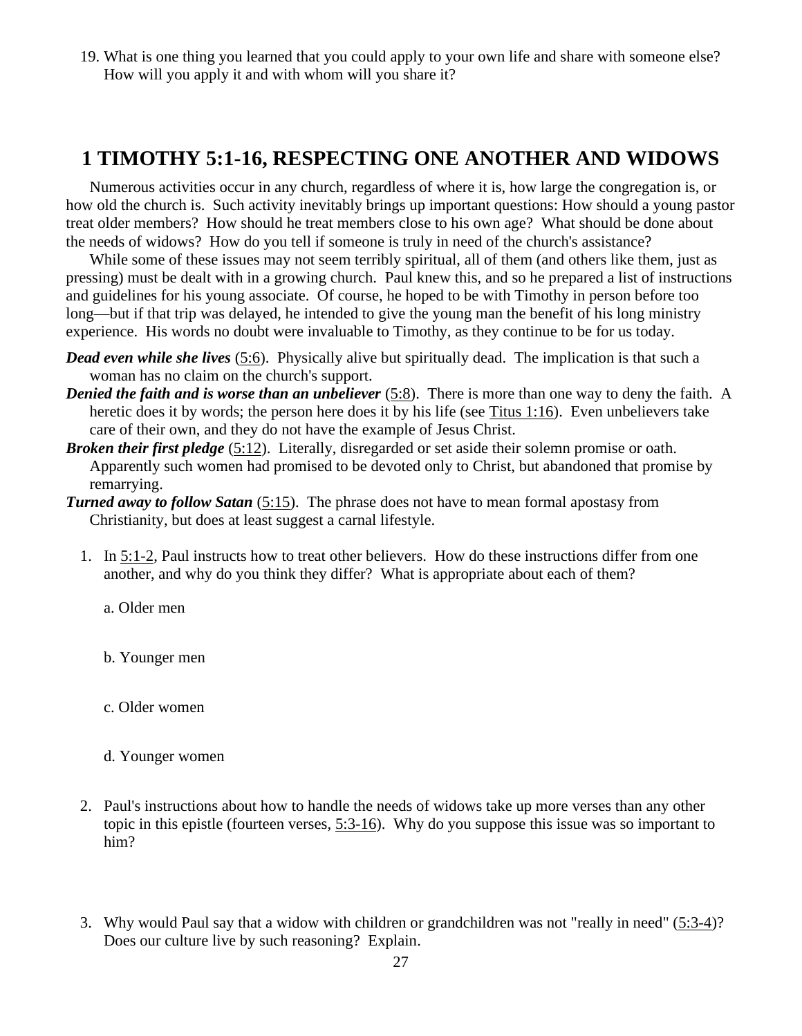## **1 TIMOTHY 5:1-16, RESPECTING ONE ANOTHER AND WIDOWS**

Numerous activities occur in any church, regardless of where it is, how large the congregation is, or how old the church is. Such activity inevitably brings up important questions: How should a young pastor treat older members? How should he treat members close to his own age? What should be done about the needs of widows? How do you tell if someone is truly in need of the church's assistance?

While some of these issues may not seem terribly spiritual, all of them (and others like them, just as pressing) must be dealt with in a growing church. Paul knew this, and so he prepared a list of instructions and guidelines for his young associate. Of course, he hoped to be with Timothy in person before too long—but if that trip was delayed, he intended to give the young man the benefit of his long ministry experience. His words no doubt were invaluable to Timothy, as they continue to be for us today.

- *Dead even while she lives* [\(5:6\)](http://www.crossbooks.com/verse.asp?ref=1Ti+5%3A6). Physically alive but spiritually dead. The implication is that such a woman has no claim on the church's support.
- *Denied the faith and is worse than an unbeliever* [\(5:8\)](http://www.crossbooks.com/verse.asp?ref=1Ti+5%3A8). There is more than one way to deny the faith. A heretic does it by words; the person here does it by his life (see [Titus 1:16\)](http://www.crossbooks.com/verse.asp?ref=Tit+1%3A16). Even unbelievers take care of their own, and they do not have the example of Jesus Christ.
- *Broken their first pledge* [\(5:12\)](http://www.crossbooks.com/verse.asp?ref=1Ti+5%3A12). Literally, disregarded or set aside their solemn promise or oath. Apparently such women had promised to be devoted only to Christ, but abandoned that promise by remarrying.
- *Turned away to follow Satan* [\(5:15\)](http://www.crossbooks.com/verse.asp?ref=1Ti+5%3A15). The phrase does not have to mean formal apostasy from Christianity, but does at least suggest a carnal lifestyle.
	- 1. In 5:1-2, Paul instructs how to treat other believers. How do these instructions differ from one another, and why do you think they differ? What is appropriate about each of them?
		- a. Older men
		- b. Younger men
		- c. Older women
		- d. Younger women
	- 2. Paul's instructions about how to handle the needs of widows take up more verses than any other topic in this epistle (fourteen verses, [5:3-16\)](http://www.crossbooks.com/verse.asp?ref=1Ti+5%3A3-16). Why do you suppose this issue was so important to him?
	- 3. Why would Paul say that a widow with children or grandchildren was not "really in need" [\(5:3-4\)](http://www.crossbooks.com/verse.asp?ref=1Ti+5%3A3-4)? Does our culture live by such reasoning? Explain.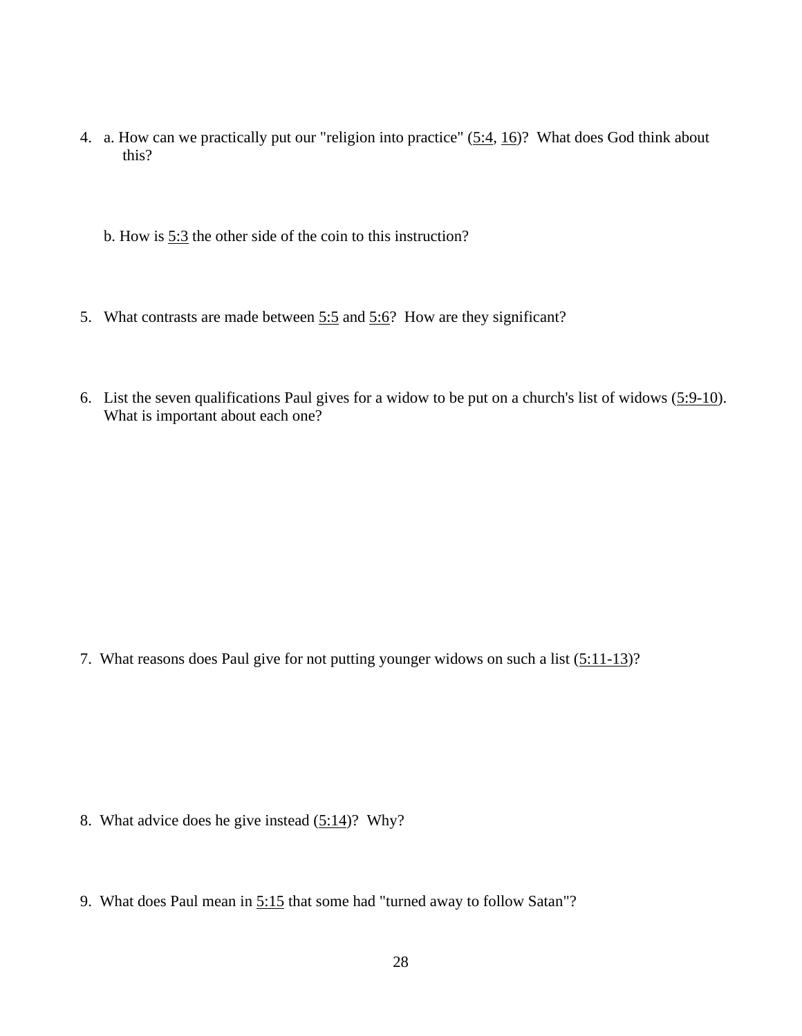- 4. a. How can we practically put our "religion into practice" [\(5:4,](http://www.crossbooks.com/verse.asp?ref=1Ti+5%3A4) [16\)](http://www.crossbooks.com/verse.asp?ref=1Ti+5%3A16)? What does God think about this?
	- b. How is [5:3](http://www.crossbooks.com/verse.asp?ref=1Ti+5%3A3) the other side of the coin to this instruction?
- 5. What contrasts are made between [5:5](http://www.crossbooks.com/verse.asp?ref=1Ti+5%3A5) and [5:6?](http://www.crossbooks.com/verse.asp?ref=1Ti+5%3A6) How are they significant?
- 6. List the seven qualifications Paul gives for a widow to be put on a church's list of widows  $(5:9-10)$ . What is important about each one?

7. What reasons does Paul give for not putting younger widows on such a list  $(5:11-13)$ ?

- 8. What advice does he give instead [\(5:14\)](http://www.crossbooks.com/verse.asp?ref=1Ti+5%3A14)? Why?
- 9. What does Paul mean in 5:15 that some had "turned away to follow Satan"?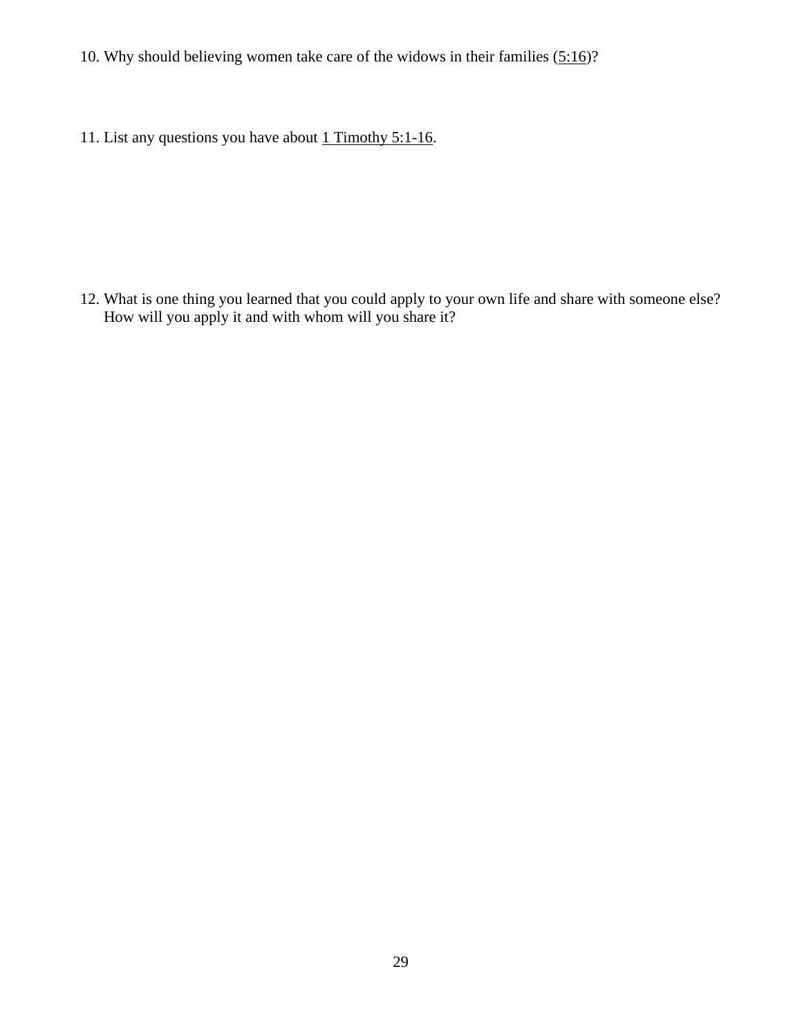- 10. Why should believing women take care of the widows in their families  $(5:16)$ ?
- 11. List any questions you have about  $1$  Timothy 5:1-16.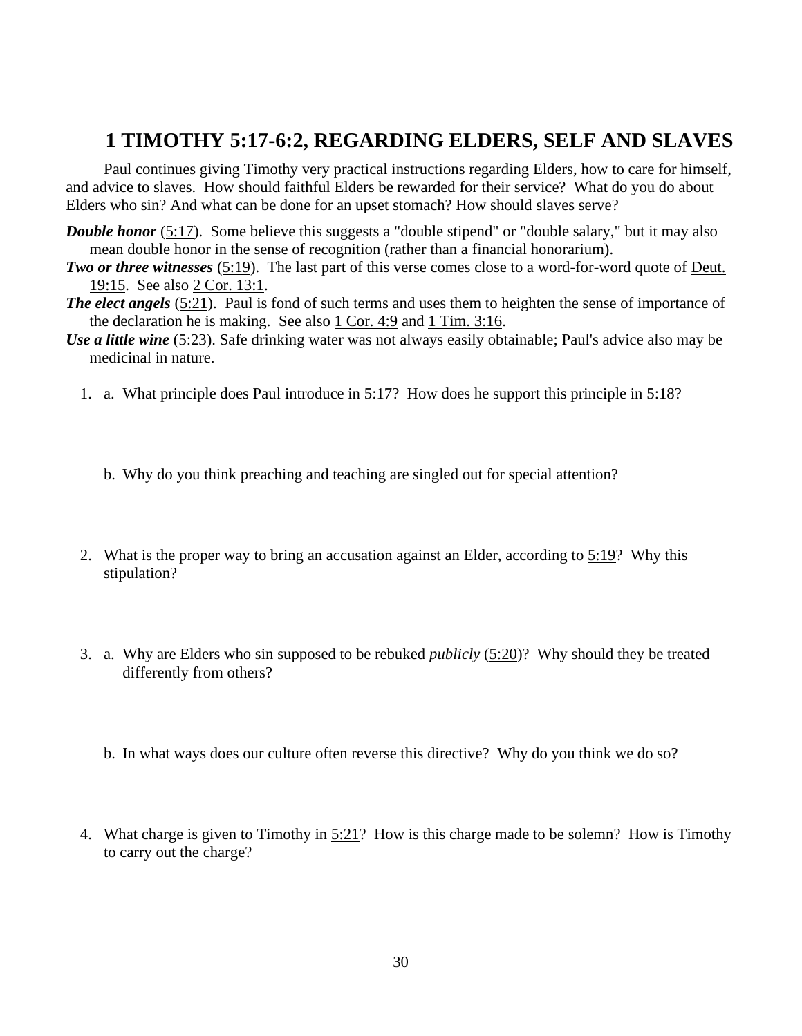## **1 TIMOTHY 5:17-6:2, REGARDING ELDERS, SELF AND SLAVES**

Paul continues giving Timothy very practical instructions regarding Elders, how to care for himself, and advice to slaves. How should faithful Elders be rewarded for their service? What do you do about Elders who sin? And what can be done for an upset stomach? How should slaves serve?

- *Double honor* [\(5:17\)](http://www.crossbooks.com/verse.asp?ref=1Ti+5%3A17). Some believe this suggests a "double stipend" or "double salary," but it may also mean double honor in the sense of recognition (rather than a financial honorarium).
- *Two or three witnesses* [\(5:19\)](http://www.crossbooks.com/verse.asp?ref=1Ti+5%3A19). The last part of this verse comes close to a word-for-word quote of [Deut.](http://www.crossbooks.com/verse.asp?ref=Dt+19%3A15)  [19:15.](http://www.crossbooks.com/verse.asp?ref=Dt+19%3A15) See also 2 Cor. [13:1.](http://www.crossbooks.com/verse.asp?ref=2Co+13%3A1)
- *The elect angels* [\(5:21\)](http://www.crossbooks.com/verse.asp?ref=1Ti+5%3A21). Paul is fond of such terms and uses them to heighten the sense of importance of the declaration he is making. See also  $1 \text{ Cor. } 4.9$  and  $1 \text{ Tim. } 3.16$ .
- *Use a little wine* [\(5:23\)](http://www.crossbooks.com/verse.asp?ref=1Ti+5%3A23). Safe drinking water was not always easily obtainable; Paul's advice also may be medicinal in nature.
	- 1. a. What principle does Paul introduce in [5:17?](http://www.crossbooks.com/verse.asp?ref=1Ti+5%3A17) How does he support this principle in [5:18?](http://www.crossbooks.com/verse.asp?ref=1Ti+5%3A18)
		- b. Why do you think preaching and teaching are singled out for special attention?
	- 2. What is the proper way to bring an accusation against an Elder, according to [5:19?](http://www.crossbooks.com/verse.asp?ref=1Ti+5%3A19) Why this stipulation?
	- 3. a. Why are Elders who sin supposed to be rebuked *publicly* [\(5:20\)](http://www.crossbooks.com/verse.asp?ref=1Ti+5%3A20)? Why should they be treated differently from others?
		- b. In what ways does our culture often reverse this directive? Why do you think we do so?
	- 4. What charge is given to Timothy in [5:21?](http://www.crossbooks.com/verse.asp?ref=1Ti+5%3A21) How is this charge made to be solemn? How is Timothy to carry out the charge?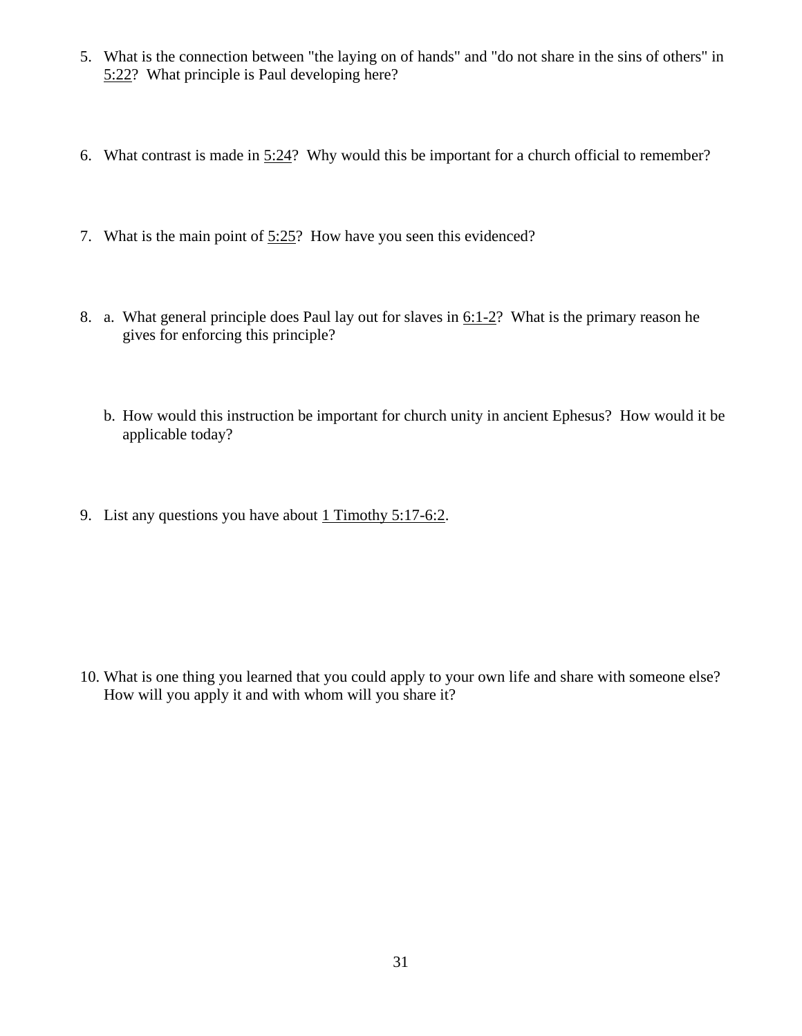- 5. What is the connection between "the laying on of hands" and "do not share in the sins of others" in [5:22?](http://www.crossbooks.com/verse.asp?ref=1Ti+5%3A22) What principle is Paul developing here?
- 6. What contrast is made in  $5:24$ ? Why would this be important for a church official to remember?
- 7. What is the main point of [5:25?](http://www.crossbooks.com/verse.asp?ref=1Ti+5%3A25) How have you seen this evidenced?
- 8. a. What general principle does Paul lay out for slaves in [6:1-2?](http://www.crossbooks.com/verse.asp?ref=1Ti+6%3A1-2) What is the primary reason he gives for enforcing this principle?
	- b. How would this instruction be important for church unity in ancient Ephesus? How would it be applicable today?
- 9. List any questions you have about [1](http://www.crossbooks.com/verse.asp?ref=2Ti+3%3A10-17) Timothy 5:17-6:2.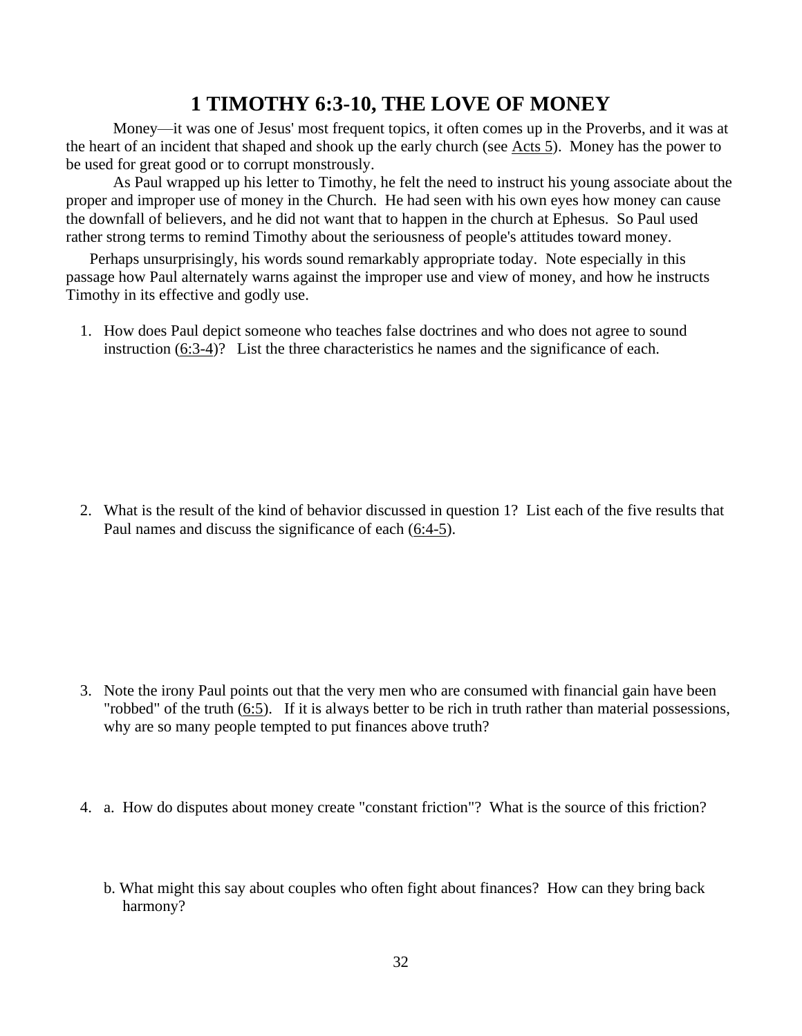## **1 TIMOTHY 6:3-10, THE LOVE OF MONEY**

Money—it was one of Jesus' most frequent topics, it often comes up in the Proverbs, and it was at the heart of an incident that shaped and shook up the early church (see [Acts 5\)](http://www.crossbooks.com/verse.asp?ref=Ac+5). Money has the power to be used for great good or to corrupt monstrously.

As Paul wrapped up his letter to Timothy, he felt the need to instruct his young associate about the proper and improper use of money in the Church. He had seen with his own eyes how money can cause the downfall of believers, and he did not want that to happen in the church at Ephesus. So Paul used rather strong terms to remind Timothy about the seriousness of people's attitudes toward money.

Perhaps unsurprisingly, his words sound remarkably appropriate today. Note especially in this passage how Paul alternately warns against the improper use and view of money, and how he instructs Timothy in its effective and godly use.

1. How does Paul depict someone who teaches false doctrines and who does not agree to sound instruction [\(6:3-4\)](http://www.crossbooks.com/verse.asp?ref=1Ti+6%3A4)? List the three characteristics he names and the significance of each.

2. What is the result of the kind of behavior discussed in question 1? List each of the five results that Paul names and discuss the significance of each [\(6:4-5\)](http://www.crossbooks.com/verse.asp?ref=1Ti+6%3A4-5).

- 3. Note the irony Paul points out that the very men who are consumed with financial gain have been "robbed" of the truth [\(6:5\)](http://www.crossbooks.com/verse.asp?ref=1Ti+6%3A5). If it is always better to be rich in truth rather than material possessions, why are so many people tempted to put finances above truth?
- 4. a. How do disputes about money create "constant friction"? What is the source of this friction?
	- b. What might this say about couples who often fight about finances? How can they bring back harmony?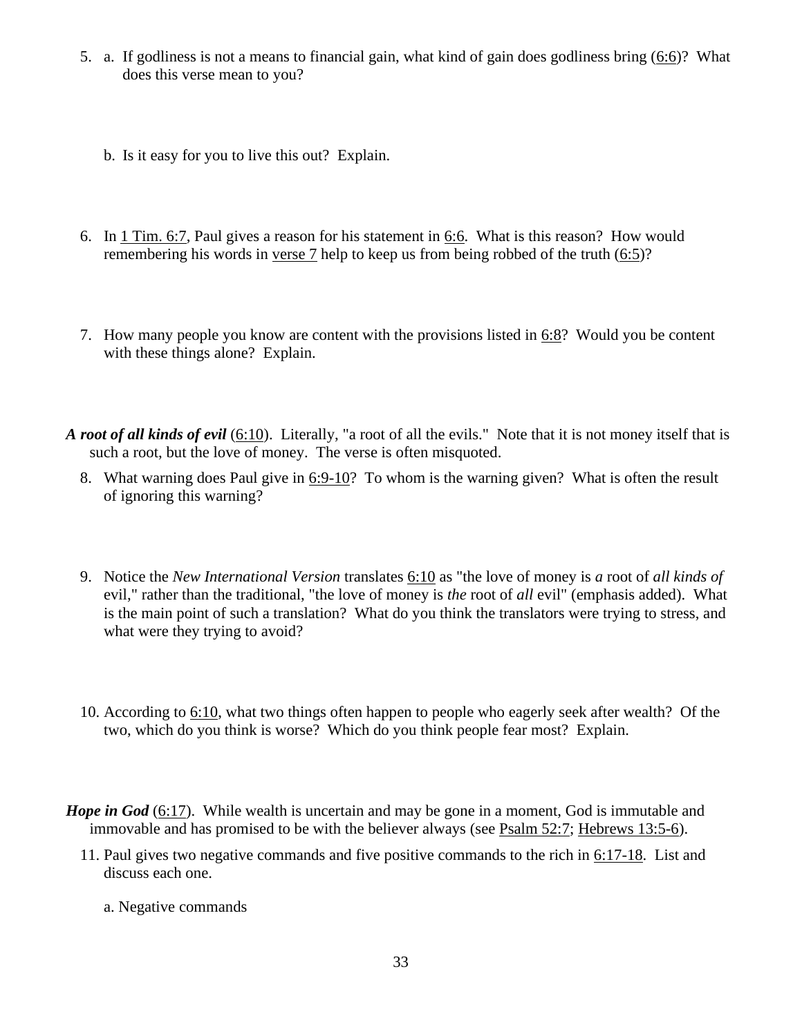- 5. a. If godliness is not a means to financial gain, what kind of gain does godliness bring [\(6:6\)](http://www.crossbooks.com/verse.asp?ref=1Ti+6%3A6)? What does this verse mean to you?
	- b. Is it easy for you to live this out? Explain.
- 6. In 1 [Tim. 6:7,](http://www.crossbooks.com/verse.asp?ref=1Ti+6%3A7) Paul gives a reason for his statement in [6:6.](http://www.crossbooks.com/verse.asp?ref=1Ti+6%3A6) What is this reason? How would remembering his words in [verse 7](http://www.crossbooks.com/verse.asp?ref=1Ti+6%3A7) help to keep us from being robbed of the truth [\(6:5\)](http://www.crossbooks.com/verse.asp?ref=1Ti+6%3A5)?
- 7. How many people you know are content with the provisions listed in  $6:8$ ? Would you be content with these things alone? Explain.
- *A root of all kinds of evil* [\(6:10\)](http://www.crossbooks.com/verse.asp?ref=1Ti+6%3A10). Literally, "a root of all the evils." Note that it is not money itself that is such a root, but the love of money. The verse is often misquoted.
	- 8. What warning does Paul give in [6:9-10?](http://www.crossbooks.com/verse.asp?ref=1Ti+6%3A9-10) To whom is the warning given? What is often the result of ignoring this warning?
	- 9. Notice the *New International Version* translates [6:10](http://www.crossbooks.com/verse.asp?ref=1Ti+6%3A10) as "the love of money is *a* root of *all kinds of*  evil," rather than the traditional, "the love of money is *the* root of *all* evil" (emphasis added). What is the main point of such a translation? What do you think the translators were trying to stress, and what were they trying to avoid?
	- 10. According to [6:10,](http://www.crossbooks.com/verse.asp?ref=1Ti+6%3A10) what two things often happen to people who eagerly seek after wealth? Of the two, which do you think is worse? Which do you think people fear most? Explain.
- *Hope in God* [\(6:17\)](http://www.crossbooks.com/verse.asp?ref=1Ti+6%3A17). While wealth is uncertain and may be gone in a moment, God is immutable and immovable and has promised to be with the believer always (see [Psalm 52:7;](http://www.crossbooks.com/verse.asp?ref=Ps+52%3A7) [Hebrews 13:5-6\)](http://www.crossbooks.com/verse.asp?ref=Heb+13%3A5-6).
	- 11. Paul gives two negative commands and five positive commands to the rich in [6:17-18.](http://www.crossbooks.com/verse.asp?ref=1Ti+6%3A17-18) List and discuss each one.
		- a. Negative commands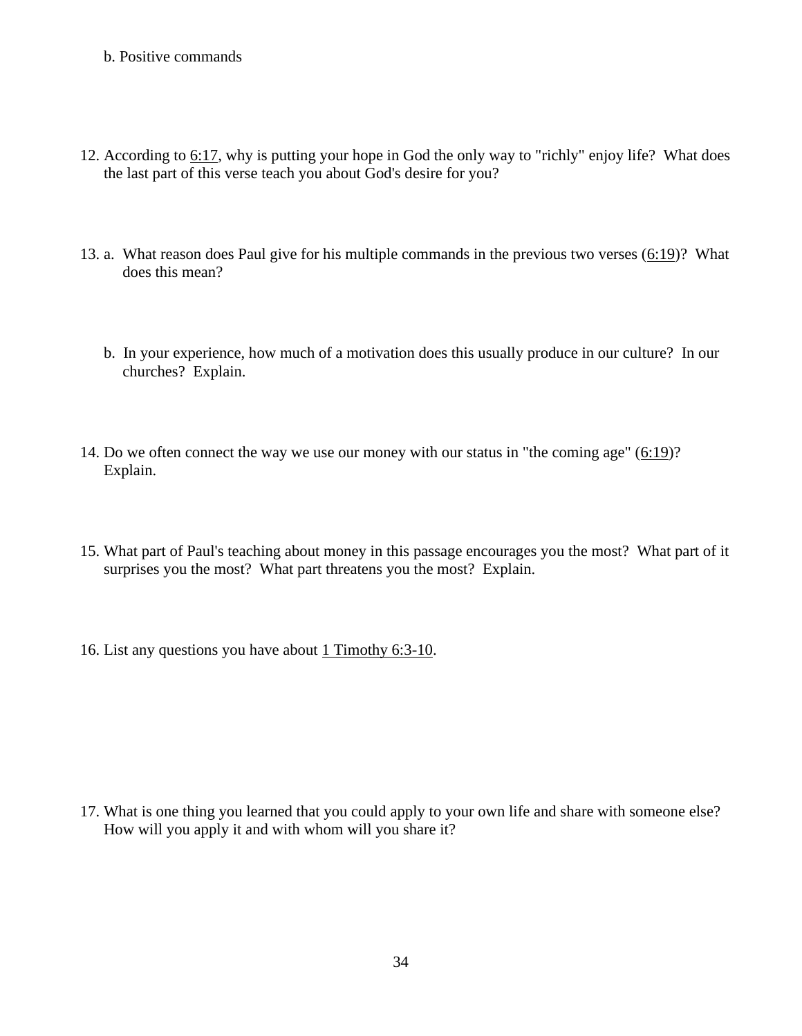- b. Positive commands
- 12. According to [6:17,](http://www.crossbooks.com/verse.asp?ref=1Ti+6%3A17) why is putting your hope in God the only way to "richly" enjoy life? What does the last part of this verse teach you about God's desire for you?
- 13. a. What reason does Paul give for his multiple commands in the previous two verses  $(6:19)$ ? What does this mean?
	- b. In your experience, how much of a motivation does this usually produce in our culture? In our churches? Explain.
- 14. Do we often connect the way we use our money with our status in "the coming age" [\(6:19\)](http://www.crossbooks.com/verse.asp?ref=1Ti+6%3A19)? Explain.
- 15. What part of Paul's teaching about money in this passage encourages you the most? What part of it surprises you the most? What part threatens you the most? Explain.
- 16. List any questions you have about 1 Timothy 6:3-10.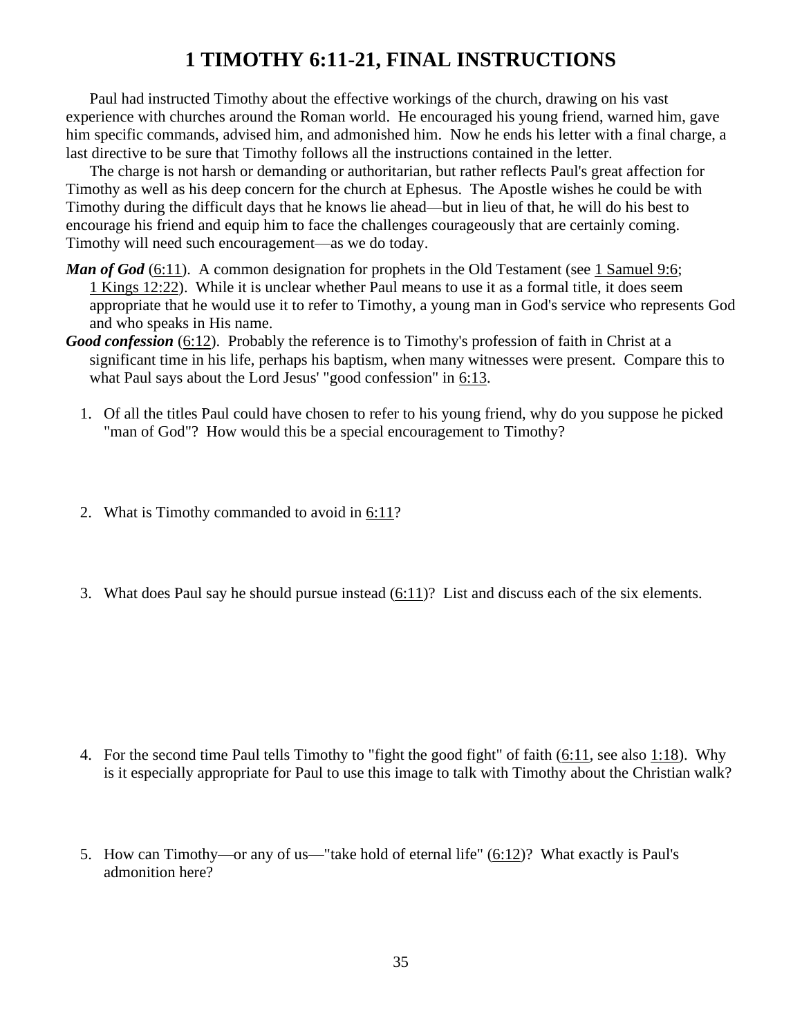# **1 TIMOTHY 6:11-21, FINAL INSTRUCTIONS**

Paul had instructed Timothy about the effective workings of the church, drawing on his vast experience with churches around the Roman world. He encouraged his young friend, warned him, gave him specific commands, advised him, and admonished him. Now he ends his letter with a final charge, a last directive to be sure that Timothy follows all the instructions contained in the letter.

The charge is not harsh or demanding or authoritarian, but rather reflects Paul's great affection for Timothy as well as his deep concern for the church at Ephesus. The Apostle wishes he could be with Timothy during the difficult days that he knows lie ahead—but in lieu of that, he will do his best to encourage his friend and equip him to face the challenges courageously that are certainly coming. Timothy will need such encouragement—as we do today.

- *Man of God* [\(6:11\)](http://www.crossbooks.com/verse.asp?ref=1Ti+6%3A11). A common designation for prophets in the Old Testament (see 1 [Samuel 9:6;](http://www.crossbooks.com/verse.asp?ref=1Sa+9%3A6) 1 [Kings 12:22\)](http://www.crossbooks.com/verse.asp?ref=1Ki+12%3A22). While it is unclear whether Paul means to use it as a formal title, it does seem appropriate that he would use it to refer to Timothy, a young man in God's service who represents God and who speaks in His name.
- *Good confession* [\(6:12\)](http://www.crossbooks.com/verse.asp?ref=1Ti+6%3A12). Probably the reference is to Timothy's profession of faith in Christ at a significant time in his life, perhaps his baptism, when many witnesses were present. Compare this to what Paul says about the Lord Jesus' "good confession" in [6:13.](http://www.crossbooks.com/verse.asp?ref=1Ti+6%3A13)
	- 1. Of all the titles Paul could have chosen to refer to his young friend, why do you suppose he picked "man of God"? How would this be a special encouragement to Timothy?
	- 2. What is Timothy commanded to avoid in [6:11?](http://www.crossbooks.com/verse.asp?ref=1Ti+6%3A11)
	- 3. What does Paul say he should pursue instead [\(6:11\)](http://www.crossbooks.com/verse.asp?ref=1Ti+6%3A11)? List and discuss each of the six elements.

- 4. For the second time Paul tells Timothy to "fight the good fight" of faith  $(6:11)$ , see also  $1:18$ ). Why is it especially appropriate for Paul to use this image to talk with Timothy about the Christian walk?
- 5. How can Timothy—or any of us—"take hold of eternal life"  $(6:12)$ ? What exactly is Paul's admonition here?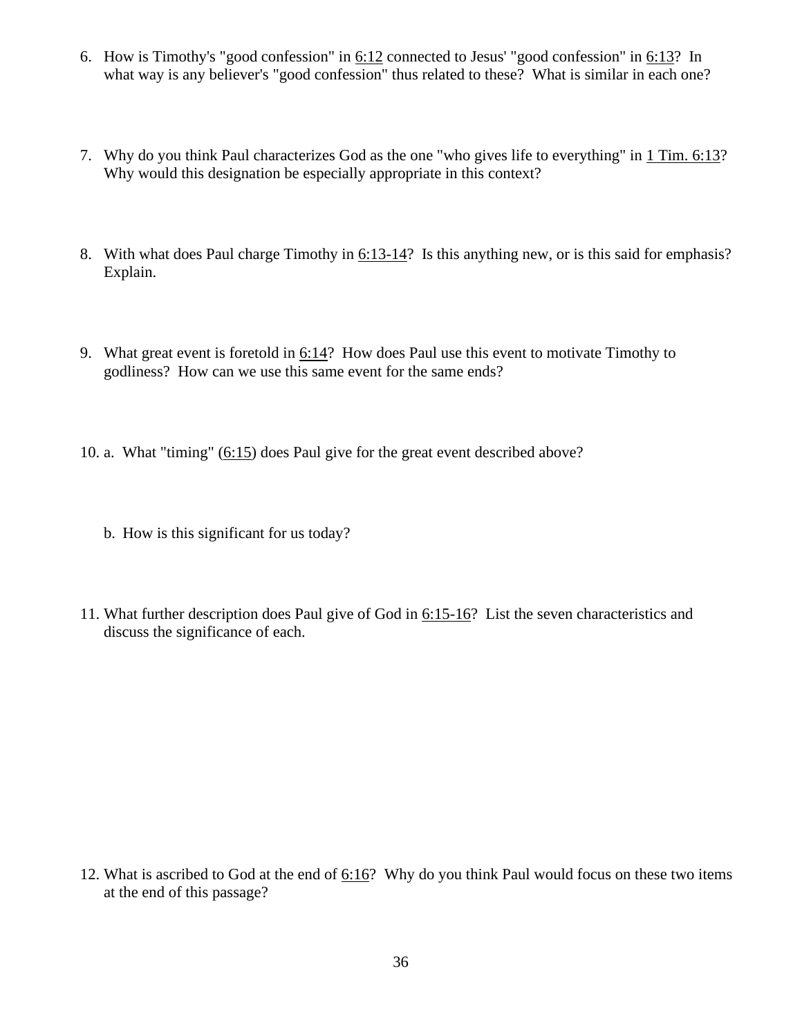- 6. How is Timothy's "good confession" in [6:12](http://www.crossbooks.com/verse.asp?ref=1Ti+6%3A12) connected to Jesus' "good confession" in [6:13?](http://www.crossbooks.com/verse.asp?ref=1Ti+6%3A13) In what way is any believer's "good confession" thus related to these? What is similar in each one?
- 7. Why do you think Paul characterizes God as the one "who gives life to everything" in 1 [Tim. 6:13?](http://www.crossbooks.com/verse.asp?ref=1Ti+6%3A13) Why would this designation be especially appropriate in this context?
- 8. With what does Paul charge Timothy in [6:13-14?](http://www.crossbooks.com/verse.asp?ref=1Ti+6%3A13-14) Is this anything new, or is this said for emphasis? Explain.
- 9. What great event is foretold in [6:14?](http://www.crossbooks.com/verse.asp?ref=1Ti+6%3A14) How does Paul use this event to motivate Timothy to godliness? How can we use this same event for the same ends?
- 10. a. What "timing" [\(6:15\)](http://www.crossbooks.com/verse.asp?ref=1Ti+6%3A15) does Paul give for the great event described above?
	- b. How is this significant for us today?
- 11. What further description does Paul give of God in [6:15-16?](http://www.crossbooks.com/verse.asp?ref=1Ti+6%3A15-16) List the seven characteristics and discuss the significance of each.

12. What is ascribed to God at the end of  $6:16$ ? Why do you think Paul would focus on these two items at the end of this passage?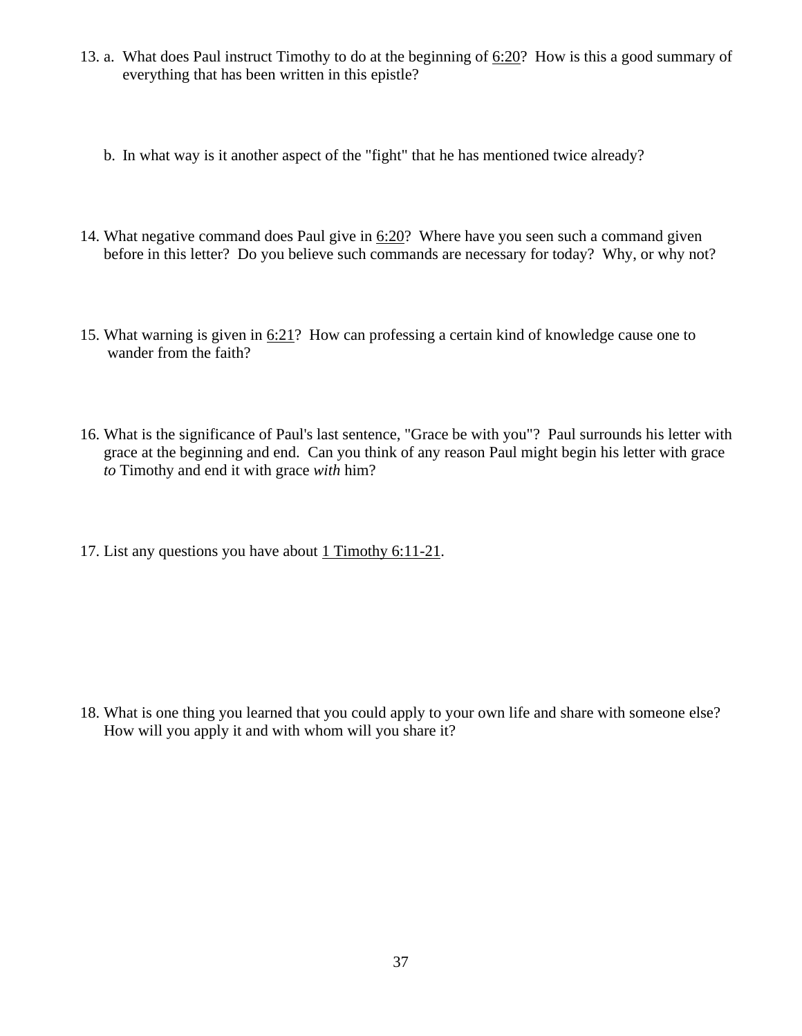- 13. a. What does Paul instruct Timothy to do at the beginning of [6:20?](http://www.crossbooks.com/verse.asp?ref=1Ti+6%3A20) How is this a good summary of everything that has been written in this epistle?
	- b. In what way is it another aspect of the "fight" that he has mentioned twice already?
- 14. What negative command does Paul give in [6:20?](http://www.crossbooks.com/verse.asp?ref=1Ti+6%3A20) Where have you seen such a command given before in this letter? Do you believe such commands are necessary for today? Why, or why not?
- 15. What warning is given in [6:21?](http://www.crossbooks.com/verse.asp?ref=1Ti+6%3A21) How can professing a certain kind of knowledge cause one to wander from the faith?
- 16. What is the significance of Paul's last sentence, "Grace be with you"? Paul surrounds his letter with grace at the beginning and end. Can you think of any reason Paul might begin his letter with grace *to* Timothy and end it with grace *with* him?
- 17. List any questions you have about 1 Timothy 6:11-21.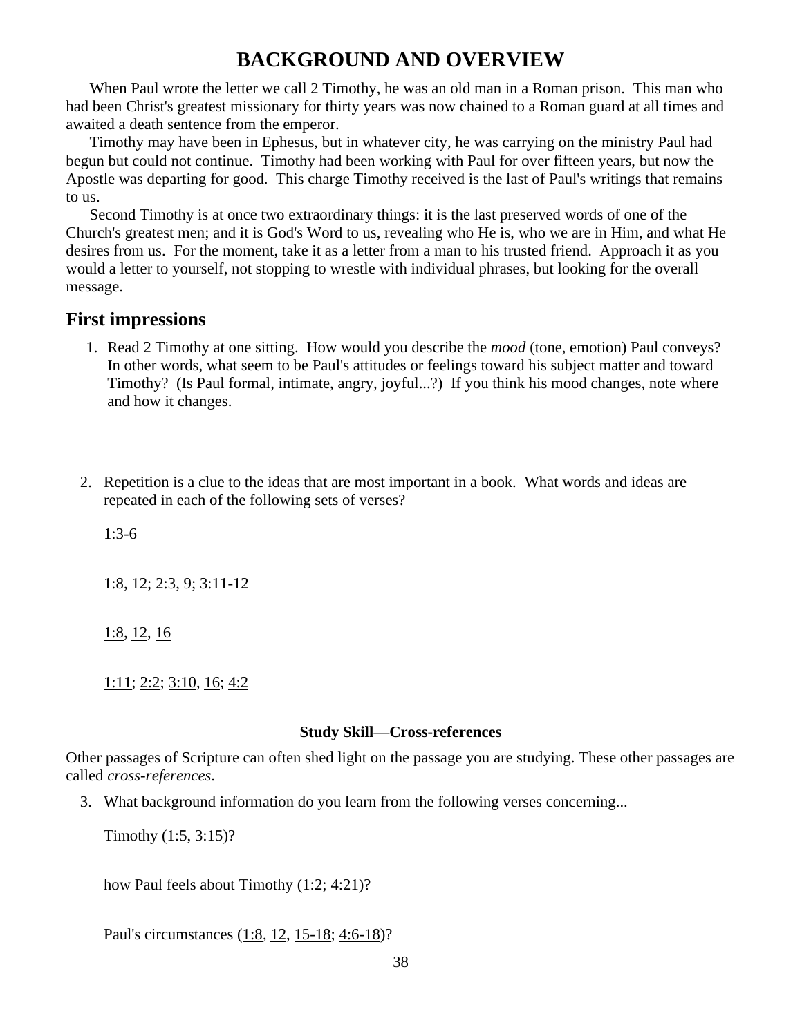## **BACKGROUND AND OVERVIEW**

When Paul wrote the letter we call 2 Timothy, he was an old man in a Roman prison. This man who had been Christ's greatest missionary for thirty years was now chained to a Roman guard at all times and awaited a death sentence from the emperor.

Timothy may have been in Ephesus, but in whatever city, he was carrying on the ministry Paul had begun but could not continue. Timothy had been working with Paul for over fifteen years, but now the Apostle was departing for good. This charge Timothy received is the last of Paul's writings that remains to us.

Second Timothy is at once two extraordinary things: it is the last preserved words of one of the Church's greatest men; and it is God's Word to us, revealing who He is, who we are in Him, and what He desires from us. For the moment, take it as a letter from a man to his trusted friend. Approach it as you would a letter to yourself, not stopping to wrestle with individual phrases, but looking for the overall message.

### **First impressions**

- 1. Read 2 Timothy at one sitting. How would you describe the *mood* (tone, emotion) Paul conveys? In other words, what seem to be Paul's attitudes or feelings toward his subject matter and toward Timothy? (Is Paul formal, intimate, angry, joyful...?) If you think his mood changes, note where and how it changes.
- 2. Repetition is a clue to the ideas that are most important in a book. What words and ideas are repeated in each of the following sets of verses?

[1:3-6](http://www.crossbooks.com/verse.asp?ref=2Ti+1%3A3-6)

 $1:8, 12; 2:3, 9; 3:11-12$  $1:8, 12; 2:3, 9; 3:11-12$  $1:8, 12; 2:3, 9; 3:11-12$  $1:8, 12; 2:3, 9; 3:11-12$  $1:8, 12; 2:3, 9; 3:11-12$ 

[1:8,](http://www.crossbooks.com/verse.asp?ref=2Ti+1%3A8) [12,](http://www.crossbooks.com/verse.asp?ref=2Ti+1%3A12) [16](http://www.crossbooks.com/verse.asp?ref=2Ti+1%3A16)

 $1:11; 2:2; 3:10, 16; 4:2$  $1:11; 2:2; 3:10, 16; 4:2$  $1:11; 2:2; 3:10, 16; 4:2$  $1:11; 2:2; 3:10, 16; 4:2$  $1:11; 2:2; 3:10, 16; 4:2$ 

#### **Study Skill—Cross-references**

Other passages of Scripture can often shed light on the passage you are studying. These other passages are called *cross-references*.

3. What background information do you learn from the following verses concerning...

Timothy  $(1:5, 3:15)$  $(1:5, 3:15)$ ?

how Paul feels about Timothy [\(1:2;](http://www.crossbooks.com/verse.asp?ref=2Ti+1%3A2) [4:21\)](http://www.crossbooks.com/verse.asp?ref=2Ti+4%3A21)?

Paul's circumstances [\(1:8,](http://www.crossbooks.com/verse.asp?ref=2Ti+1%3A8) [12,](http://www.crossbooks.com/verse.asp?ref=2Ti+1%3A12) [15-18;](http://www.crossbooks.com/verse.asp?ref=2Ti+1%3A15-18) [4:6-18\)](http://www.crossbooks.com/verse.asp?ref=2Ti+4%3A6-18)?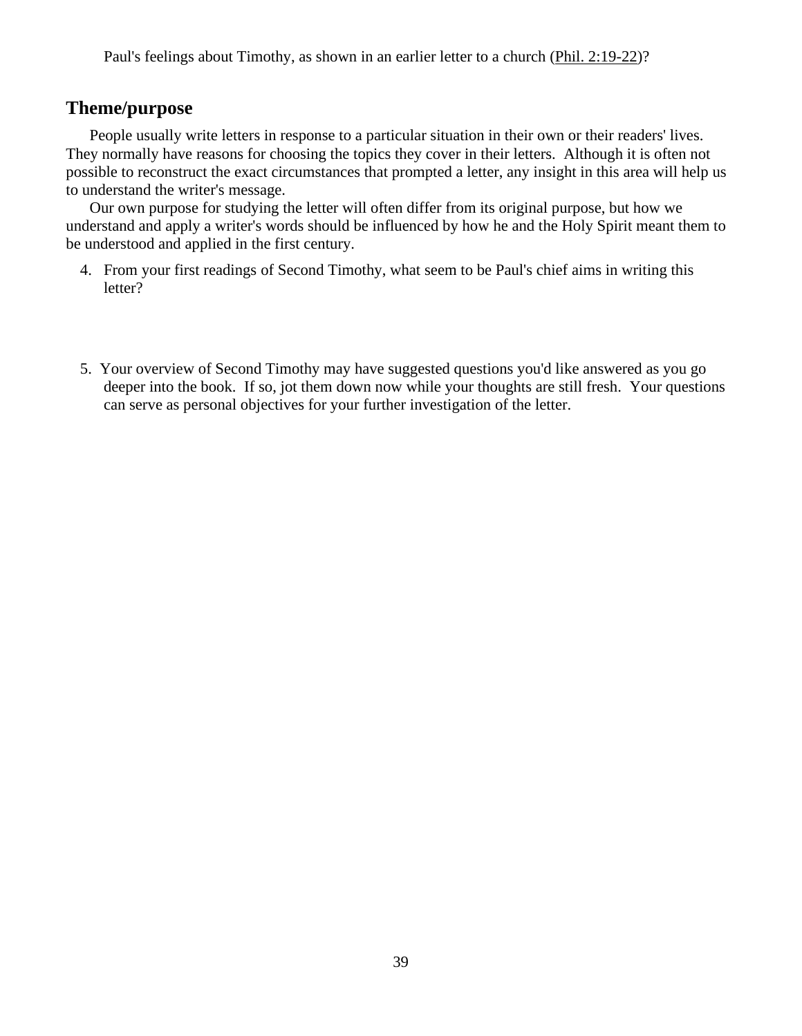Paul's feelings about Timothy, as shown in an earlier letter to a church [\(Phil. 2:19-22\)](http://www.crossbooks.com/verse.asp?ref=Php+2%3A19-22)?

### **Theme/purpose**

People usually write letters in response to a particular situation in their own or their readers' lives. They normally have reasons for choosing the topics they cover in their letters. Although it is often not possible to reconstruct the exact circumstances that prompted a letter, any insight in this area will help us to understand the writer's message.

Our own purpose for studying the letter will often differ from its original purpose, but how we understand and apply a writer's words should be influenced by how he and the Holy Spirit meant them to be understood and applied in the first century.

- 4. From your first readings of Second Timothy, what seem to be Paul's chief aims in writing this letter?
- 5. Your overview of Second Timothy may have suggested questions you'd like answered as you go deeper into the book. If so, jot them down now while your thoughts are still fresh. Your questions can serve as personal objectives for your further investigation of the letter.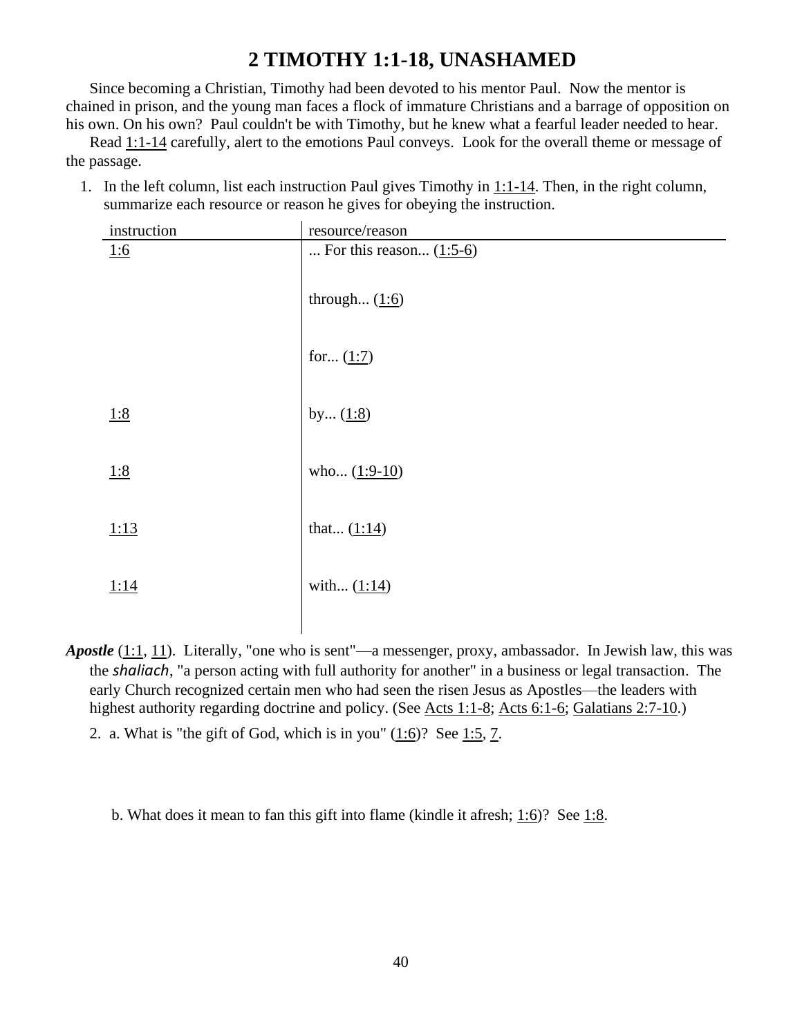## **2 TIMOTHY 1:1-18, UNASHAMED**

Since becoming a Christian, Timothy had been devoted to his mentor Paul. Now the mentor is chained in prison, and the young man faces a flock of immature Christians and a barrage of opposition on his own. On his own? Paul couldn't be with Timothy, but he knew what a fearful leader needed to hear.

Read [1:1-14](http://www.crossbooks.com/verse.asp?ref=2Ti+1%3A1-14) carefully, alert to the emotions Paul conveys. Look for the overall theme or message of the passage.

1. In the left column, list each instruction Paul gives Timothy in [1:1-14.](http://www.crossbooks.com/verse.asp?ref=2Ti+1%3A1-14) Then, in the right column, summarize each resource or reason he gives for obeying the instruction.

| instruction | resource/reason           |
|-------------|---------------------------|
| 1:6         | For this reason $(1:5-6)$ |
|             | through $(1:6)$           |
|             | for $(1:7)$               |
| 1:8         | by $(1:8)$                |
| 1:8         | who $(1:9-10)$            |
| 1:13        | that $(1:14)$             |
| 1:14        | with $(1:14)$             |

- *Apostle* [\(1:1,](http://www.crossbooks.com/verse.asp?ref=2Ti+1%3A1) [11\)](http://www.crossbooks.com/verse.asp?ref=2Ti+1%3A11). Literally, "one who is sent"—a messenger, proxy, ambassador. In Jewish law, this was the *shaliach*, "a person acting with full authority for another" in a business or legal transaction. The early Church recognized certain men who had seen the risen Jesus as Apostles—the leaders with highest authority regarding doctrine and policy. (See <u>Acts 1:1-8; [Acts 6:1-6;](http://www.crossbooks.com/verse.asp?ref=Ac+6%3A1-6) Galatians 2:7-10</u>.)
	- 2. a. What is "the gift of God, which is in you" [\(1:6\)](http://www.crossbooks.com/verse.asp?ref=2Ti+1%3A6)? See [1:5,](http://www.crossbooks.com/verse.asp?ref=2Ti+1%3A5) [7.](http://www.crossbooks.com/verse.asp?ref=2Ti+1%3A7)

b. What does it mean to fan this gift into flame (kindle it afresh;  $1:6$ )? See [1:8.](http://www.crossbooks.com/verse.asp?ref=2Ti+1%3A8)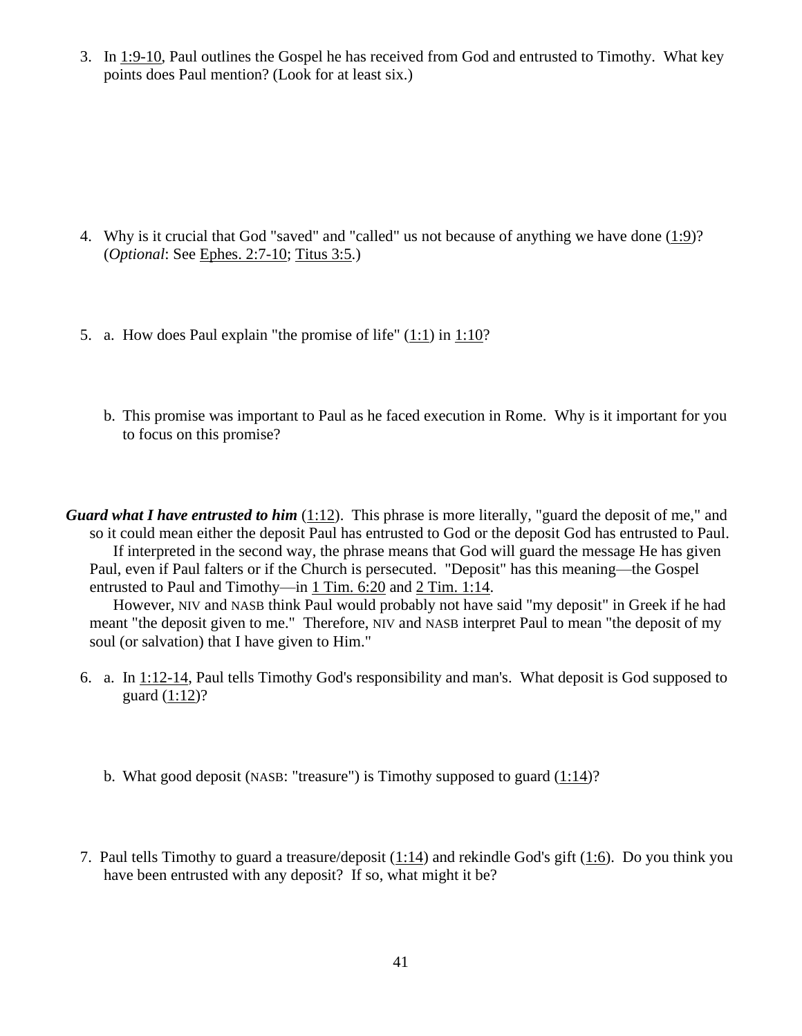3. In  $1:9-10$ , Paul outlines the Gospel he has received from God and entrusted to Timothy. What key points does Paul mention? (Look for at least six.)

- 4. Why is it crucial that God "saved" and "called" us not because of anything we have done [\(1:9\)](http://www.crossbooks.com/verse.asp?ref=2Ti+1%3A9)? (*Optional*: See [Ephes. 2:7-10;](http://www.crossbooks.com/verse.asp?ref=Eph+2%3A7-10) [Titus 3:5.](http://www.crossbooks.com/verse.asp?ref=Tit+3%3A5))
- 5. a. How does Paul explain "the promise of life"  $(1:1)$  in  $1:10$ ?
	- b. This promise was important to Paul as he faced execution in Rome. Why is it important for you to focus on this promise?

*Guard what I have entrusted to him* [\(1:12\)](http://www.crossbooks.com/verse.asp?ref=2Ti+1%3A12). This phrase is more literally, "guard the deposit of me," and so it could mean either the deposit Paul has entrusted to God or the deposit God has entrusted to Paul. If interpreted in the second way, the phrase means that God will guard the message He has given Paul, even if Paul falters or if the Church is persecuted. "Deposit" has this meaning—the Gospel entrusted to Paul and Timothy—in 1 [Tim. 6:20](http://www.crossbooks.com/verse.asp?ref=1Ti+6%3A20) and 2 [Tim. 1:14.](http://www.crossbooks.com/verse.asp?ref=2Ti+1%3A14)

However, NIV and NASB think Paul would probably not have said "my deposit" in Greek if he had meant "the deposit given to me." Therefore, NIV and NASB interpret Paul to mean "the deposit of my soul (or salvation) that I have given to Him."

- 6. a. In [1:12-14,](http://www.crossbooks.com/verse.asp?ref=2Ti+1%3A12-14) Paul tells Timothy God's responsibility and man's. What deposit is God supposed to guard [\(1:12\)](http://www.crossbooks.com/verse.asp?ref=2Ti+1%3A12)?
	- b. What good deposit (NASB: "treasure") is Timothy supposed to guard  $(1:14)$ ?
- 7. Paul tells Timothy to guard a treasure/deposit [\(1:14\)](http://www.crossbooks.com/verse.asp?ref=2Ti+1%3A14) and rekindle God's gift [\(1:6\)](http://www.crossbooks.com/verse.asp?ref=2Ti+1%3A6). Do you think you have been entrusted with any deposit? If so, what might it be?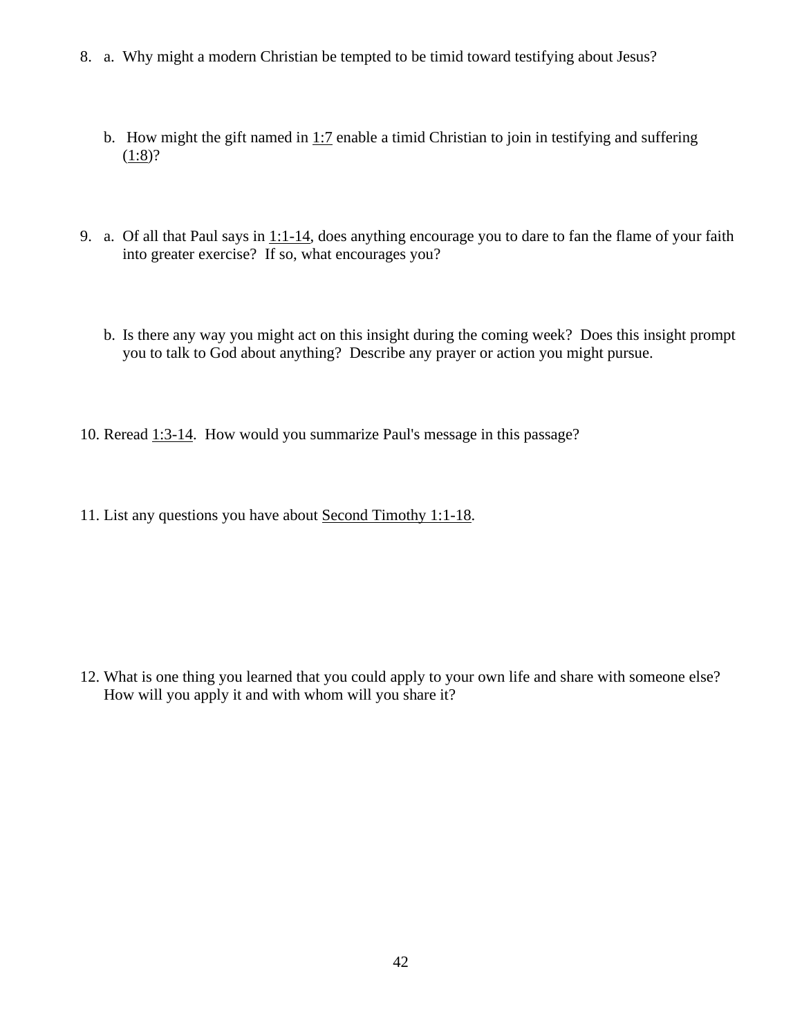- 8. a. Why might a modern Christian be tempted to be timid toward testifying about Jesus?
	- b. How might the gift named in [1:7](http://www.crossbooks.com/verse.asp?ref=2Ti+1%3A7) enable a timid Christian to join in testifying and suffering  $(1:8)?$  $(1:8)?$
- 9. a. Of all that Paul says in [1:1-14,](http://www.crossbooks.com/verse.asp?ref=2Ti+1%3A1-14) does anything encourage you to dare to fan the flame of your faith into greater exercise? If so, what encourages you?
	- b. Is there any way you might act on this insight during the coming week? Does this insight prompt you to talk to God about anything? Describe any prayer or action you might pursue.
- 10. Reread [1:3-14.](http://www.crossbooks.com/verse.asp?ref=2Ti+1%3A3-14) How would you summarize Paul's message in this passage?
- 11. List any questions you have about Second Timothy 1:1-18.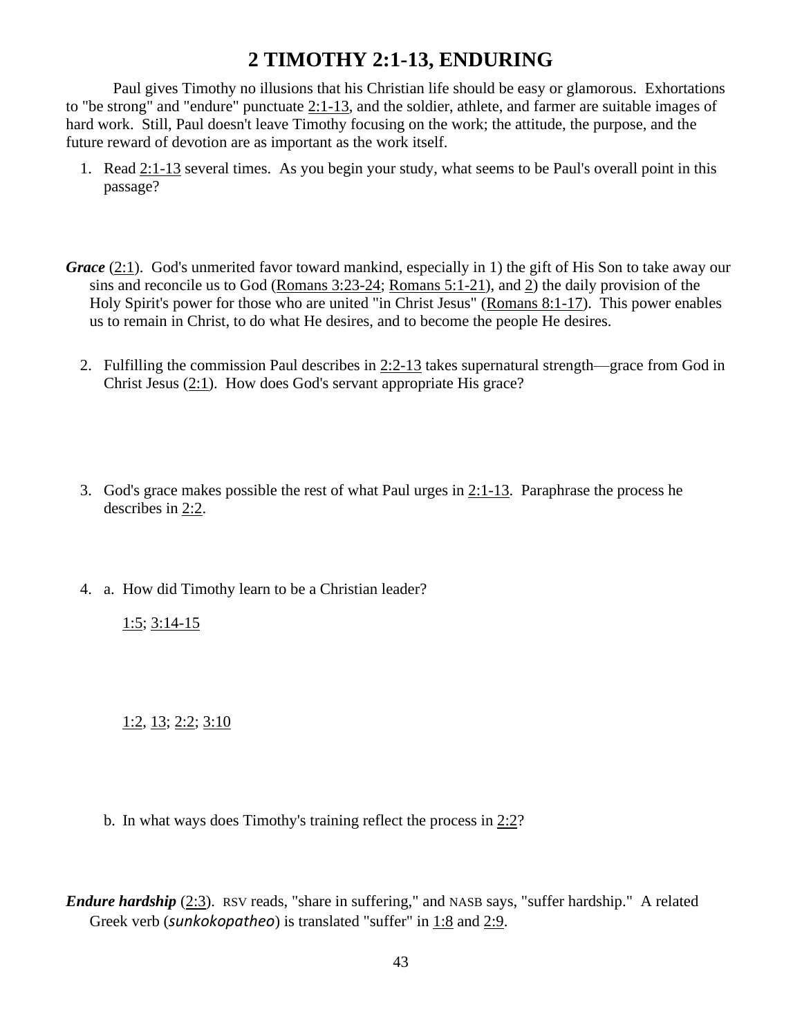## **2 TIMOTHY 2:1-13, ENDURING**

Paul gives Timothy no illusions that his Christian life should be easy or glamorous. Exhortations to "be strong" and "endure" punctuate [2:1-13,](http://www.crossbooks.com/verse.asp?ref=2Ti+2%3A1-13) and the soldier, athlete, and farmer are suitable images of hard work. Still, Paul doesn't leave Timothy focusing on the work; the attitude, the purpose, and the future reward of devotion are as important as the work itself.

- 1. Read [2:1-13](http://www.crossbooks.com/verse.asp?ref=2Ti+2%3A1-13) several times. As you begin your study, what seems to be Paul's overall point in this passage?
- *Grace* [\(2:1\)](http://www.crossbooks.com/verse.asp?ref=2Ti+2%3A1). God's unmerited favor toward mankind, especially in 1) the gift of His Son to take away our sins and reconcile us to God [\(Romans 3:23-24;](http://www.crossbooks.com/verse.asp?ref=Ro+3%3A23-24) [Romans 5:1-21\)](http://www.crossbooks.com/verse.asp?ref=Ro+5%3A1-21), and [2\)](http://www.crossbooks.com/verse.asp?ref=2Ti+2%3A2) the daily provision of the Holy Spirit's power for those who are united "in Christ Jesus" [\(Romans 8:1-17\)](http://www.crossbooks.com/verse.asp?ref=Ro+8%3A1-17). This power enables us to remain in Christ, to do what He desires, and to become the people He desires.
	- 2. Fulfilling the commission Paul describes in  $2:2-13$  takes supernatural strength—grace from God in Christ Jesus [\(2:1\)](http://www.crossbooks.com/verse.asp?ref=2Ti+2%3A1). How does God's servant appropriate His grace?
	- 3. God's grace makes possible the rest of what Paul urges in [2:1-13.](http://www.crossbooks.com/verse.asp?ref=2Ti+2%3A1-13) Paraphrase the process he describes in [2:2.](http://www.crossbooks.com/verse.asp?ref=2Ti+2%3A2)
	- 4. a. How did Timothy learn to be a Christian leader?

[1:5;](http://www.crossbooks.com/verse.asp?ref=2Ti+1%3A5)  $3:14-15$ 

 $1:2, 13; 2:2; 3:10$  $1:2, 13; 2:2; 3:10$  $1:2, 13; 2:2; 3:10$  $1:2, 13; 2:2; 3:10$ 

b. In what ways does Timothy's training reflect the process in [2:2?](http://www.crossbooks.com/verse.asp?ref=2Ti+2%3A2)

*Endure hardship* [\(2:3\)](http://www.crossbooks.com/verse.asp?ref=2Ti+2%3A3). RSV reads, "share in suffering," and NASB says, "suffer hardship." A related Greek verb (*sunkokopatheo*) is translated "suffer" in [1:8](http://www.crossbooks.com/verse.asp?ref=2Ti+1%3A8) and [2:9.](http://www.crossbooks.com/verse.asp?ref=2Ti+2%3A9)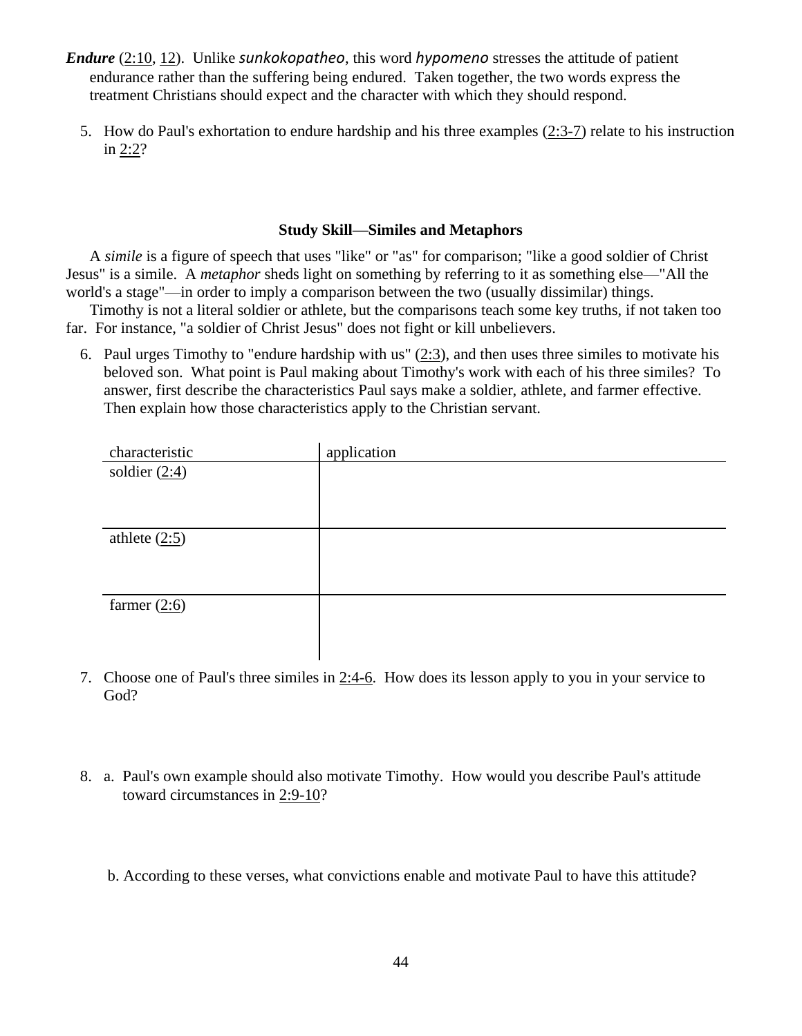- *Endure* [\(2:10,](http://www.crossbooks.com/verse.asp?ref=2Ti+2%3A10) [12\)](http://www.crossbooks.com/verse.asp?ref=2Ti+2%3A12). Unlike *sunkokopatheo*, this word *hypomeno* stresses the attitude of patient endurance rather than the suffering being endured. Taken together, the two words express the treatment Christians should expect and the character with which they should respond.
	- 5. How do Paul's exhortation to endure hardship and his three examples [\(2:3-7\)](http://www.crossbooks.com/verse.asp?ref=2Ti+2%3A3-7) relate to his instruction in  $2:2?$

#### **Study Skill—Similes and Metaphors**

A *simile* is a figure of speech that uses "like" or "as" for comparison; "like a good soldier of Christ Jesus" is a simile. A *metaphor* sheds light on something by referring to it as something else—"All the world's a stage"—in order to imply a comparison between the two (usually dissimilar) things.

Timothy is not a literal soldier or athlete, but the comparisons teach some key truths, if not taken too far. For instance, "a soldier of Christ Jesus" does not fight or kill unbelievers.

6. Paul urges Timothy to "endure hardship with us" [\(2:3\)](http://www.crossbooks.com/verse.asp?ref=2Ti+2%3A3), and then uses three similes to motivate his beloved son. What point is Paul making about Timothy's work with each of his three similes? To answer, first describe the characteristics Paul says make a soldier, athlete, and farmer effective. Then explain how those characteristics apply to the Christian servant.

| characteristic  | application |
|-----------------|-------------|
| soldier $(2:4)$ |             |
|                 |             |
|                 |             |
| athlete $(2:5)$ |             |
|                 |             |
|                 |             |
| farmer $(2:6)$  |             |
|                 |             |
|                 |             |

- 7. Choose one of Paul's three similes in [2:4-6.](http://www.crossbooks.com/verse.asp?ref=2Ti+2%3A4-6) How does its lesson apply to you in your service to God?
- 8. a. Paul's own example should also motivate Timothy. How would you describe Paul's attitude toward circumstances in [2:9-10?](http://www.crossbooks.com/verse.asp?ref=2Ti+2%3A9-10)

b. According to these verses, what convictions enable and motivate Paul to have this attitude?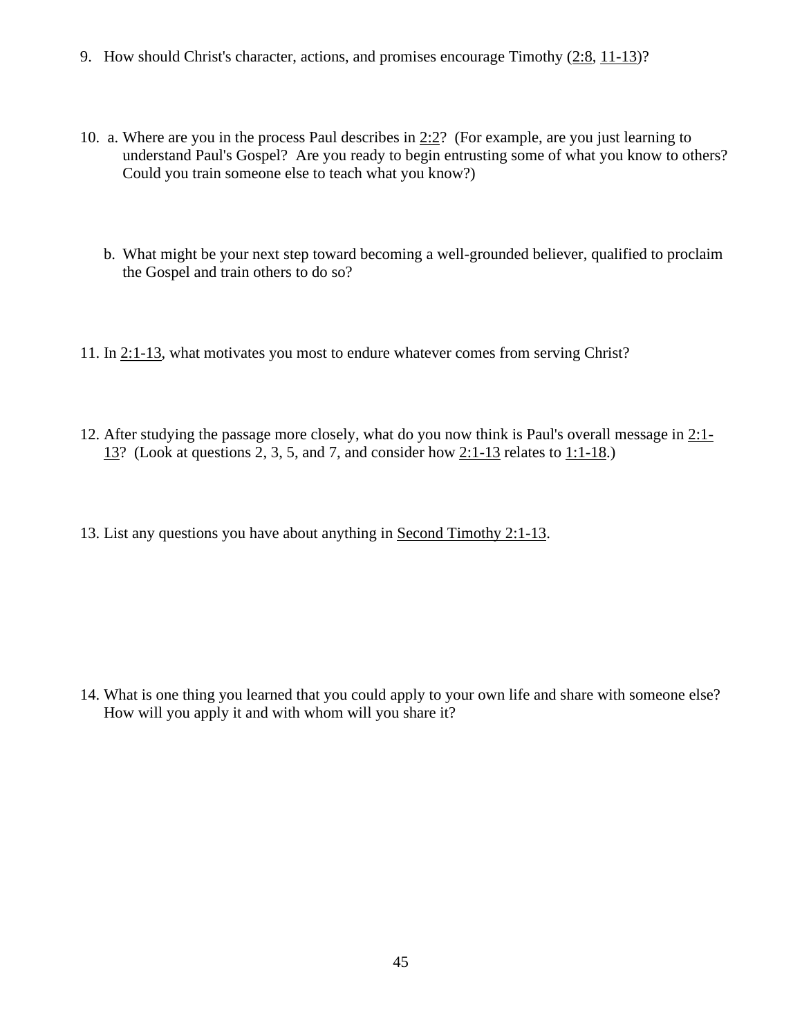- 9. How should Christ's character, actions, and promises encourage Timothy [\(2:8,](http://www.crossbooks.com/verse.asp?ref=2Ti+2%3A8) [11-13\)](http://www.crossbooks.com/verse.asp?ref=2Ti+2%3A11-13)?
- 10. a. Where are you in the process Paul describes in [2:2?](http://www.crossbooks.com/verse.asp?ref=2Ti+2%3A2) (For example, are you just learning to understand Paul's Gospel? Are you ready to begin entrusting some of what you know to others? Could you train someone else to teach what you know?)
	- b. What might be your next step toward becoming a well-grounded believer, qualified to proclaim the Gospel and train others to do so?
- 11. In [2:1-13,](http://www.crossbooks.com/verse.asp?ref=2Ti+2%3A1-13) what motivates you most to endure whatever comes from serving Christ?
- 12. After studying the passage more closely, what do you now think is Paul's overall message in [2:1-](http://www.crossbooks.com/verse.asp?ref=2Ti+2%3A1-13) [13?](http://www.crossbooks.com/verse.asp?ref=2Ti+2%3A1-13) (Look at questions 2, 3, 5, and 7, and consider how [2:1-13](http://www.crossbooks.com/verse.asp?ref=2Ti+2%3A1-13) relates to [1:1-18.](http://www.crossbooks.com/verse.asp?ref=2Ti+1%3A1-18))
- 13. List any questions you have about anything in Second Timothy 2:1-13.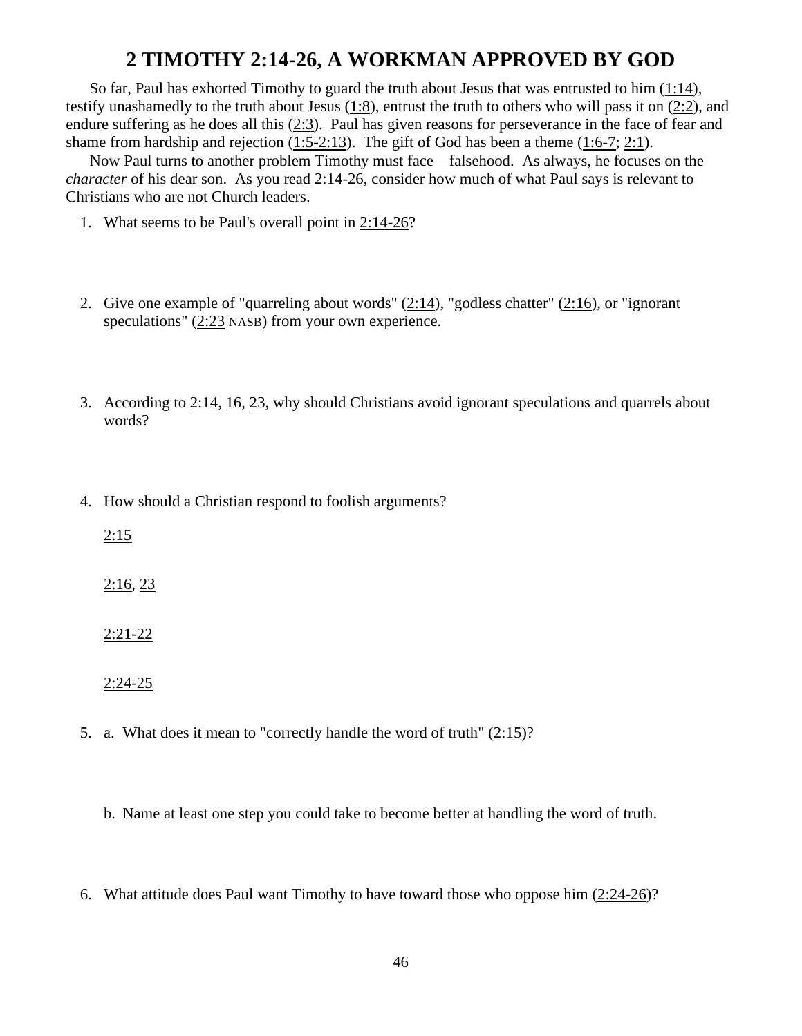## **2 TIMOTHY 2:14-26, A WORKMAN APPROVED BY GOD**

So far, Paul has exhorted Timothy to guard the truth about Jesus that was entrusted to him [\(1:14\)](http://www.crossbooks.com/verse.asp?ref=2Ti+1%3A14), testify unashamedly to the truth about Jesus [\(1:8\)](http://www.crossbooks.com/verse.asp?ref=2Ti+1%3A8), entrust the truth to others who will pass it on [\(2:2\)](http://www.crossbooks.com/verse.asp?ref=2Ti+2%3A2), and endure suffering as he does all this [\(2:3\)](http://www.crossbooks.com/verse.asp?ref=2Ti+2%3A3). Paul has given reasons for perseverance in the face of fear and shame from hardship and rejection  $(1:5-2:13)$ . The gift of God has been a theme  $(1:6-7; 2:1)$  $(1:6-7; 2:1)$ .

Now Paul turns to another problem Timothy must face—falsehood. As always, he focuses on the *character* of his dear son. As you read [2:14-26,](http://www.crossbooks.com/verse.asp?ref=2Ti+2%3A14-26) consider how much of what Paul says is relevant to Christians who are not Church leaders.

- 1. What seems to be Paul's overall point in [2:14-26?](http://www.crossbooks.com/verse.asp?ref=2Ti+2%3A14-26)
- 2. Give one example of "quarreling about words"  $(2:14)$ , "godless chatter"  $(2:16)$ , or "ignorant speculations"  $(2:23)$  $(2:23)$  NASB) from your own experience.
- 3. According to [2:14,](http://www.crossbooks.com/verse.asp?ref=2Ti+2%3A14) [16,](http://www.crossbooks.com/verse.asp?ref=2Ti+2%3A16) [23,](http://www.crossbooks.com/verse.asp?ref=2Ti+2%3A23) why should Christians avoid ignorant speculations and quarrels about words?
- 4. How should a Christian respond to foolish arguments?

 $2:15$ 

 $2:16, 23$  $2:16, 23$ 

[2:21-22](http://www.crossbooks.com/verse.asp?ref=2Ti+2%3A21-22)

[2:24-25](http://www.crossbooks.com/verse.asp?ref=2Ti+2%3A24-25)

5. a. What does it mean to "correctly handle the word of truth" [\(2:15\)](http://www.crossbooks.com/verse.asp?ref=2Ti+2%3A15)?

b. Name at least one step you could take to become better at handling the word of truth.

6. What attitude does Paul want Timothy to have toward those who oppose him [\(2:24-26\)](http://www.crossbooks.com/verse.asp?ref=2Ti+2%3A24-26)?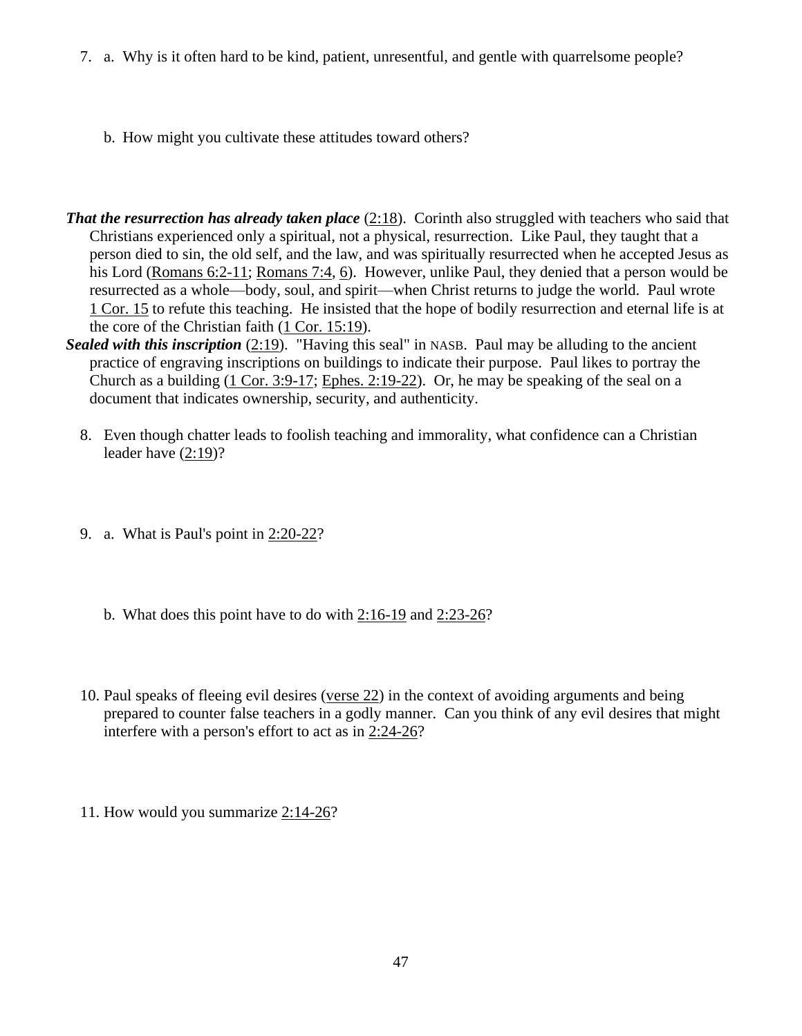- 7. a. Why is it often hard to be kind, patient, unresentful, and gentle with quarrelsome people?
	- b. How might you cultivate these attitudes toward others?
- *That the resurrection has already taken place* [\(2:18\)](http://www.crossbooks.com/verse.asp?ref=2Ti+2%3A18). Corinth also struggled with teachers who said that Christians experienced only a spiritual, not a physical, resurrection. Like Paul, they taught that a person died to sin, the old self, and the law, and was spiritually resurrected when he accepted Jesus as his Lord [\(Romans 6:2-11;](http://www.crossbooks.com/verse.asp?ref=Ro+6%3A2-11) [Romans 7:4,](http://www.crossbooks.com/verse.asp?ref=Ro+7%3A4) [6\)](http://www.crossbooks.com/verse.asp?ref=Ro+7%3A6). However, unlike Paul, they denied that a person would be resurrected as a whole—body, soul, and spirit—when Christ returns to judge the world. Paul wrote 1 [Cor. 15](http://www.crossbooks.com/verse.asp?ref=1Co+15) to refute this teaching. He insisted that the hope of bodily resurrection and eternal life is at the core of the Christian faith (1 [Cor. 15:19\)](http://www.crossbooks.com/verse.asp?ref=1Co+15%3A19).
- **Sealed with this inscription** [\(2:19\)](http://www.crossbooks.com/verse.asp?ref=2Ti+2%3A19). "Having this seal" in NASB. Paul may be alluding to the ancient practice of engraving inscriptions on buildings to indicate their purpose. Paul likes to portray the Church as a building (1 [Cor. 3:9-17;](http://www.crossbooks.com/verse.asp?ref=1Co+3%3A9-17) [Ephes. 2:19-22\)](http://www.crossbooks.com/verse.asp?ref=Eph+2%3A19-22). Or, he may be speaking of the seal on a document that indicates ownership, security, and authenticity.
	- 8. Even though chatter leads to foolish teaching and immorality, what confidence can a Christian leader have  $(2:19)$ ?
	- 9. a. What is Paul's point in [2:20-22?](http://www.crossbooks.com/verse.asp?ref=2Ti+2%3A20-22)
		- b. What does this point have to do with [2:16-19](http://www.crossbooks.com/verse.asp?ref=2Ti+2%3A16-19) and [2:23-26?](http://www.crossbooks.com/verse.asp?ref=2Ti+2%3A23-26)
	- 10. Paul speaks of fleeing evil desires [\(verse 22\)](http://www.crossbooks.com/verse.asp?ref=2Ti+2%3A22) in the context of avoiding arguments and being prepared to counter false teachers in a godly manner. Can you think of any evil desires that might interfere with a person's effort to act as in [2:24-26?](http://www.crossbooks.com/verse.asp?ref=2Ti+2%3A24-26)
	- 11. How would you summarize [2:14-26?](http://www.crossbooks.com/verse.asp?ref=2Ti+2%3A14-26)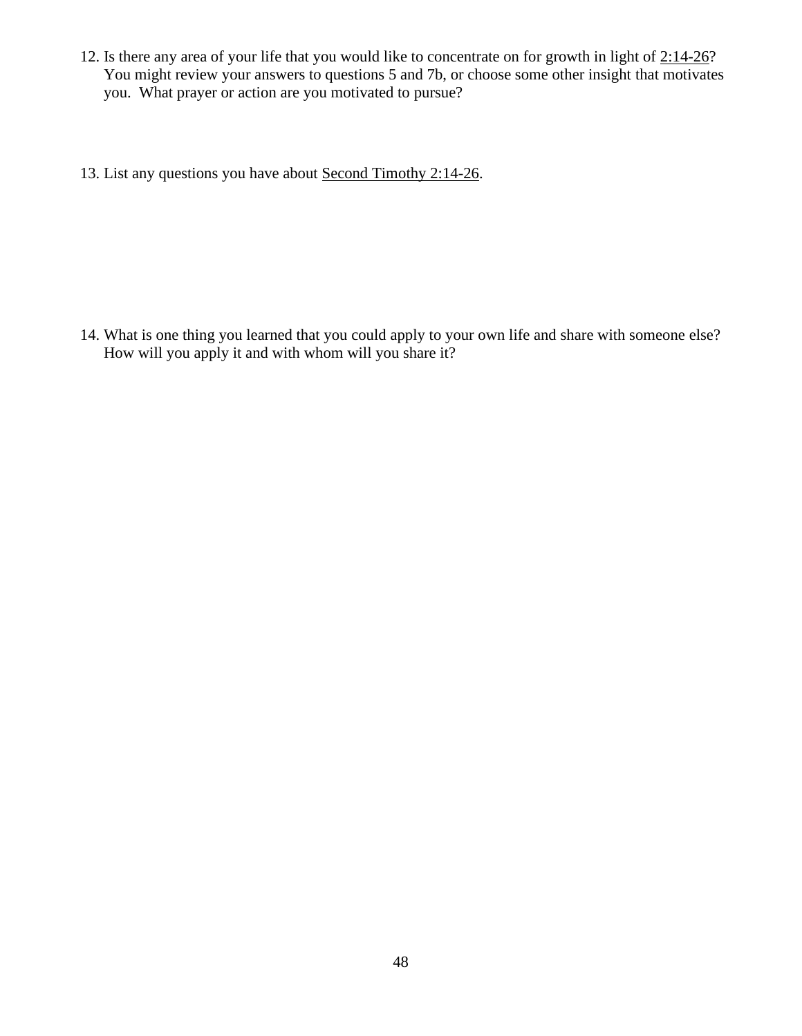- 12. Is there any area of your life that you would like to concentrate on for growth in light of [2:14-26?](http://www.crossbooks.com/verse.asp?ref=2Ti+2%3A14-26) You might review your answers to questions 5 and 7b, or choose some other insight that motivates you. What prayer or action are you motivated to pursue?
- 13. List any questions you have about Second Timothy [2:14-26.](http://www.crossbooks.com/verse.asp?ref=2Ti+2%3A14-26)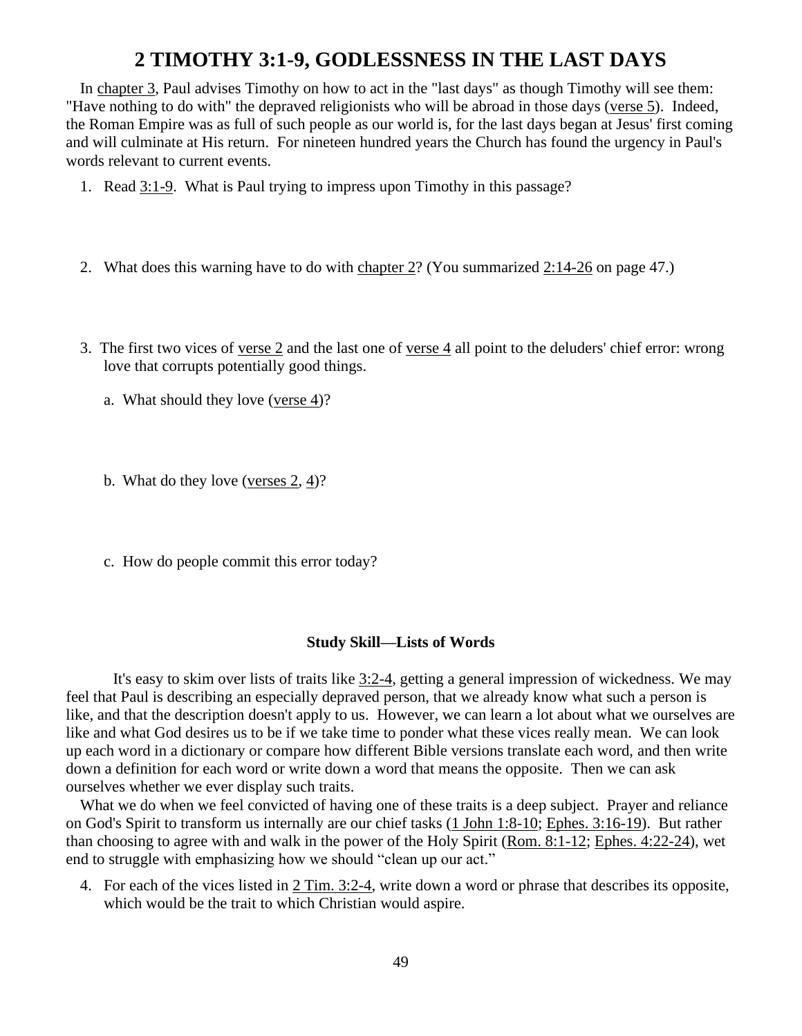## **2 TIMOTHY 3:1-9, GODLESSNESS IN THE LAST DAYS**

In [chapter 3,](http://www.crossbooks.com/verse.asp?ref=2Ti+3) Paul advises Timothy on how to act in the "last days" as though Timothy will see them: "Have nothing to do with" the depraved religionists who will be abroad in those days [\(verse 5\)](http://www.crossbooks.com/verse.asp?ref=2Ti+3%3A5). Indeed, the Roman Empire was as full of such people as our world is, for the last days began at Jesus' first coming and will culminate at His return. For nineteen hundred years the Church has found the urgency in Paul's words relevant to current events.

- 1. Read [3:1-9.](http://www.crossbooks.com/verse.asp?ref=2Ti+3%3A1-9) What is Paul trying to impress upon Timothy in this passage?
- 2. What does this warning have to do with [chapter 2?](http://www.crossbooks.com/verse.asp?ref=2Ti+2) (You summarized [2:14-26](http://www.crossbooks.com/verse.asp?ref=2Ti+2%3A14-26) on page 47.)
- 3. The first two vices of [verse 2](http://www.crossbooks.com/verse.asp?ref=2Ti+3%3A2) and the last one of [verse 4](http://www.crossbooks.com/verse.asp?ref=2Ti+3%3A4) all point to the deluders' chief error: wrong love that corrupts potentially good things.
	- a. What should they love [\(verse 4\)](http://www.crossbooks.com/verse.asp?ref=2Ti+3%3A4)?
	- b. What do they love [\(verses 2,](http://www.crossbooks.com/verse.asp?ref=2Ti+3%3A2) [4\)](http://www.crossbooks.com/verse.asp?ref=2Ti+3%3A4)?
	- c. How do people commit this error today?

#### **Study Skill—Lists of Words**

It's easy to skim over lists of traits like [3:2-4,](http://www.crossbooks.com/verse.asp?ref=2Ti+3%3A2-4) getting a general impression of wickedness. We may feel that Paul is describing an especially depraved person, that we already know what such a person is like, and that the description doesn't apply to us. However, we can learn a lot about what we ourselves are like and what God desires us to be if we take time to ponder what these vices really mean. We can look up each word in a dictionary or compare how different Bible versions translate each word, and then write down a definition for each word or write down a word that means the opposite. Then we can ask ourselves whether we ever display such traits.

What we do when we feel convicted of having one of these traits is a deep subject. Prayer and reliance on God's Spirit to transform us internally are our chief tasks (1 [John 1:8-10;](http://www.crossbooks.com/verse.asp?ref=1Jn+1%3A8-10) [Ephes. 3:16-19\)](http://www.crossbooks.com/verse.asp?ref=Eph+3%3A16-19). But rather than choosing to agree with and walk in the power of the Holy Spirit (Rom. 8:1-12; [Ephes. 4:22-24\)](http://www.crossbooks.com/verse.asp?ref=Eph+4%3A22-24), wet end to struggle with emphasizing how we should "clean up our act."

4. For each of the vices listed in 2 [Tim. 3:2-4,](http://www.crossbooks.com/verse.asp?ref=2Ti+3%3A2-4) write down a word or phrase that describes its opposite, which would be the trait to which Christian would aspire.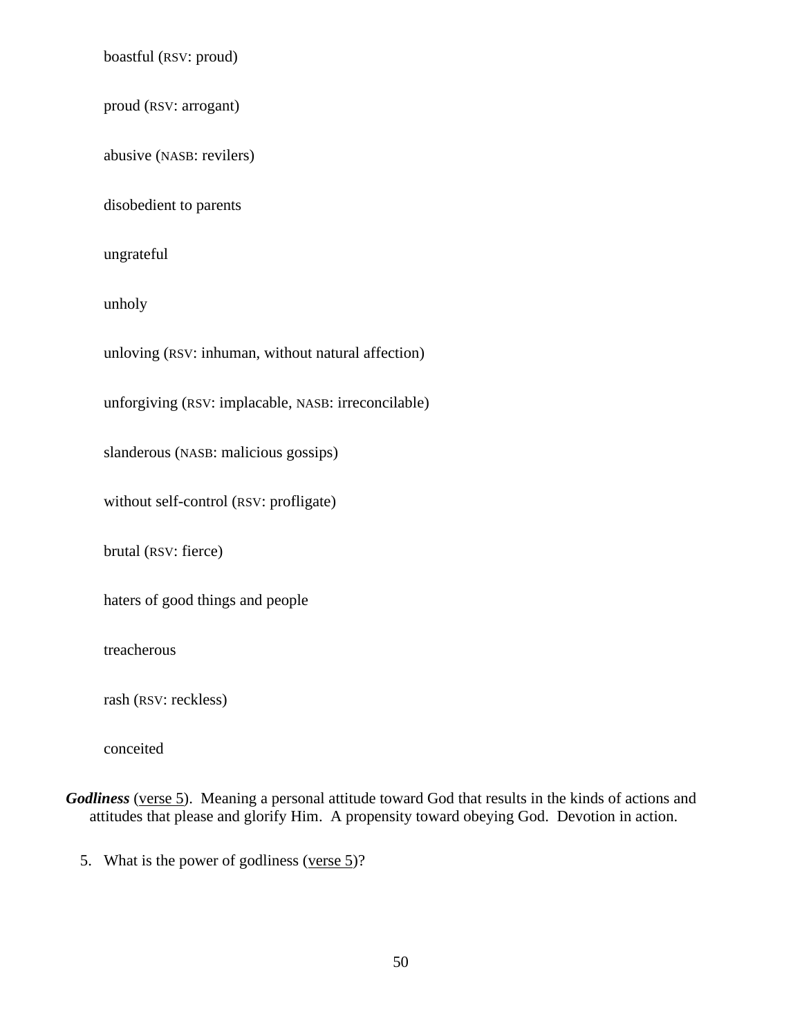boastful (RSV: proud)

proud (RSV: arrogant)

abusive (NASB: revilers)

disobedient to parents

ungrateful

unholy

unloving (RSV: inhuman, without natural affection)

unforgiving (RSV: implacable, NASB: irreconcilable)

slanderous (NASB: malicious gossips)

without self-control (RSV: profligate)

brutal (RSV: fierce)

haters of good things and people

treacherous

rash (RSV: reckless)

conceited

*Godliness* [\(verse 5\)](http://www.crossbooks.com/verse.asp?ref=2Ti+3%3A5). Meaning a personal attitude toward God that results in the kinds of actions and attitudes that please and glorify Him. A propensity toward obeying God. Devotion in action.

5. What is the power of godliness [\(verse 5\)](http://www.crossbooks.com/verse.asp?ref=2Ti+3%3A5)?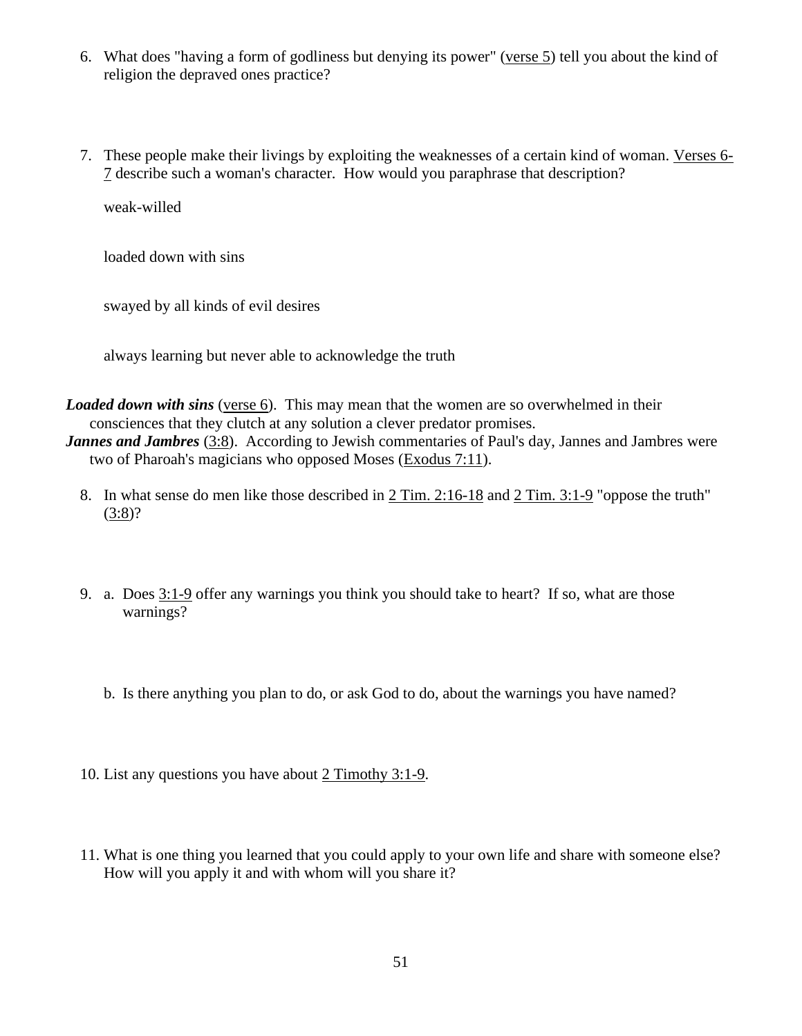- 6. What does "having a form of godliness but denying its power" [\(verse 5\)](http://www.crossbooks.com/verse.asp?ref=2Ti+3%3A5) tell you about the kind of religion the depraved ones practice?
- 7. These people make their livings by exploiting the weaknesses of a certain kind of woman. [Verses 6-](http://www.crossbooks.com/verse.asp?ref=2Ti+3%3A6-7) [7](http://www.crossbooks.com/verse.asp?ref=2Ti+3%3A6-7) describe such a woman's character. How would you paraphrase that description?

weak-willed

loaded down with sins

swayed by all kinds of evil desires

always learning but never able to acknowledge the truth

*Loaded down with sins* [\(verse 6\)](http://www.crossbooks.com/verse.asp?ref=2Ti+3%3A6). This may mean that the women are so overwhelmed in their consciences that they clutch at any solution a clever predator promises.

*Jannes and Jambres* [\(3:8\)](http://www.crossbooks.com/verse.asp?ref=2Ti+3%3A8). According to Jewish commentaries of Paul's day, Jannes and Jambres were two of Pharoah's magicians who opposed Moses [\(Exodus 7:11\)](http://www.crossbooks.com/verse.asp?ref=Ex+7%3A11).

- 8. In what sense do men like those described in 2 [Tim. 2:16-18](http://www.crossbooks.com/verse.asp?ref=2Ti+2%3A16-18) and 2 [Tim. 3:1-9](http://www.crossbooks.com/verse.asp?ref=2Ti+3%3A1-9) "oppose the truth" [\(3:8\)](http://www.crossbooks.com/verse.asp?ref=2Ti+3%3A8)?
- 9. a. Does  $3:1-9$  offer any warnings you think you should take to heart? If so, what are those warnings?
	- b. Is there anything you plan to do, or ask God to do, about the warnings you have named?
- 10. List any questions you have about 2 Timothy 3:1-9.
- 11. What is one thing you learned that you could apply to your own life and share with someone else? How will you apply it and with whom will you share it?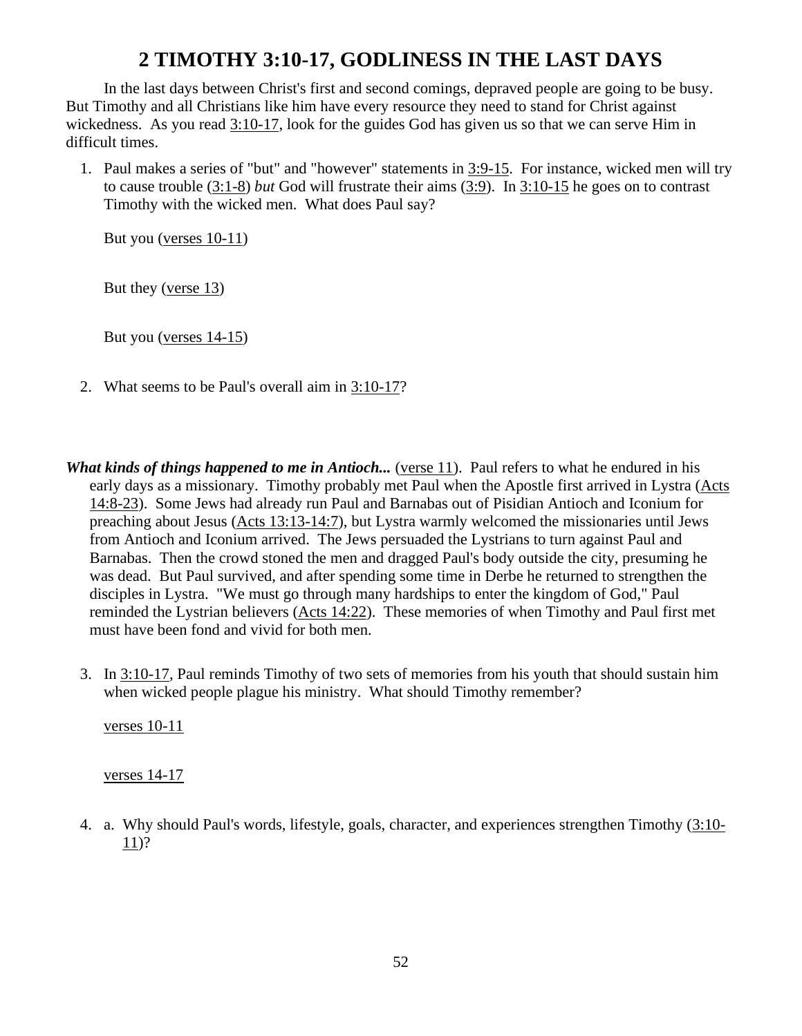# **2 TIMOTHY 3:10-17, GODLINESS IN THE LAST DAYS**

In the last days between Christ's first and second comings, depraved people are going to be busy. But Timothy and all Christians like him have every resource they need to stand for Christ against wickedness. As you read [3:10-17,](http://www.crossbooks.com/verse.asp?ref=2Ti+3%3A10-17) look for the guides God has given us so that we can serve Him in difficult times.

1. Paul makes a series of "but" and "however" statements in [3:9-15.](http://www.crossbooks.com/verse.asp?ref=2Ti+3%3A9-15) For instance, wicked men will try to cause trouble [\(3:1-8\)](http://www.crossbooks.com/verse.asp?ref=2Ti+3%3A1-8) *but* God will frustrate their aims [\(3:9\)](http://www.crossbooks.com/verse.asp?ref=2Ti+3%3A9). In [3:10-15](http://www.crossbooks.com/verse.asp?ref=2Ti+3%3A10-15) he goes on to contrast Timothy with the wicked men. What does Paul say?

But you [\(verses 10-11\)](http://www.crossbooks.com/verse.asp?ref=2Ti+3%3A10-11)

But they [\(verse 13\)](http://www.crossbooks.com/verse.asp?ref=2Ti+3%3A13)

But you [\(verses 14-15\)](http://www.crossbooks.com/verse.asp?ref=2Ti+3%3A14-15)

- 2. What seems to be Paul's overall aim in [3:10-17?](http://www.crossbooks.com/verse.asp?ref=2Ti+3%3A10-17)
- *What kinds of things happened to me in Antioch...* [\(verse 11\)](http://www.crossbooks.com/verse.asp?ref=2Ti+3%3A11). Paul refers to what he endured in his early days as a missionary. Timothy probably met Paul when the Apostle first arrived in Lystra [\(Acts](http://www.crossbooks.com/verse.asp?ref=Ac+14%3A8-23)  [14:8-23\)](http://www.crossbooks.com/verse.asp?ref=Ac+14%3A8-23). Some Jews had already run Paul and Barnabas out of Pisidian Antioch and Iconium for preaching about Jesus [\(Acts 13:13-14:7\)](http://www.crossbooks.com/verse.asp?ref=Ac+13%3A13-14%3A7), but Lystra warmly welcomed the missionaries until Jews from Antioch and Iconium arrived. The Jews persuaded the Lystrians to turn against Paul and Barnabas. Then the crowd stoned the men and dragged Paul's body outside the city, presuming he was dead. But Paul survived, and after spending some time in Derbe he returned to strengthen the disciples in Lystra. "We must go through many hardships to enter the kingdom of God," Paul reminded the Lystrian believers [\(Acts 14:22\)](http://www.crossbooks.com/verse.asp?ref=Ac+14%3A22). These memories of when Timothy and Paul first met must have been fond and vivid for both men.
	- 3. In [3:10-17,](http://www.crossbooks.com/verse.asp?ref=2Ti+3%3A10-17) Paul reminds Timothy of two sets of memories from his youth that should sustain him when wicked people plague his ministry. What should Timothy remember?

[verses 10-11](http://www.crossbooks.com/verse.asp?ref=2Ti+3%3A10-11)

[verses 14-17](http://www.crossbooks.com/verse.asp?ref=2Ti+3%3A14-17)

4. a. Why should Paul's words, lifestyle, goals, character, and experiences strengthen Timothy [\(3:10-](http://www.crossbooks.com/verse.asp?ref=2Ti+3%3A10-11) [11\)](http://www.crossbooks.com/verse.asp?ref=2Ti+3%3A10-11)?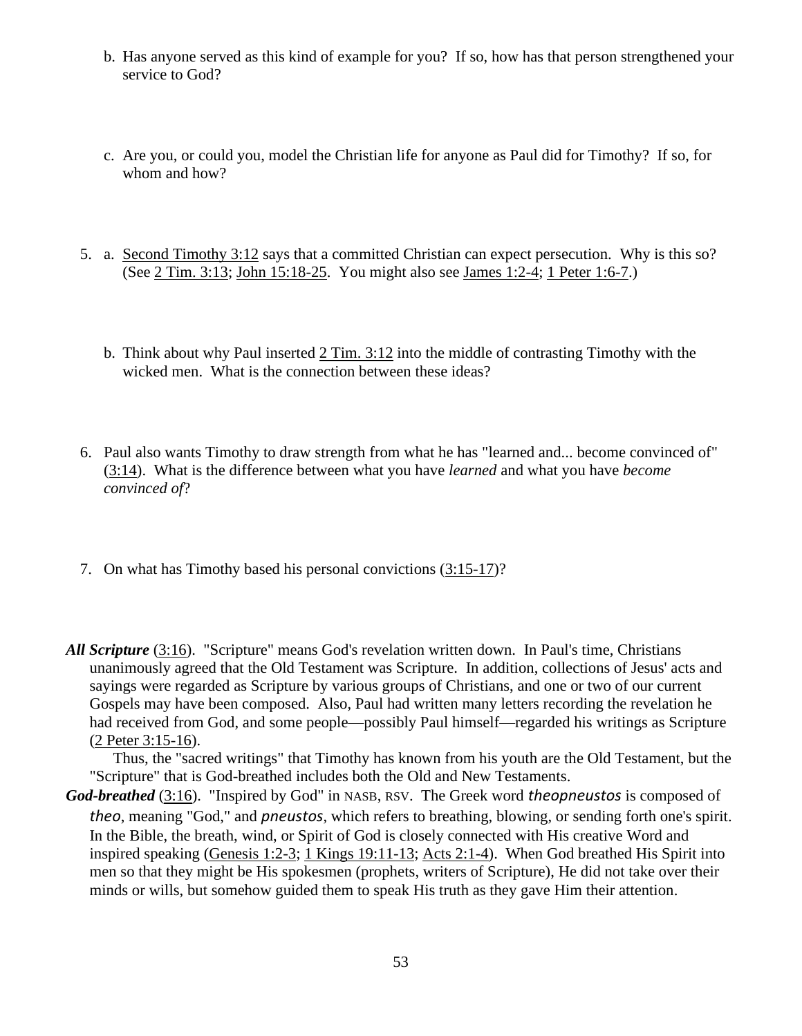- b. Has anyone served as this kind of example for you? If so, how has that person strengthened your service to God?
- c. Are you, or could you, model the Christian life for anyone as Paul did for Timothy? If so, for whom and how?
- 5. a. [Second Timothy 3:12](http://www.crossbooks.com/verse.asp?ref=2Ti+3%3A12) says that a committed Christian can expect persecution. Why is this so? (See 2 [Tim. 3:13;](http://www.crossbooks.com/verse.asp?ref=2Ti+3%3A13) [John 15:18-25.](http://www.crossbooks.com/verse.asp?ref=Jn+15%3A18-25) You might also see [James 1:2-4;](http://www.crossbooks.com/verse.asp?ref=Jas+1%3A2-4) 1 [Peter 1:6-7.](http://www.crossbooks.com/verse.asp?ref=1Pe+1%3A6-7))
	- b. Think about why Paul inserted 2 [Tim. 3:12](http://www.crossbooks.com/verse.asp?ref=2Ti+3%3A12) into the middle of contrasting Timothy with the wicked men. What is the connection between these ideas?
- 6. Paul also wants Timothy to draw strength from what he has "learned and... become convinced of" [\(3:14\)](http://www.crossbooks.com/verse.asp?ref=2Ti+3%3A14). What is the difference between what you have *learned* and what you have *become convinced of*?
- 7. On what has Timothy based his personal convictions [\(3:15-17\)](http://www.crossbooks.com/verse.asp?ref=2Ti+3%3A15-17)?
- *All Scripture* [\(3:16\)](http://www.crossbooks.com/verse.asp?ref=2Ti+3%3A16). "Scripture" means God's revelation written down. In Paul's time, Christians unanimously agreed that the Old Testament was Scripture. In addition, collections of Jesus' acts and sayings were regarded as Scripture by various groups of Christians, and one or two of our current Gospels may have been composed. Also, Paul had written many letters recording the revelation he had received from God, and some people—possibly Paul himself—regarded his writings as Scripture (2 [Peter 3:15-16\)](http://www.crossbooks.com/verse.asp?ref=2Pe+3%3A15-16).

Thus, the "sacred writings" that Timothy has known from his youth are the Old Testament, but the "Scripture" that is God-breathed includes both the Old and New Testaments.

*God-breathed* [\(3:16\)](http://www.crossbooks.com/verse.asp?ref=2Ti+3%3A16). "Inspired by God" in NASB, RSV. The Greek word *theopneustos* is composed of *theo*, meaning "God," and *pneustos*, which refers to breathing, blowing, or sending forth one's spirit. In the Bible, the breath, wind, or Spirit of God is closely connected with His creative Word and inspired speaking [\(Genesis 1:2-3;](http://www.crossbooks.com/verse.asp?ref=Ge+1%3A2-3) 1 [Kings 19:11-13;](http://www.crossbooks.com/verse.asp?ref=1Ki+19%3A11-13) [Acts 2:1-4\)](http://www.crossbooks.com/verse.asp?ref=Ac+2%3A1-4). When God breathed His Spirit into men so that they might be His spokesmen (prophets, writers of Scripture), He did not take over their minds or wills, but somehow guided them to speak His truth as they gave Him their attention.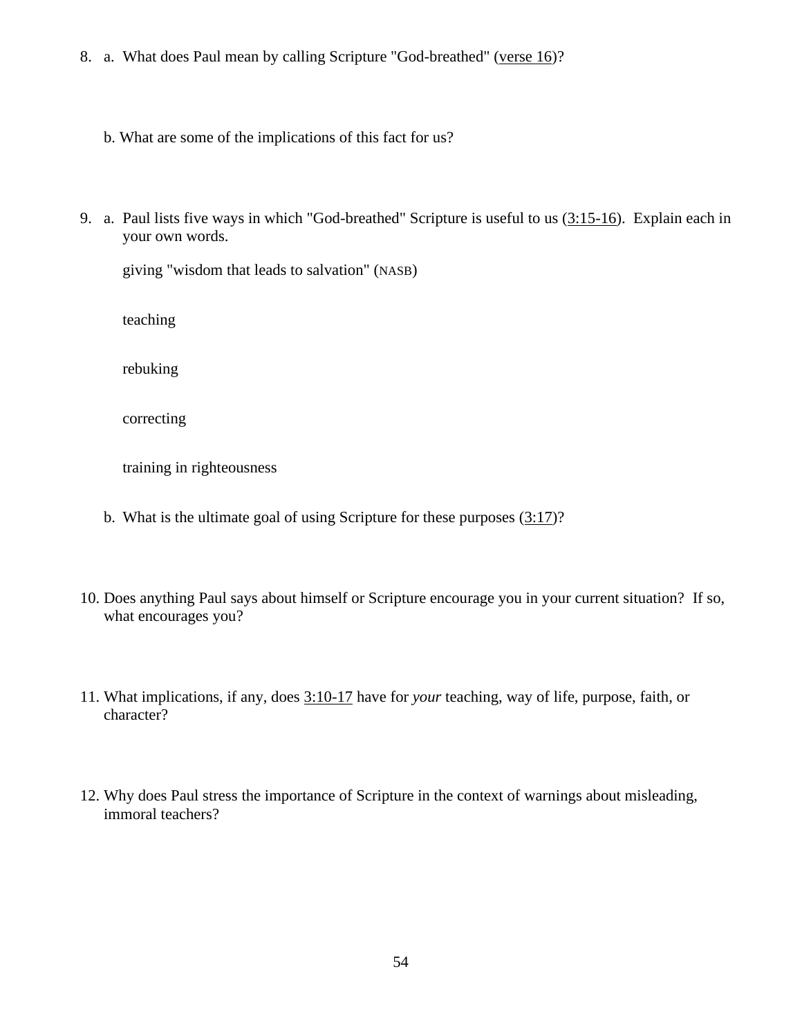- 8. a. What does Paul mean by calling Scripture "God-breathed" [\(verse 16\)](http://www.crossbooks.com/verse.asp?ref=2Ti+3%3A16)?
	- b. What are some of the implications of this fact for us?
- 9. a. Paul lists five ways in which "God-breathed" Scripture is useful to us [\(3:15-16\)](http://www.crossbooks.com/verse.asp?ref=2Ti+3%3A15-16). Explain each in your own words.

giving "wisdom that leads to salvation" (NASB)

teaching

rebuking

correcting

training in righteousness

- b. What is the ultimate goal of using Scripture for these purposes  $(3:17)$ ?
- 10. Does anything Paul says about himself or Scripture encourage you in your current situation? If so, what encourages you?
- 11. What implications, if any, does [3:10-17](http://www.crossbooks.com/verse.asp?ref=2Ti+3%3A10-17) have for *your* teaching, way of life, purpose, faith, or character?
- 12. Why does Paul stress the importance of Scripture in the context of warnings about misleading, immoral teachers?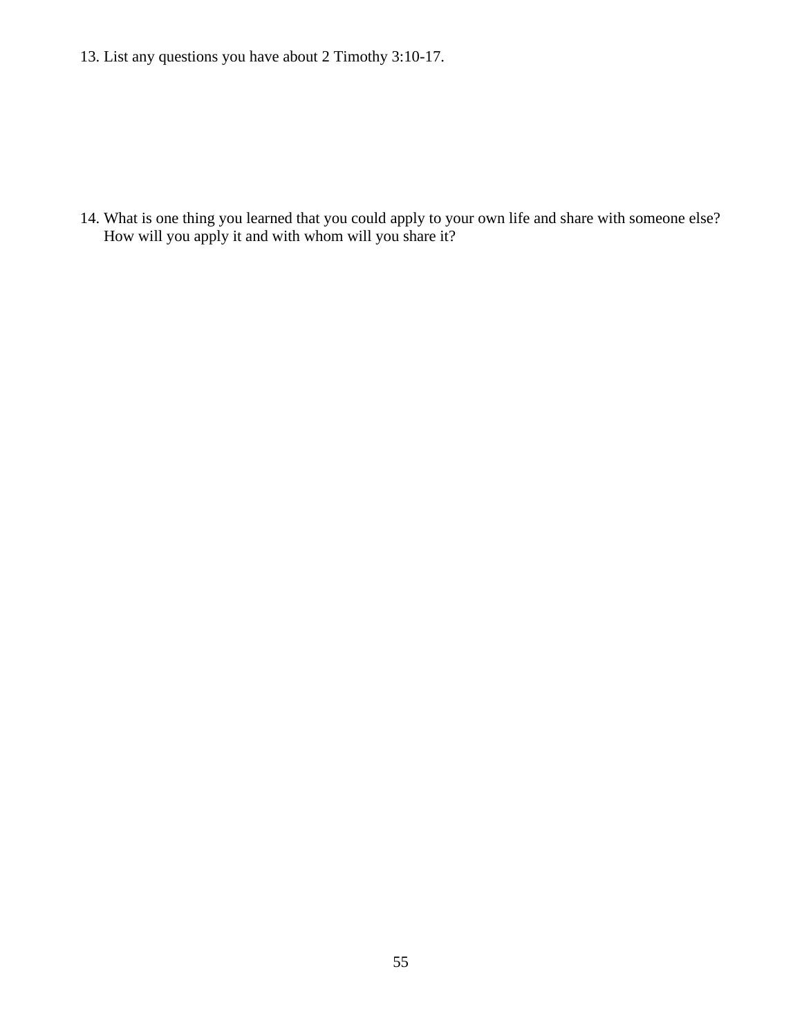13. List any questions you have about 2 Timothy 3:10-17.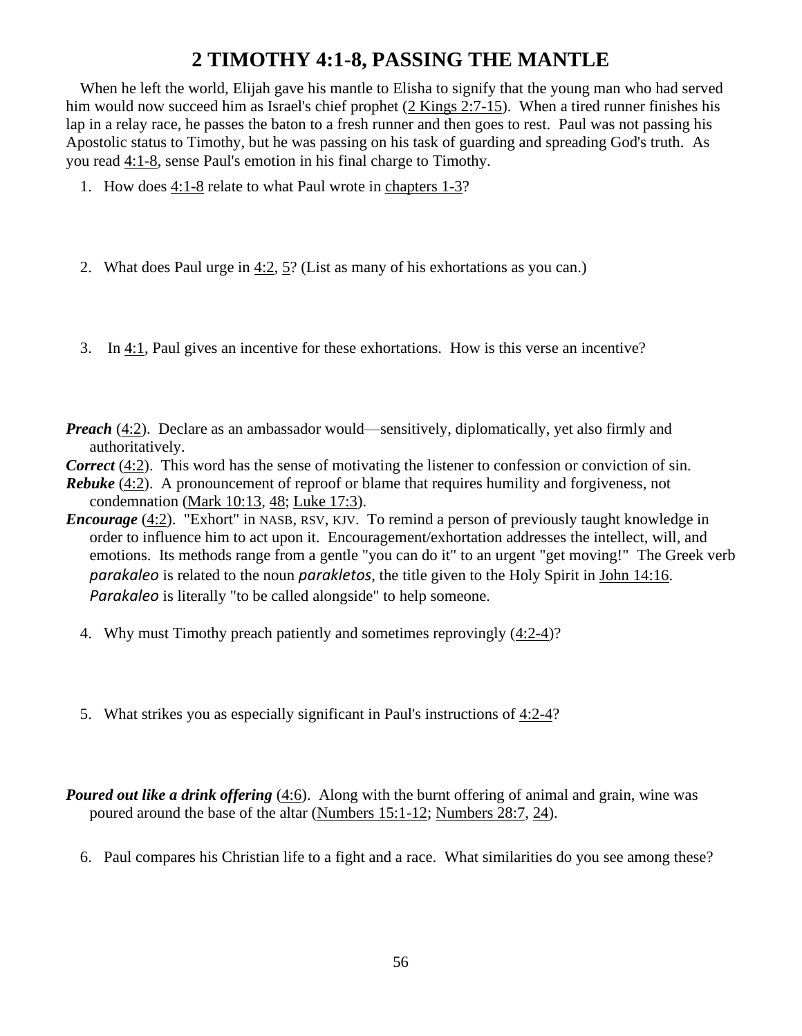## **2 TIMOTHY 4:1-8, PASSING THE MANTLE**

When he left the world, Elijah gave his mantle to Elisha to signify that the young man who had served him would now succeed him as Israel's chief prophet (2 [Kings 2:7-15\)](http://www.crossbooks.com/verse.asp?ref=2Ki+2%3A7-15). When a tired runner finishes his lap in a relay race, he passes the baton to a fresh runner and then goes to rest. Paul was not passing his Apostolic status to Timothy, but he was passing on his task of guarding and spreading God's truth. As you read [4:1-8,](http://www.crossbooks.com/verse.asp?ref=2Ti+4%3A1-8) sense Paul's emotion in his final charge to Timothy.

- 1. How does [4:1-8](http://www.crossbooks.com/verse.asp?ref=2Ti+4%3A1-8) relate to what Paul wrote in [chapters 1-3?](http://www.crossbooks.com/verse.asp?ref=2Ti+1-3)
- 2. What does Paul urge in [4:2,](http://www.crossbooks.com/verse.asp?ref=2Ti+4%3A2) [5?](http://www.crossbooks.com/verse.asp?ref=2Ti+4%3A5) (List as many of his exhortations as you can.)
- 3. In [4:1,](http://www.crossbooks.com/verse.asp?ref=2Ti+4%3A1) Paul gives an incentive for these exhortations. How is this verse an incentive?
- *Preach* [\(4:2\)](http://www.crossbooks.com/verse.asp?ref=2Ti+4%3A2). Declare as an ambassador would—sensitively, diplomatically, yet also firmly and authoritatively.
- *Correct* [\(4:2\)](http://www.crossbooks.com/verse.asp?ref=2Ti+4%3A2). This word has the sense of motivating the listener to confession or conviction of sin.
- *Rebuke* [\(4:2\)](http://www.crossbooks.com/verse.asp?ref=2Ti+4%3A2). A pronouncement of reproof or blame that requires humility and forgiveness, not condemnation [\(Mark 10:13,](http://www.crossbooks.com/verse.asp?ref=Mk+10%3A13) [48;](http://www.crossbooks.com/verse.asp?ref=Mk+10%3A48) [Luke 17:3\)](http://www.crossbooks.com/verse.asp?ref=Lk+17%3A3).
- *Encourage* [\(4:2\)](http://www.crossbooks.com/verse.asp?ref=2Ti+4%3A2). "Exhort" in NASB, RSV, KJV. To remind a person of previously taught knowledge in order to influence him to act upon it. Encouragement/exhortation addresses the intellect, will, and emotions. Its methods range from a gentle "you can do it" to an urgent "get moving!" The Greek verb *parakaleo* is related to the noun *parakletos*, the title given to the Holy Spirit in [John 14:16.](http://www.crossbooks.com/verse.asp?ref=Jn+14%3A16) *Parakaleo* is literally "to be called alongside" to help someone.
	- 4. Why must Timothy preach patiently and sometimes reprovingly [\(4:2-4\)](http://www.crossbooks.com/verse.asp?ref=2Ti+4%3A2-4)?
	- 5. What strikes you as especially significant in Paul's instructions of [4:2-4?](http://www.crossbooks.com/verse.asp?ref=2Ti+4%3A2-4)
- *Poured out like a drink offering* [\(4:6\)](http://www.crossbooks.com/verse.asp?ref=2Ti+4%3A6). Along with the burnt offering of animal and grain, wine was poured around the base of the altar [\(Numbers 15:1-12;](http://www.crossbooks.com/verse.asp?ref=Nu+15%3A1-12) [Numbers 28:7,](http://www.crossbooks.com/verse.asp?ref=Nu+28%3A7) [24\)](http://www.crossbooks.com/verse.asp?ref=Nu+28%3A24).
	- 6. Paul compares his Christian life to a fight and a race. What similarities do you see among these?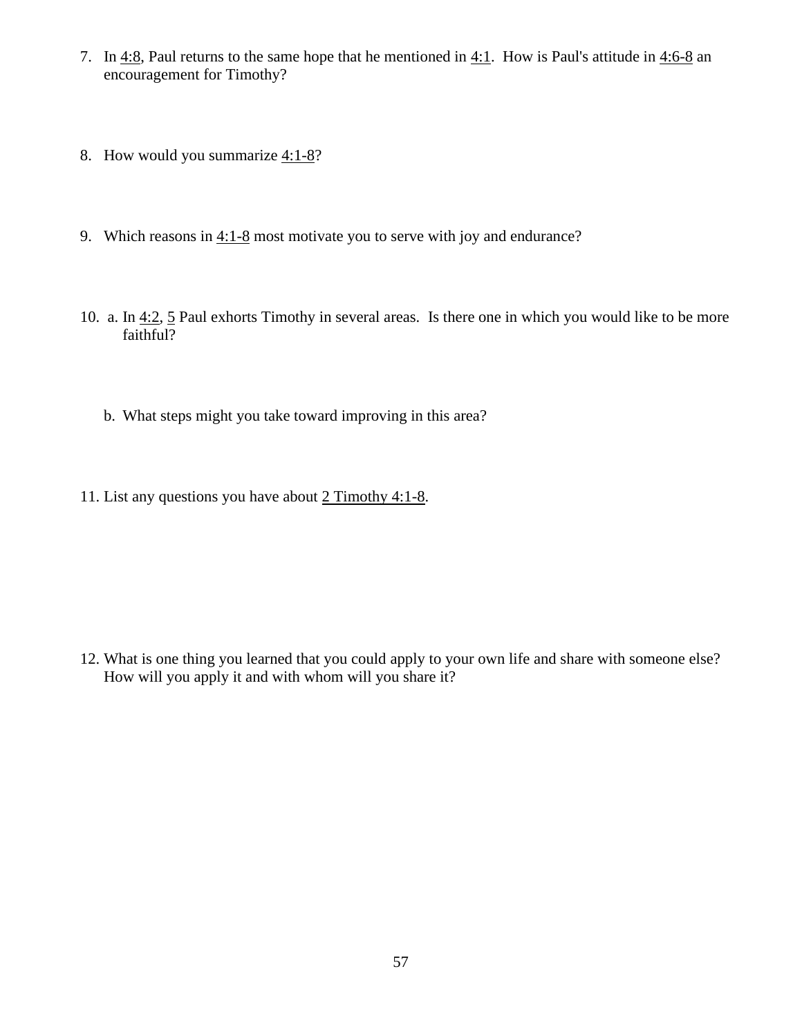- 7. In [4:8,](http://www.crossbooks.com/verse.asp?ref=2Ti+4%3A8) Paul returns to the same hope that he mentioned in  $4:1$ . How is Paul's attitude in  $4:6-8$  an encouragement for Timothy?
- 8. How would you summarize  $4:1-8$ ?
- 9. Which reasons in [4:1-8](http://www.crossbooks.com/verse.asp?ref=2Ti+4%3A1-8) most motivate you to serve with joy and endurance?
- 10. a. In [4:2,](http://www.crossbooks.com/verse.asp?ref=2Ti+4%3A2) [5](http://www.crossbooks.com/verse.asp?ref=2Ti+4%3A5) Paul exhorts Timothy in several areas. Is there one in which you would like to be more faithful?
	- b. What steps might you take toward improving in this area?
- 11. List any questions you have about [2](http://www.crossbooks.com/verse.asp?ref=2Ti+4%3A1-8) Timothy 4:1-8.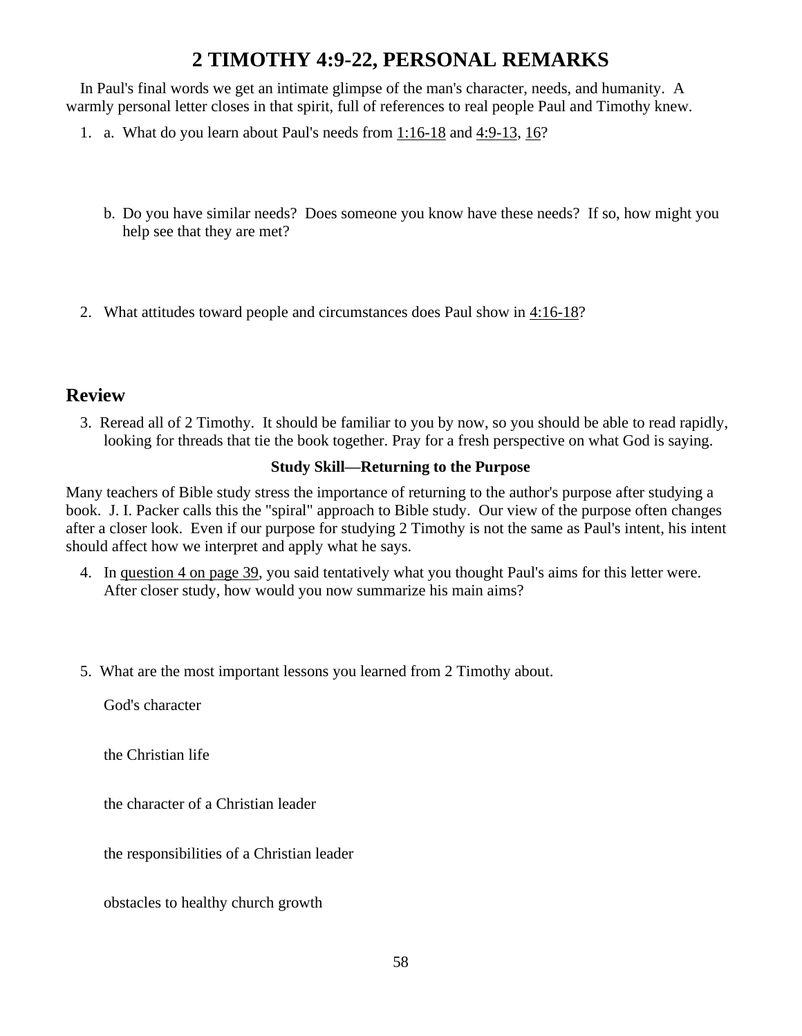# **2 TIMOTHY 4:9-22, PERSONAL REMARKS**

In Paul's final words we get an intimate glimpse of the man's character, needs, and humanity. A warmly personal letter closes in that spirit, full of references to real people Paul and Timothy knew.

- 1. a. What do you learn about Paul's needs from [1:16-18](http://www.crossbooks.com/verse.asp?ref=2Ti+1%3A16-18) and [4:9-13,](http://www.crossbooks.com/verse.asp?ref=2Ti+4%3A9-13) [16?](http://www.crossbooks.com/verse.asp?ref=2Ti+4%3A16)
	- b. Do you have similar needs? Does someone you know have these needs? If so, how might you help see that they are met?
- 2. What attitudes toward people and circumstances does Paul show in [4:16-18?](http://www.crossbooks.com/verse.asp?ref=2Ti+4%3A16-18)

### **Review**

3. Reread all of 2 Timothy. It should be familiar to you by now, so you should be able to read rapidly, looking for threads that tie the book together. Pray for a fresh perspective on what God is saying.

### **Study Skill—Returning to the Purpose**

Many teachers of Bible study stress the importance of returning to the author's purpose after studying a book. J. I. Packer calls this the "spiral" approach to Bible study. Our view of the purpose often changes after a closer look. Even if our purpose for studying 2 Timothy is not the same as Paul's intent, his intent should affect how we interpret and apply what he says.

- 4. In question [4](http://www.crossbooks.com/book.asp?pub=0&book=355&sec=00034609#link1313) on page 39, you said tentatively what you thought Paul's aims for this letter were. After closer study, how would you now summarize his main aims?
- 5. What are the most important lessons you learned from 2 Timothy about.

God's character

the Christian life

the character of a Christian leader

the responsibilities of a Christian leader

obstacles to healthy church growth